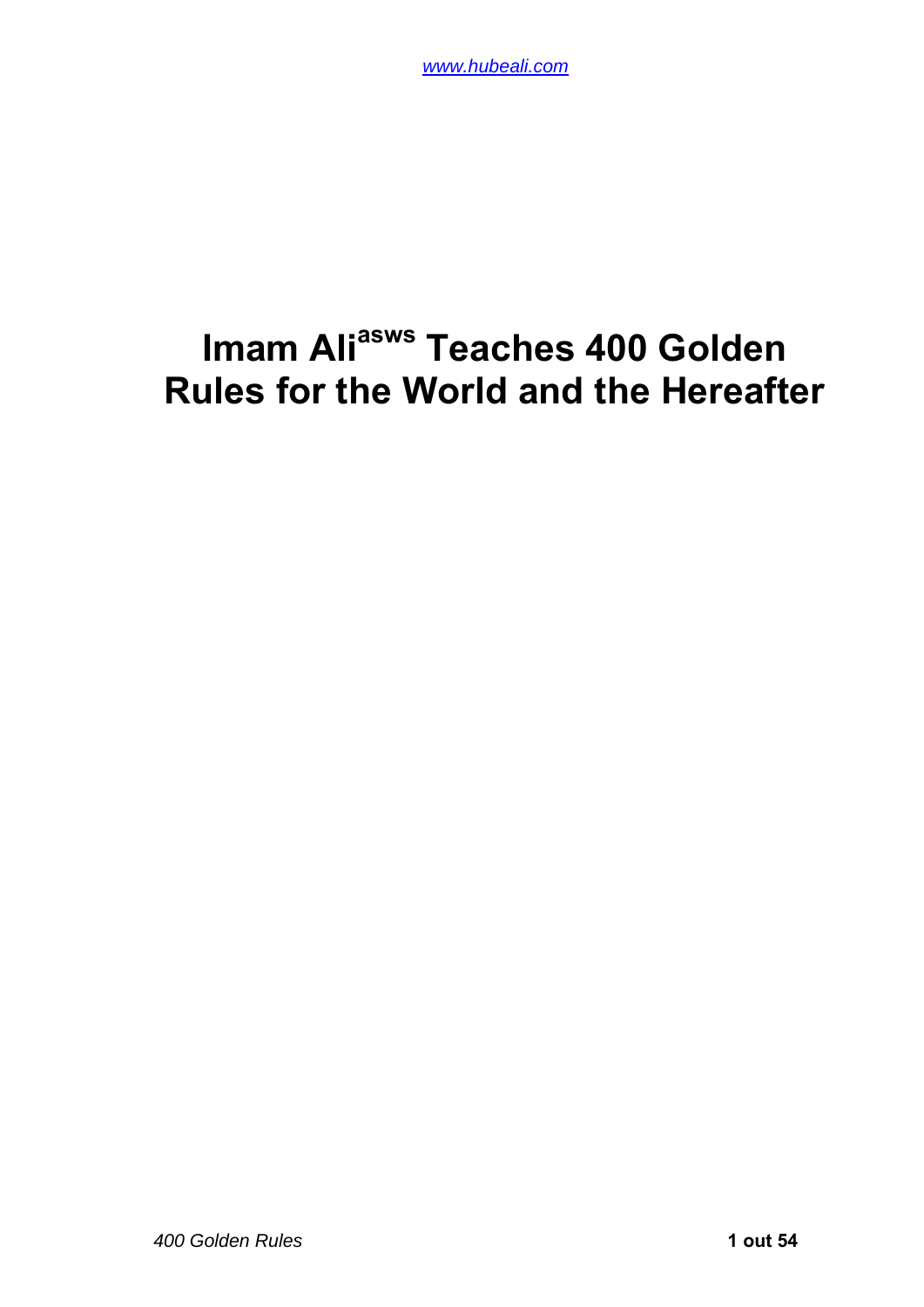# **Imam Ali<sup>asws</sup> Teaches 400 Golden Rules for the World and the Hereafter**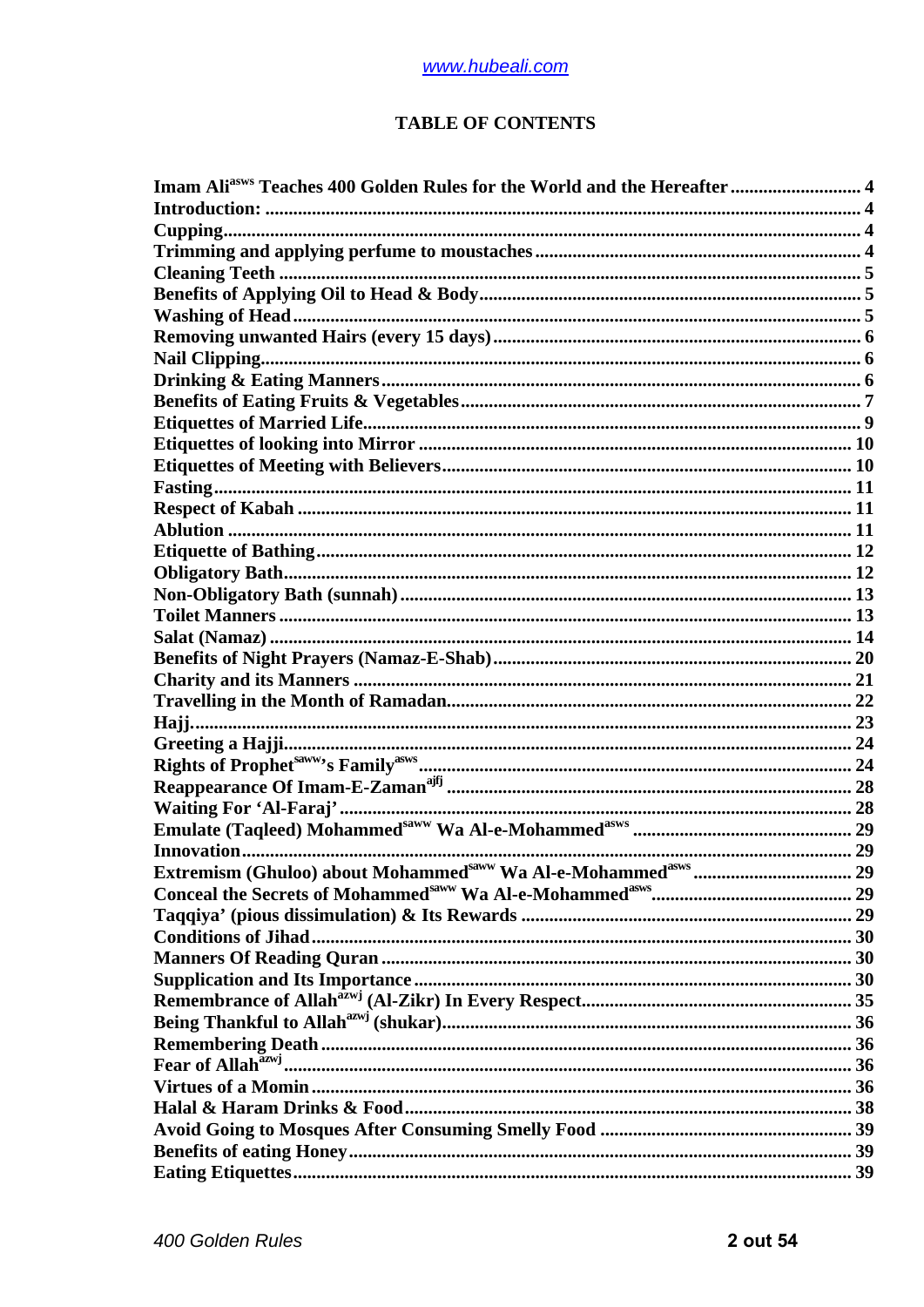#### **TABLE OF CONTENTS**

| Imam Ali <sup>asws</sup> Teaches 400 Golden Rules for the World and the Hereafter  4 |  |
|--------------------------------------------------------------------------------------|--|
|                                                                                      |  |
|                                                                                      |  |
|                                                                                      |  |
|                                                                                      |  |
|                                                                                      |  |
|                                                                                      |  |
|                                                                                      |  |
|                                                                                      |  |
|                                                                                      |  |
|                                                                                      |  |
|                                                                                      |  |
|                                                                                      |  |
|                                                                                      |  |
|                                                                                      |  |
|                                                                                      |  |
|                                                                                      |  |
|                                                                                      |  |
|                                                                                      |  |
|                                                                                      |  |
|                                                                                      |  |
|                                                                                      |  |
|                                                                                      |  |
|                                                                                      |  |
|                                                                                      |  |
|                                                                                      |  |
|                                                                                      |  |
|                                                                                      |  |
|                                                                                      |  |
|                                                                                      |  |
|                                                                                      |  |
|                                                                                      |  |
|                                                                                      |  |
|                                                                                      |  |
|                                                                                      |  |
|                                                                                      |  |
|                                                                                      |  |
|                                                                                      |  |
|                                                                                      |  |
|                                                                                      |  |
|                                                                                      |  |
|                                                                                      |  |
|                                                                                      |  |
|                                                                                      |  |
|                                                                                      |  |
|                                                                                      |  |
|                                                                                      |  |
|                                                                                      |  |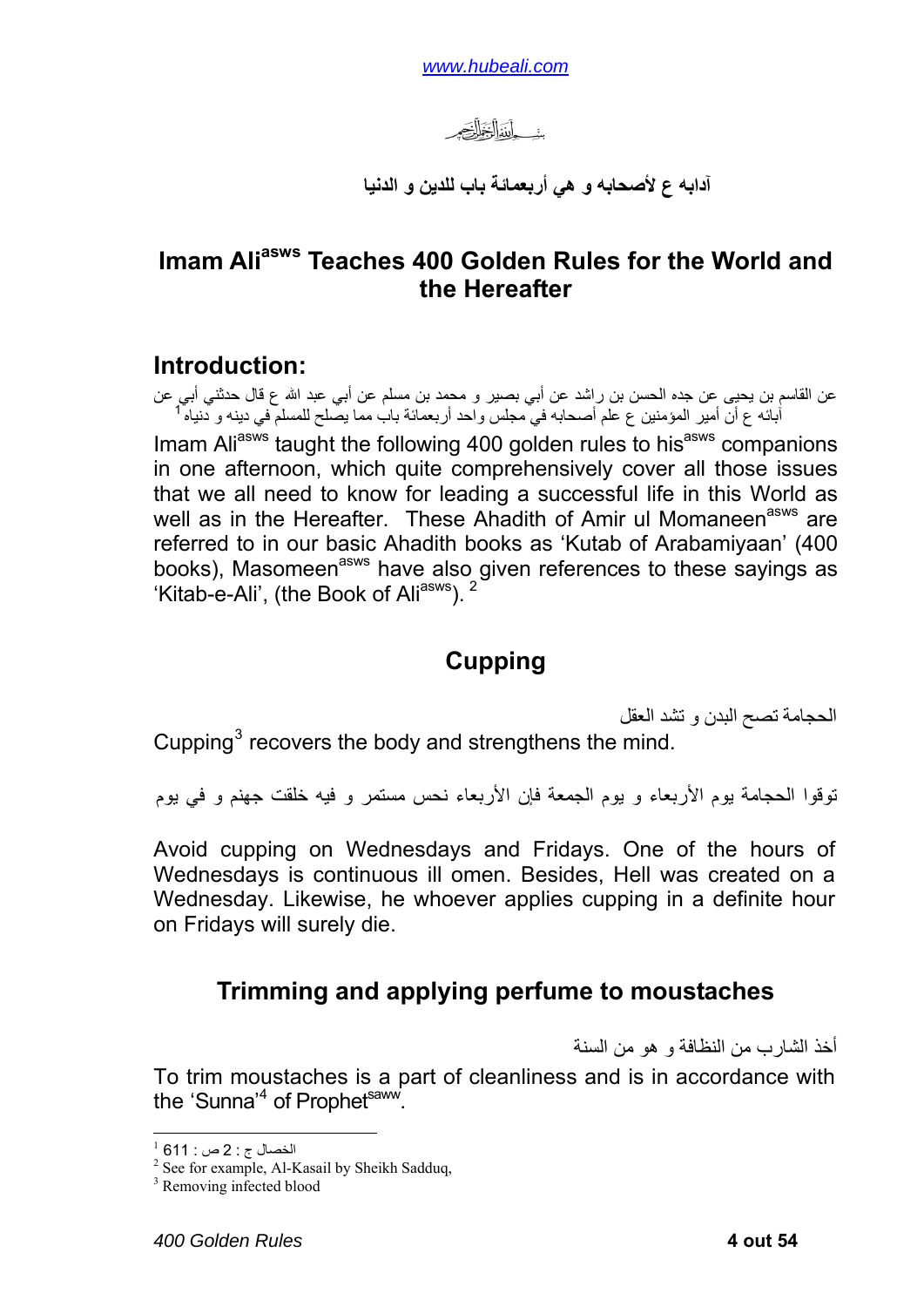*www.hubeali.com*

سأداللغ للصحير

**آدابه ع لأصحابه و هي أربعمائة باب للدين و الدنيا**

#### <span id="page-3-0"></span>**Imam Ali<sup>asws</sup> Teaches 400 Golden Rules for the World and the Hereafter**

#### **Introduction:**

عن القاسم بن يحيى عن جده الحسن بن راشد عن أبي بصير و محمد بن مسلم عن أبي عبد االله ع قال حدثني أبي عن آبائه ع أن أمير المؤمنين ع علم أصحابه في مجلس واحد أربعمائة باب مما يصلح للمسلم في دينه و دنياه [1](#page-3-1) جدي ع Imam Ali<sup>asws</sup> taught the following 400 golden rules to his<sup>asws</sup> companions in one afternoon, which quite comprehensively cover all those issues that we all need to know for leading a successful life in this World as well as in the Hereafter. These Ahadith of Amir ul Momaneen<sup>asws</sup> are referred to in our basic Ahadith books as 'Kutab of Arabamiyaan' (400 books), Masomeen<sup>asws</sup> have also given references to these sayings as 'Kitab-e-Ali', (the Book of Ali<sup>asws</sup>).<sup>[2](#page-3-2)</sup>

### **Cupping**

الحجامة تصح البدن و تشد العقل

Cupping $3$  recovers the body and strengthens the mind.

توقوا الحجامة يوم الأربعاء و يوم الجمعة فإن الأربعاء نحس مستمر و فيه خلقت جهنم و في يوم

Avoid cupping on Wednesdays and Fridays. One of the hours of Wednesdays is continuous ill omen. Besides, Hell was created on a Wednesday. Likewise, he whoever applies cupping in a definite hour on Fridays will surely die.

## **Trimming and applying perfume to moustaches**

أخذ الشارب من النظافة و هو من السنة

To trim moustaches is a part of cleanliness and is in accordance with the 'Sunna'<sup>[4](#page-3-4)</sup> of Prophet<sup>saww</sup>.

1

 $^{1}$  الخصال ج : 2 ص $\cdot$  : 611  $^{1}$ 

<span id="page-3-4"></span><span id="page-3-3"></span><span id="page-3-2"></span><span id="page-3-1"></span><sup>&</sup>lt;sup>2</sup> See for example, Al-Kasail by Sheikh Sadduq,

<sup>3</sup> Removing infected blood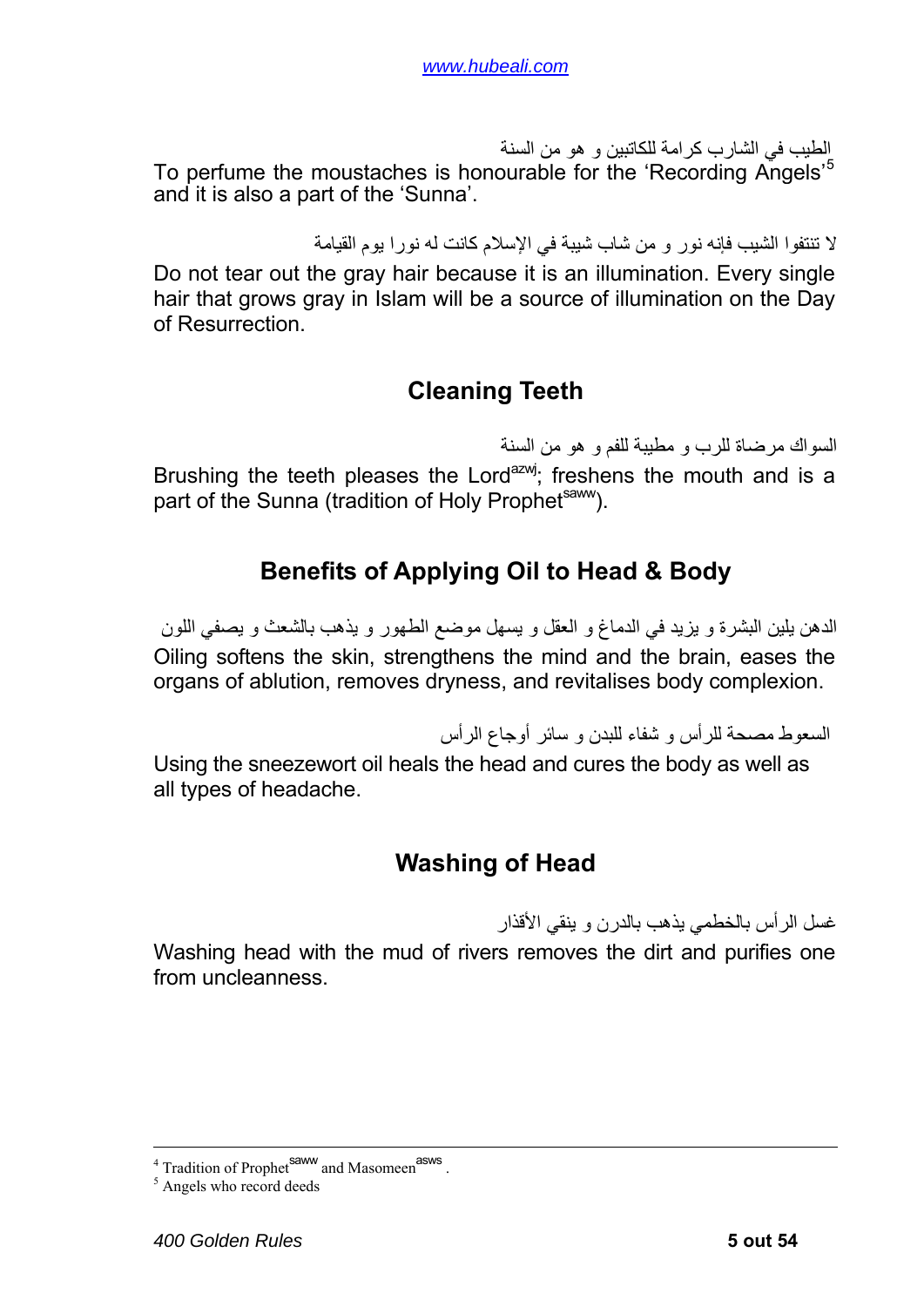<span id="page-4-0"></span>الطيب في الشارب كر امة للكاتبين و هو من السنة To perfume the moustaches is honourable for the 'Recording Angels'<sup>[5](#page-4-1)</sup> and it is also a part of the 'Sunna'.

لا تنتفوا الشيب فإنه نور و من شاب شيبة في الإسلام آانت له نورا يوم القيامة

Do not tear out the gray hair because it is an illumination. Every single hair that grows gray in Islam will be a source of illumination on the Day of Resurrection.

### **Cleaning Teeth**

السواك مرضاة للرب و مطيبة للفم و هو من السنة

Brushing the teeth pleases the Lord<sup>azwj</sup>; freshens the mouth and is a part of the Sunna (tradition of Holy Prophet<sup>saww</sup>).

### **Benefits of Applying Oil to Head & Body**

الدهن يلين البشرة و يزيد في الدماغ و العقل و يسهل موضع الطهور و يذهب بالشعث و يصفي اللون Oiling softens the skin, strengthens the mind and the brain, eases the organs of ablution, removes dryness, and revitalises body complexion.

السعوط مصحة للرأس و شفاء للبدن و سائر أوجاع الرأس

Using the sneezewort oil heals the head and cures the body as well as all types of headache.

## **Washing of Head**

غسل الرأس بالخطمي يذهب بالدرن و ينقي الأقذار

Washing head with the mud of rivers removes the dirt and purifies one from uncleanness.

 $\frac{1}{4}$  $4$  Tradition of Prophet<sup>saww</sup> and Masomeen<sup>asws</sup>.

<span id="page-4-1"></span><sup>&</sup>lt;sup>5</sup> Angels who record deeds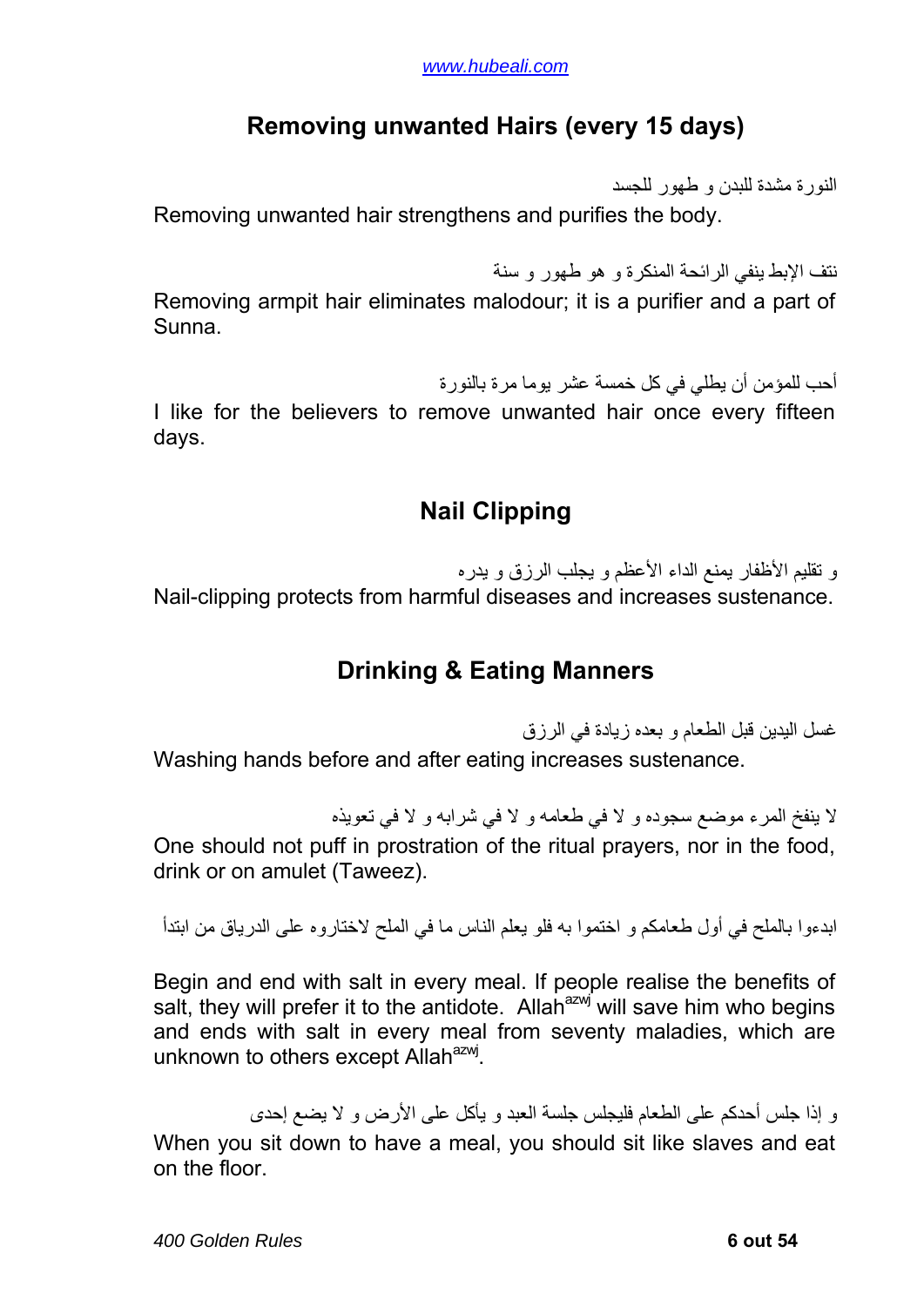### **Removing unwanted Hairs (every 15 days)**

النورة مشدة للبدن و طهور للجسد

<span id="page-5-0"></span>Removing unwanted hair strengthens and purifies the body.

نتف الإبط ينفي الرائحة المنكرة و هو طهور و سنة Removing armpit hair eliminates malodour; it is a purifier and a part of Sunna.

أحب للمؤمن أن يطلبي في كل خمسة عشر يوما مر ة بالنور ة

I like for the believers to remove unwanted hair once every fifteen days.

# **Nail Clipping**

و تقليم الأظفار يمنع الداء الأعظم و يجلب الرزق و يدره Nail-clipping protects from harmful diseases and increases sustenance.

## **Drinking & Eating Manners**

غسل اليدين قبل الطعام و بعده زيادة في الرزق Washing hands before and after eating increases sustenance.

لا ينفخ المرء موضع سجوده و لا في طعامه و لا في شرابه و لا في تعويذه One should not puff in prostration of the ritual prayers, nor in the food, drink or on amulet (Taweez).

ابدءوا بالملح في أول طعامكم و اختموا به فلو يعلم الناس ما في الملح لاختاروه على الدرياق من ابتدأ

Begin and end with salt in every meal. If people realise the benefits of salt, they will prefer it to the antidote. Allah<sup>azwj</sup> will save him who begins and ends with salt in every meal from seventy maladies, which are unknown to others except Allah<sup>azwj</sup>.

و إذا جلس أحدكم على الطعام فلبجلس جلسة العبد و يأكل على الأرض و لا يضيع إحدى When you sit down to have a meal, you should sit like slaves and eat on the floor.

*400 Golden Rules* **6 out 54**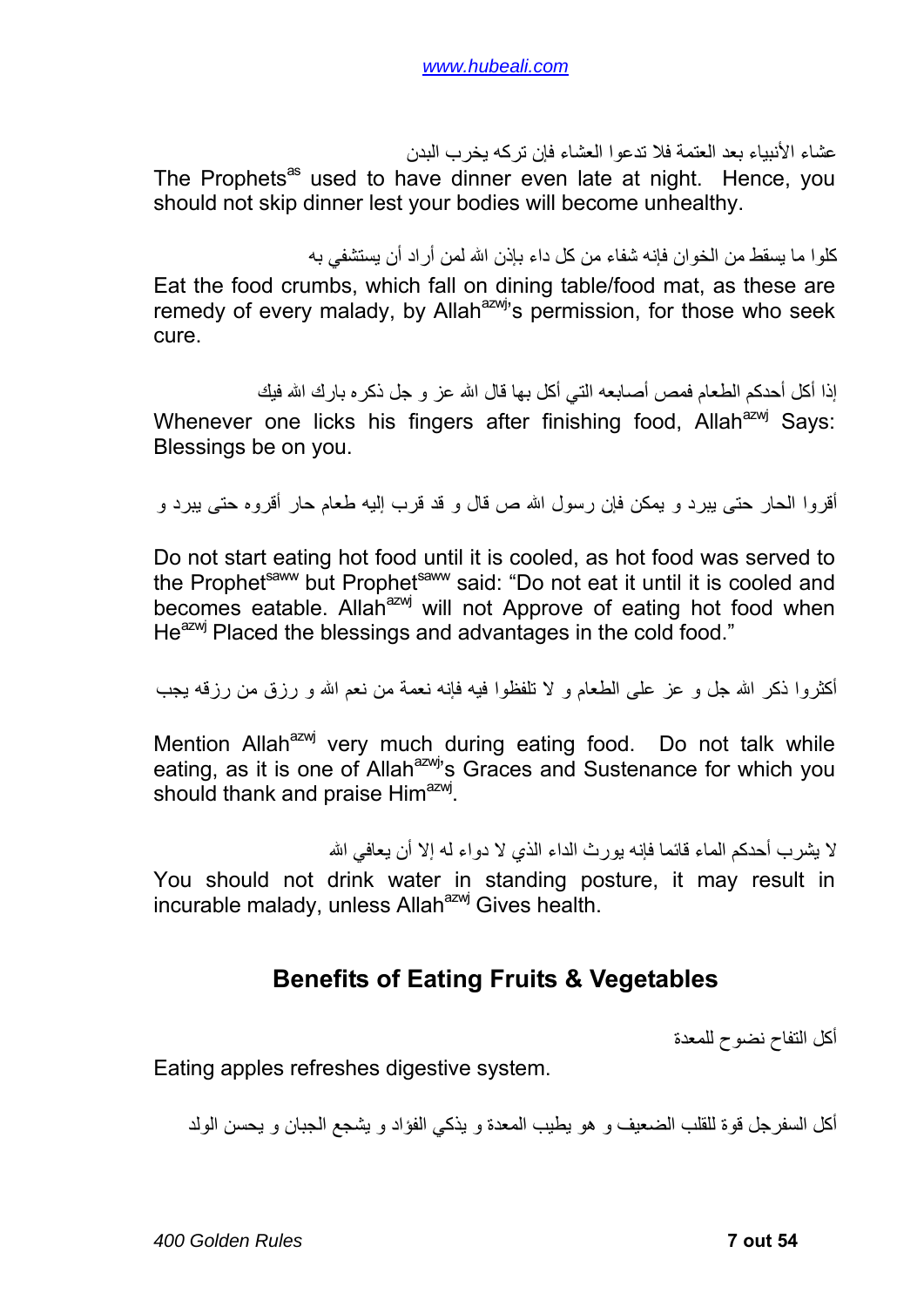عشاء الأنبياء بعد العتمة فلا تدعوا العشاء فإن ترآه يخرب البدن

<span id="page-6-0"></span>The Prophets<sup>as</sup> used to have dinner even late at night. Hence, you should not skip dinner lest your bodies will become unhealthy.

آلوا ما يسقط من الخوان فإنه شفاء من آل داء بإذن االله لمن أراد أن يستشفي به

Eat the food crumbs, which fall on dining table/food mat, as these are remedy of every malady, by Allah<sup>azwj</sup>'s permission, for those who seek cure.

إذا أكل أحدكم الطعام فمص أصابعه التي أكل بها قال الله عز و جل ذكر ه بارك الله فيك Whenever one licks his fingers after finishing food, Allah<sup>azwj</sup> Says: Blessings be on you.

أقروا الحار حتى يبرد و يمكن فإن رسول االله ص قال و قد قرب إليه طعام حار أقروه حتى يبرد و

Do not start eating hot food until it is cooled, as hot food was served to the Prophet<sup>saww</sup> but Prophet<sup>saww</sup> said: "Do not eat it until it is cooled and becomes eatable. Allah<sup>azwj</sup> will not Approve of eating hot food when He<sup>azwj</sup> Placed the blessings and advantages in the cold food."

أكثروا ذكر الله جل و عز على الطعام و لا تلفظوا فيه فإنه نعمة من نعم الله و رزق من رزقه يجب

Mention Allah<sup>azwj</sup> very much during eating food. Do not talk while eating, as it is one of Allah<sup>azwj</sup>'s Graces and Sustenance for which you should thank and praise Him<sup>azwj</sup>.

لا يشر ب أحدكم الماء قائما فإنه يور ث الداء الذي لا دو اء له إلا أن يعافي الله

You should not drink water in standing posture, it may result in incurable malady, unless Allah<sup>azwj</sup> Gives health.

#### **Benefits of Eating Fruits & Vegetables**

أآل التفاح نضوح للمعدة

Eating apples refreshes digestive system.

أكل السفر جل قوة للقلب الضعيف و هو يطيب المعدة و يذكي الفؤاد و يشجع الجبان و يحسن الولد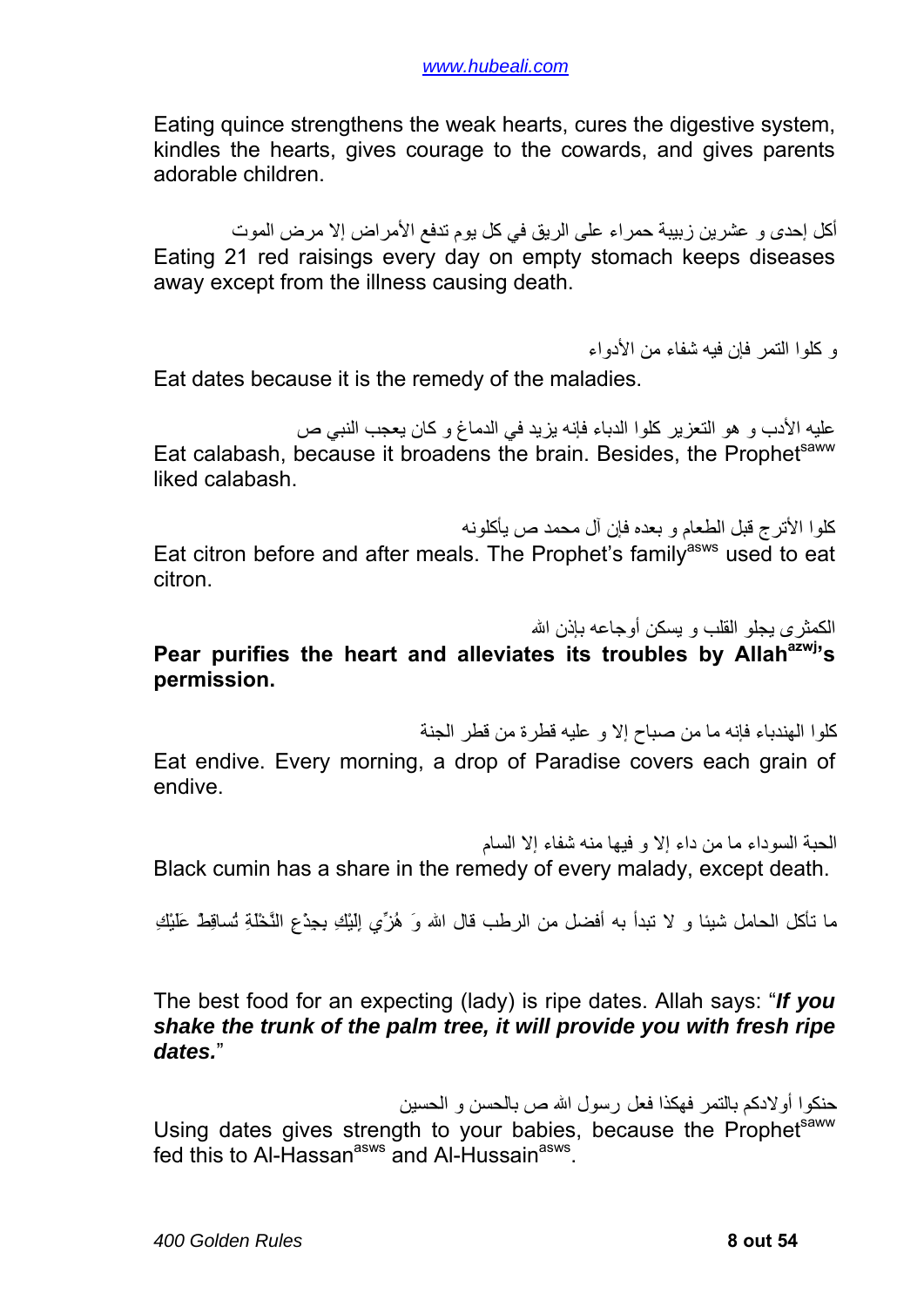Eating quince strengthens the weak hearts, cures the digestive system, kindles the hearts, gives courage to the cowards, and gives parents adorable children.

أكل إحدى و عشرين زبيبة حمراء على الريق في كل يوم تدفع الأمراض إلا مرض الموت Eating 21 red raisings every day on empty stomach keeps diseases away except from the illness causing death.

و آلوا التمر فإن فيه شفاء من الأدواء

Eat dates because it is the remedy of the maladies.

عليه الأدب و هو التعزير كلوا الدباء فإنه يزيد في الدماغ و كان يعجب النبي ص Eat calabash, because it broadens the brain. Besides, the Prophetsaww liked calabash.

آلوا الأترج قبل الطعام و بعده فإن آل محمد ص يأآلونه Eat citron before and after meals. The Prophet's family<sup>asws</sup> used to eat citron.

الكمثرى يجلو القلب و يسكن أوجاعه بإذن االله

#### Pear purifies the heart and alleviates its troubles by Allah<sup>azwj</sup>'s **permission.**

آلوا الهندباء فإنه ما من صباح إلا و عليه قطرة من قطر الجنة

Eat endive. Every morning, a drop of Paradise covers each grain of endive.

الحبة السوداء ما من داء إلا و فيها منه شفاء إلا السام

Black cumin has a share in the remedy of every malady, except death.

ما تأآل الحامل شيئا و لا تبدأ به أفضل من الرطب قال االله وَ هُزِّي إِلَيْكِ بِجِذْعِ النَّخْلَةِ تُساقِطْ عَلَيْكِ

The best food for an expecting (lady) is ripe dates. Allah says: "*If you shake the trunk of the palm tree, it will provide you with fresh ripe dates.*"

حنكوا أولادكم بالتمر فهكذا فعل رسول الله ص بالحسن و الحسين Using dates gives strength to your babies, because the Prophetsaww fed this to Al-Hassan<sup>asws</sup> and Al-Hussain<sup>asws</sup>.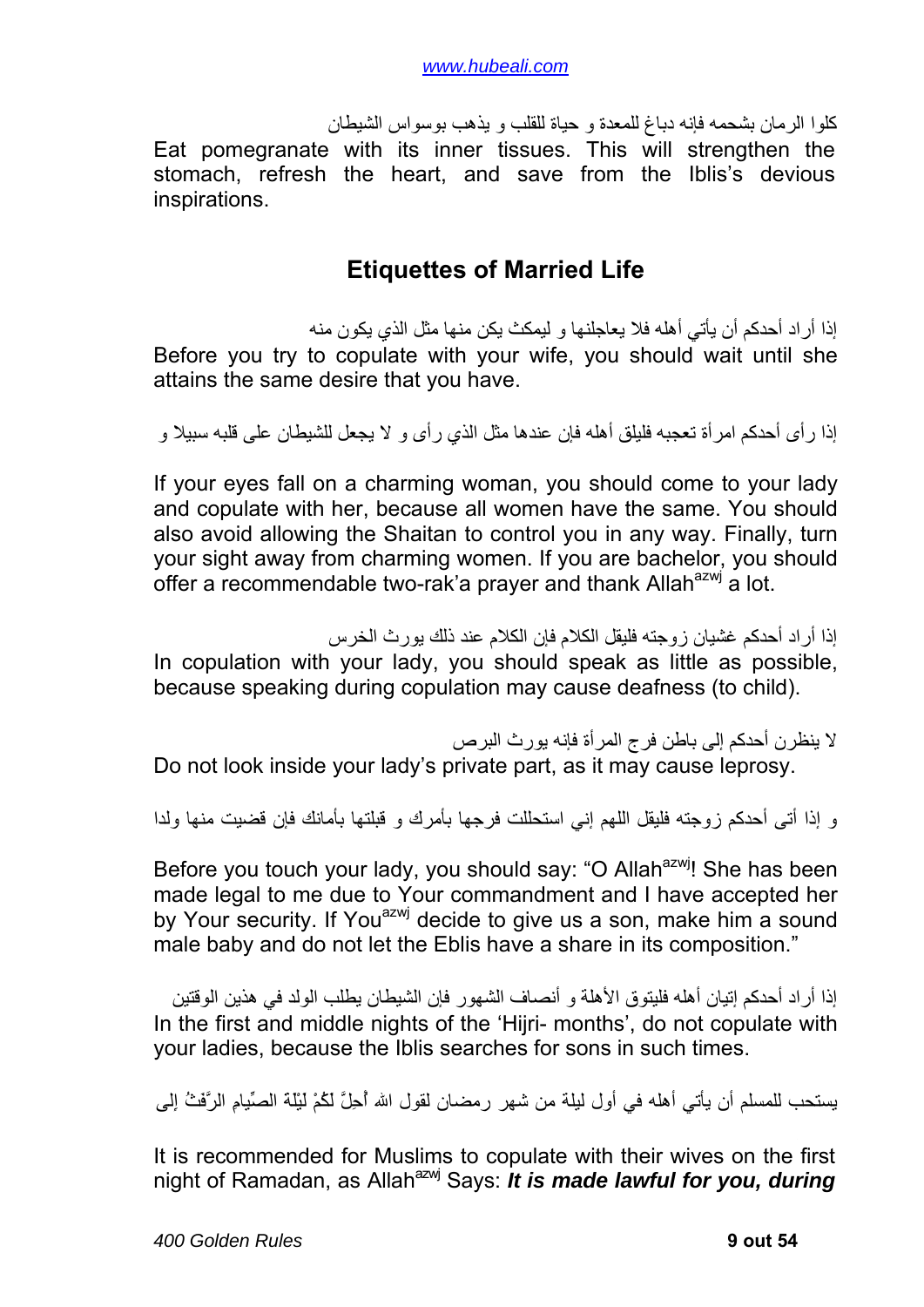<span id="page-8-0"></span>آلوا الرمان بشحمه فإنه دباغ للمعدة و حياة للقلب و يذهب بوسواس الشيطان Eat pomegranate with its inner tissues. This will strengthen the stomach, refresh the heart, and save from the Iblis's devious inspirations.

#### **Etiquettes of Married Life**

إذا أراد أحدكم أن يأتي أهله فلا يعاجلنها و ليمكث يكن منها مثل الذي يكون منه Before you try to copulate with your wife, you should wait until she attains the same desire that you have.

إذا ر أى أحدكم امر أة تعجبه فلبلق أهله فإن عندها مثل الذي ر أى و لا يجعل للشيطان على قلبه سبيلا و

If your eyes fall on a charming woman, you should come to your lady and copulate with her, because all women have the same. You should also avoid allowing the Shaitan to control you in any way. Finally, turn your sight away from charming women. If you are bachelor, you should offer a recommendable two-rak'a prayer and thank Allah<sup>azwj</sup> a lot.

إذا أراد أحدكم غشيان زوجته فليقل الكلام فإن الكلام عند ذلك يورث الخرس In copulation with your lady, you should speak as little as possible, because speaking during copulation may cause deafness (to child).

لا ينظر ن أحدكم إلى باطن فرج المر أة فإنه يور ث البر ص

Do not look inside your lady's private part, as it may cause leprosy.

و إذا أتى أحدكم زوجته فليقل اللهم إني استحللت فرجها بأمرك و قبلتها بأمانك فإن قضيت منها ولدا

Before you touch your lady, you should say: "O Allah<sup>azwi</sup>! She has been made legal to me due to Your commandment and I have accepted her by Your security. If You<sup>azwj</sup> decide to give us a son, make him a sound male baby and do not let the Eblis have a share in its composition."

إذا أر اد أحدكم إتيان أهله فليتوق الأهلة و أنصاف الشهور فإن الشيطان يطلب الولد في هذين الوقتين In the first and middle nights of the 'Hijri- months', do not copulate with your ladies, because the Iblis searches for sons in such times.

يستحب للمسلم أن يأتي أهله في أول ليلة من شهر رمضان لقول االله أُحِلَّ لَكُمْ لَيْلَةَ الصِّيامِ الرَّفَثُ إِلى

It is recommended for Muslims to copulate with their wives on the first night of Ramadan, as Allah<sup>azwj</sup> Says: *It is made lawful for you, during*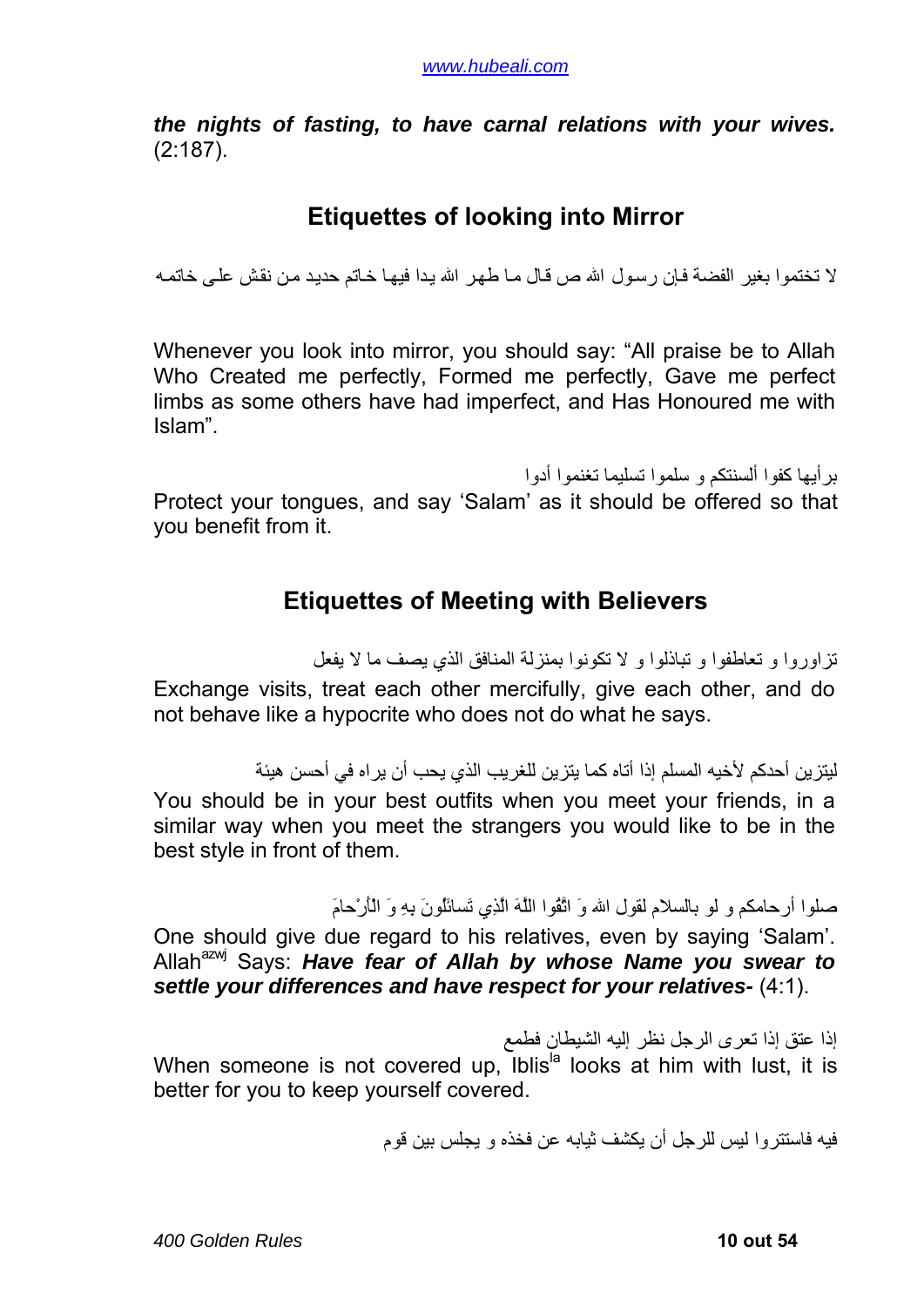<span id="page-9-0"></span>*the nights of fasting, to have carnal relations with your wives.* (2:187).

### **Etiquettes of looking into Mirror**

لا تختموا بغير الفضة فإن رسول الله ص قال مـا طهر الله يدا فيهـا خاتم حديد من نقش علي خاتمـه

Whenever you look into mirror, you should say: "All praise be to Allah Who Created me perfectly, Formed me perfectly, Gave me perfect limbs as some others have had imperfect, and Has Honoured me with Islam".

بر أبها كفوا ألسنتكم و سلموا تسليما تغنموا أدوا

Protect your tongues, and say 'Salam' as it should be offered so that you benefit from it.

#### **Etiquettes of Meeting with Believers**

تزاوروا و تعاطفوا و تباذلوا و لا تكونوا بمنزلة المنافق الذي يصف ما لا يفعل Exchange visits, treat each other mercifully, give each other, and do not behave like a hypocrite who does not do what he says.

ليتز ين أحدكم لأخيه المسلم إذا أتاه كما يتز ين للغر يب الذي يحب أن ير اه في أحسن هيئة

You should be in your best outfits when you meet your friends, in a similar way when you meet the strangers you would like to be in the best style in front of them.

صلوا أرحامكم و لو بالسلام لقول االله وَ اتَّقُوا اللَّهَ الَّذِي تَسائَلُونَ بِهِ وَ الْأَرْحامَ

One should give due regard to his relatives, even by saying 'Salam'. Allah<sup>azwj</sup> Says: *Have fear of Allah by whose Name you swear to settle your differences and have respect for your relatives-* (4:1).

إذا عتق إذا تعرى الرجل نظر إليه الشيطان فطمع When someone is not covered up. Iblis<sup>la</sup> looks at him with lust, it is better for you to keep yourself covered.

فيه فاستتروا ليس للرجل أن يكشف ثيابه عن فخذه و يجلس بين قوم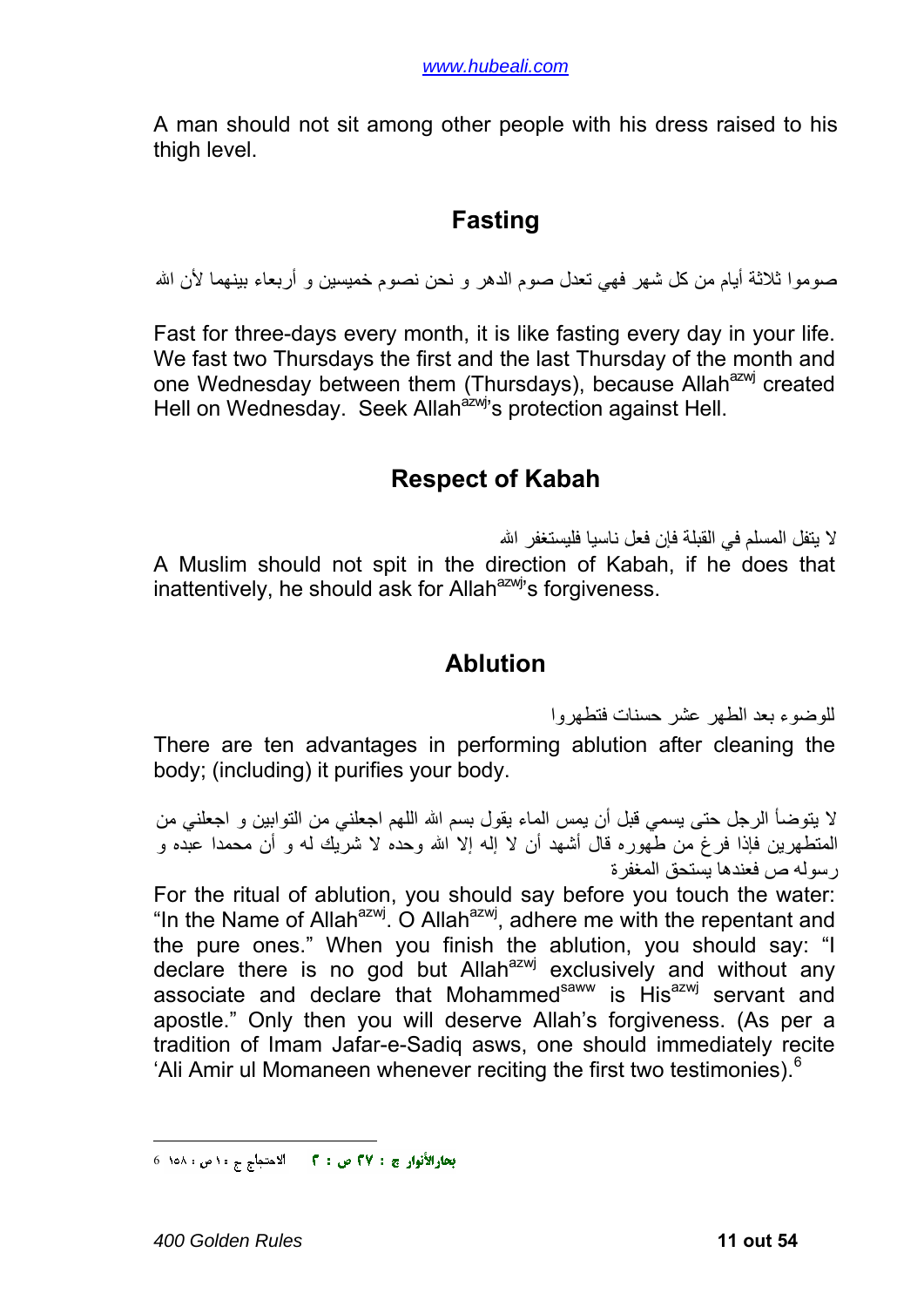<span id="page-10-0"></span>A man should not sit among other people with his dress raised to his thigh level.

#### **Fasting**

صوموا ثلاثة أبام من كل شهر ًفهي تعدل صوم الدهر و نحن نصوم خميسين و أر بعاء بينهما لأن الله

Fast for three-days every month, it is like fasting every day in your life. We fast two Thursdays the first and the last Thursday of the month and one Wednesday between them (Thursdays), because Allah<sup>azwj</sup> created Hell on Wednesday. Seek Allah<sup>azwj</sup>'s protection against Hell.

#### **Respect of Kabah**

لا يتفل المسلم في القبلة فإن فعل ناسيا فليستغفر االله A Muslim should not spit in the direction of Kabah, if he does that inattentively, he should ask for Allah $a$ <sup>azwj</sup>'s forgiveness.

#### **Ablution**

للوضوء بعد الطهر عشر حسنات فتطهروا

There are ten advantages in performing ablution after cleaning the body; (including) it purifies your body.

لا يتوضأ الرجل حتى يسمي قبل أن يمس الماء يقول بسم االله اللهم اجعلني من التوابين و اجعلني من المتطهرين فإذا فرغ من طهوره قال أشهد أن لا إله إلا االله وحده لا شريك له و أن محمدا عبده و رسوله ص فعندها يستحق المغفرة

For the ritual of ablution, you should say before you touch the water: "In the Name of Allah<sup>azwj.</sup> O Allah<sup>azwj</sup>, adhere me with the repentant and the pure ones." When you finish the ablution, you should say: "I declare there is no god but Allah<sup>azwj</sup> exclusively and without any associate and declare that Mohammed<sup>saww</sup> is His<sup>azwj</sup> servant and apostle." Only then you will deserve Allah's forgiveness. (As per a tradition of Imam Jafar-e-Sadiq asws, one should immediately recite 'Ali Amir ul Momaneen whenever reciting the first two testimonies).<sup>[6](#page-10-1)</sup>

<u>.</u>

<span id="page-10-1"></span>الاحتجاج ج ١٠ ص : ١٥٨٪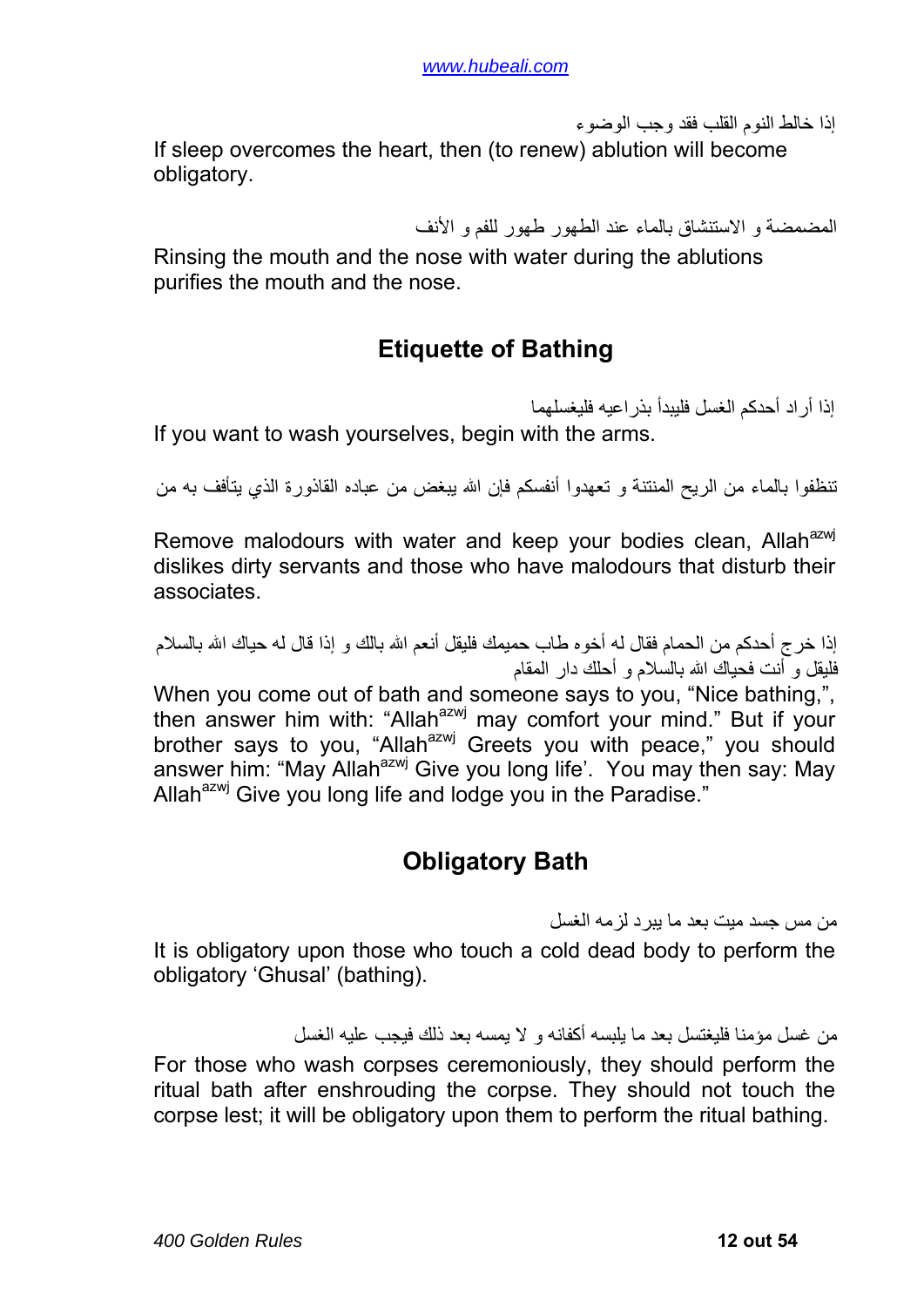إذا خالط النوم القلب فقد وجب الوضوء

<span id="page-11-0"></span>If sleep overcomes the heart, then (to renew) ablution will become obligatory.

المضمضة و الاستنشاق بالماء عند الطهور طهور للفم و الأنف

Rinsing the mouth and the nose with water during the ablutions purifies the mouth and the nose.

# **Etiquette of Bathing**

إذا أر اد أحدكم الغسل فليبدأ بذر اعيه فليغسلهما If you want to wash yourselves, begin with the arms.

تنظفوا بالماء من الريح المنتنة و تعهدوا أنفسكم فإن االله يبغض من عباده القاذورة الذي يتأفف به من

Remove malodours with water and keep your bodies clean. Allah<sup>azwj</sup> dislikes dirty servants and those who have malodours that disturb their associates.

إذا خرج أحدكم من الحمام فقال له أخوه طاب حميمك فليقل أنعم الله بالك و إذا قال له حياك الله بالسلام فليقل و أنت فحياك االله بالسلام و أحلك دار المقام

When you come out of bath and someone says to you, "Nice bathing,", then answer him with: "Allah<sup>azwj</sup> may comfort your mind." But if your brother says to you, "Allah<sup>azwj</sup> Greets you with peace," you should answer him: "May Allah<sup>azwj</sup> Give you long life'. You may then say: May Allah<sup>azwj</sup> Give you long life and lodge you in the Paradise."

## **Obligatory Bath**

من مس جسد ميت بعد ما يبرد لزمه الغسل

It is obligatory upon those who touch a cold dead body to perform the obligatory 'Ghusal' (bathing).

من غسل مؤمنا فليغتسل بعد ما يلبسه أكفانه و لا يمسه بعد ذلك فيجب عليه الغسل

For those who wash corpses ceremoniously, they should perform the ritual bath after enshrouding the corpse. They should not touch the corpse lest; it will be obligatory upon them to perform the ritual bathing.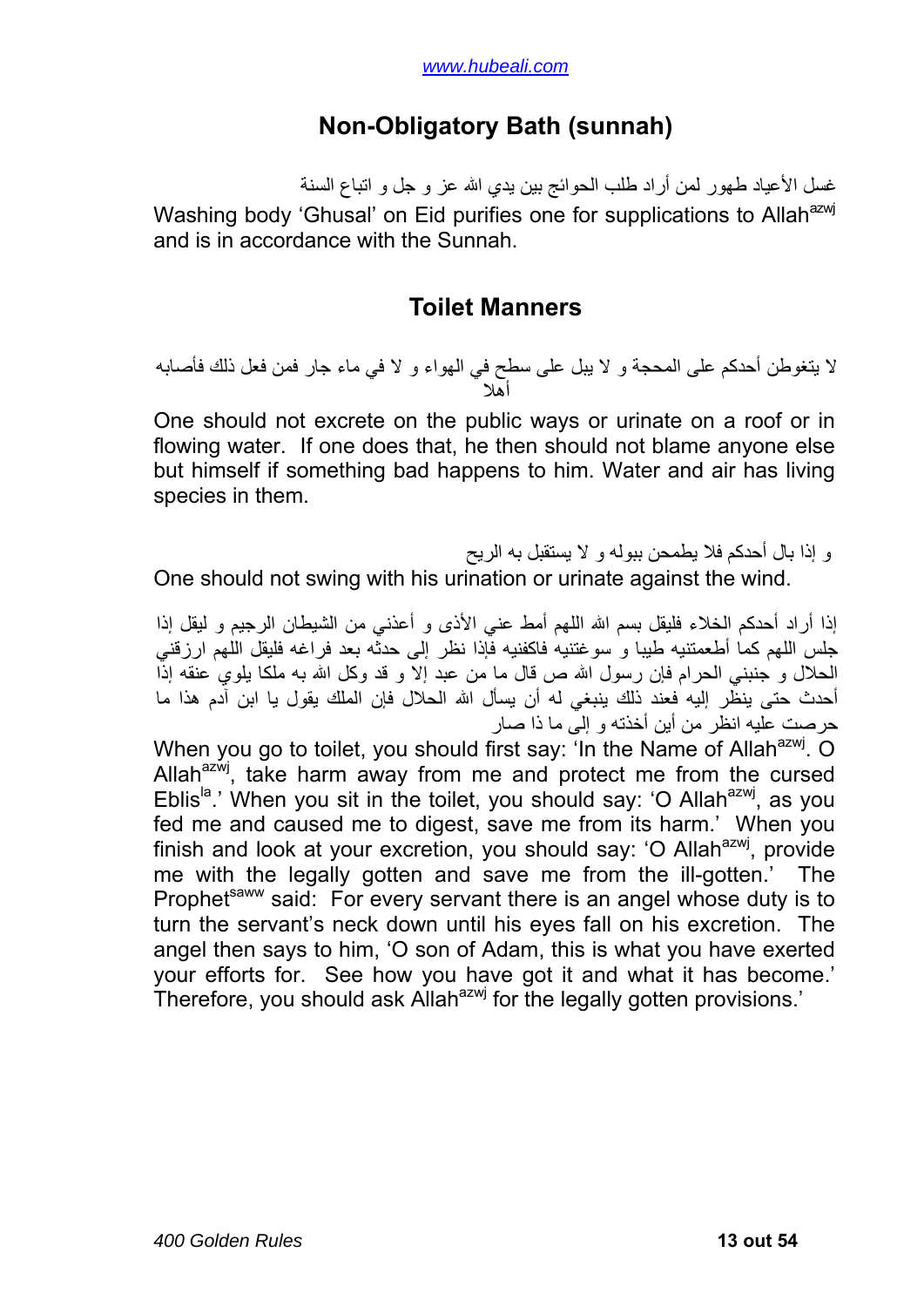### **Non-Obligatory Bath (sunnah)**

<span id="page-12-0"></span>غسل الأعياد طهور لمن أراد طلب الحوائج بين يدي االله عز و جل و اتباع السنة Washing body 'Ghusal' on Eid purifies one for supplications to Allah<sup>azwj</sup> and is in accordance with the Sunnah.

#### **Toilet Manners**

لا يتغوطن أحدكم على المحجة و لا يبل على سطح في الهواء و لا في ماء جار فمن فعل ذلك فأصابه شيء فلا يلومن إلا نفسه فإن للماء أهلا و للهواء أهلا

One should not excrete on the public ways or urinate on a roof or in flowing water. If one does that, he then should not blame anyone else but himself if something bad happens to him. Water and air has living species in them.

و إذا بال أحدآم فلا يطمحن ببوله و لا يستقبل به الريح

One should not swing with his urination or urinate against the wind.

إذا أراد أحدكم الخلاء فليقل بسم الله اللهم أمط عني الأذى و أعذني من الشيطان الرجيم و ليقل إذا جلس اللهم كما أطعمتنيه طيبا و سوغتنيه فاكفنيه فإذا نظر إلى حدثه بعد فراغه فليقل اللهم ارزقني الحلال و جنبني الحرام فإن رسول الله ص قال ما من عبد إلا و قد وكل الله به ملكا بلوي عنقه إذاً أحدث حتى ينظر إليه فعند ذلك ينبغي له أن يسأل االله الحلال فإن الملك يقول يا ابن آدم هذا ما حرصت عليه انظر من أين أخذته و إلى ما ذا صار

When you go to toilet, you should first say: 'In the Name of Allah<sup>azwj</sup>. O Allah $^{azw}$ , take harm away from me and protect me from the cursed Eblis<sup>la</sup>.' When you sit in the toilet, you should say: 'O Allah<sup>azwj</sup>, as you fed me and caused me to digest, save me from its harm.' When you finish and look at your excretion, you should say: 'O Allah $a$ <sup>azwj</sup>, provide me with the legally gotten and save me from the ill-gotten.' The Prophet<sup>saww</sup> said: For every servant there is an angel whose duty is to turn the servant's neck down until his eyes fall on his excretion. The angel then says to him, 'O son of Adam, this is what you have exerted your efforts for. See how you have got it and what it has become.' Therefore, you should ask Allah<sup>azwj</sup> for the legally gotten provisions.'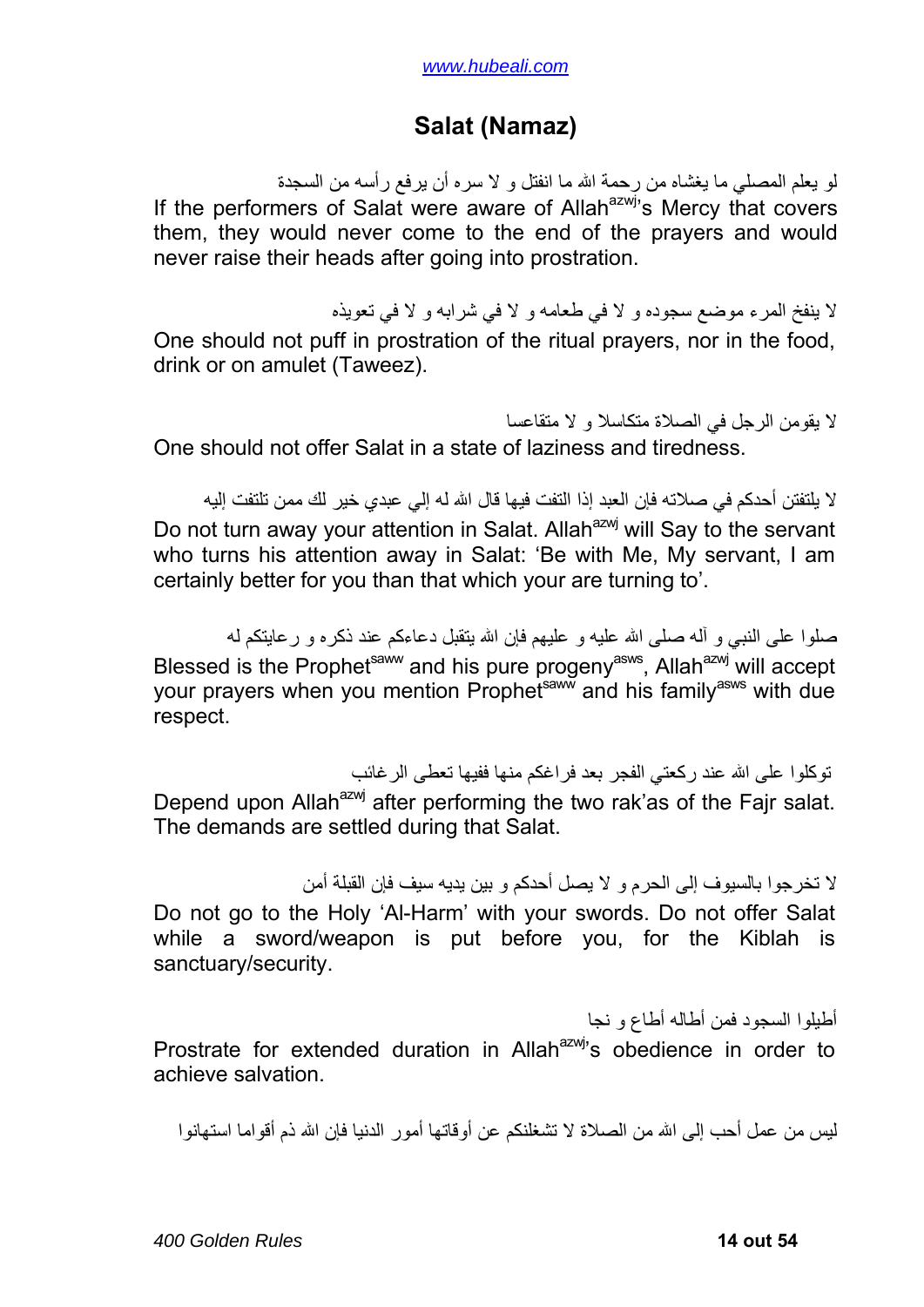### **Salat (Namaz)**

<span id="page-13-0"></span>لو يعلم المصلي ما يغشاه من رحمة االله ما انفتل و لا سره أن يرفع رأسه من السجدة If the performers of Salat were aware of Allah<sup>azwj</sup>'s Mercy that covers them, they would never come to the end of the prayers and would never raise their heads after going into prostration.

لا ينفخ المرء موضع سجوده و لا في طعامه و لا في شرابه و لا في تعويذه One should not puff in prostration of the ritual prayers, nor in the food, drink or on amulet (Taweez).

لا يقومن الرجل في الصلاة متكاسلا و لا متقاعسا One should not offer Salat in a state of laziness and tiredness.

لا يلتفتن أحدكم في صلاته فإن العبد إذا التفت فيها قال الله له إلي عبدي خير لك ممن تلتفت إليه Do not turn away your attention in Salat. Allah<sup>azwj</sup> will Say to the servant who turns his attention away in Salat: 'Be with Me, My servant, I am certainly better for you than that which your are turning to'.

صلوا على النبي و أله صلى الله عليه و عليهم فإن الله يتقبل دعاءكم عند ذكره و رعايتكم له Blessed is the Prophet<sup>saww</sup> and his pure progeny<sup>asws</sup>, Allah<sup>azwj</sup> will accept your prayers when you mention Prophet<sup>saww</sup> and his family<sup>asws</sup> with due respect.

توكلوا على الله عند ركعتي الفجر بعد فراغكم منها ففيها تعطى الر غائب Depend upon Allah<sup>azwj</sup> after performing the two rak'as of the Fajr salat. The demands are settled during that Salat.

لا تخرجوا بالسيوف إلى الحرم و لا يصل أحدآم و بين يديه سيف فإن القبلة أمن Do not go to the Holy 'Al-Harm' with your swords. Do not offer Salat while a sword/weapon is put before you, for the Kiblah is sanctuary/security.

أطيلوا السجود فمن أطاله أطاع و نجا Prostrate for extended duration in Allah $a^{2x}$ , obedience in order to achieve salvation.

ليس من عمل أحب إلى الله من الصلاة لا تشغلنكم عن أو قاتها أمور الدنيا فإن الله ذم أقواما استهانوا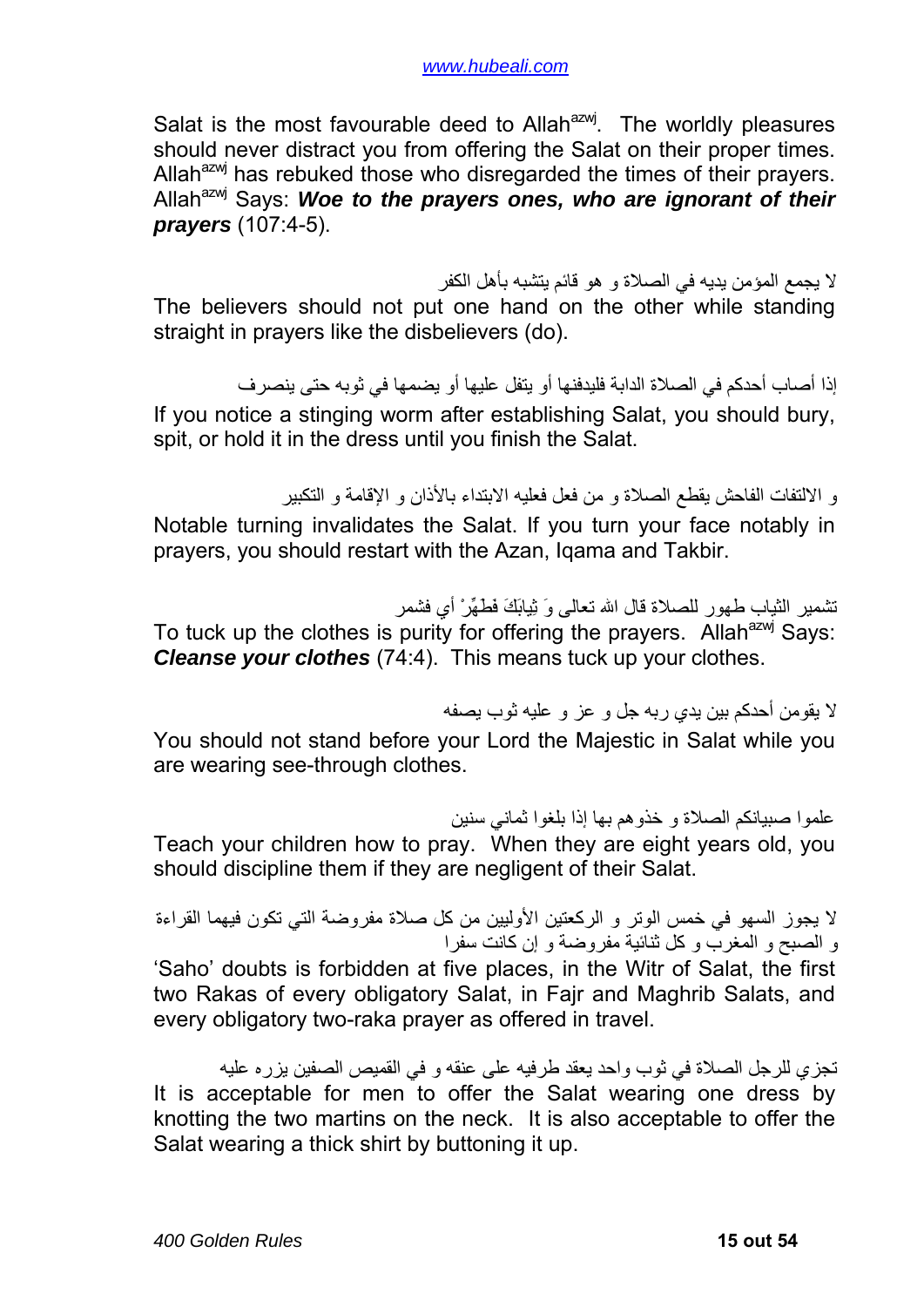Salat is the most favourable deed to Allah<sup>azwj</sup>. The worldly pleasures should never distract you from offering the Salat on their proper times. Allah<sup>azwj</sup> has rebuked those who disregarded the times of their prayers. Allah<sup>azwj</sup> Says: Woe to the prayers ones, who are ignorant of their *prayers* (107:4-5).

لا يجمع المؤمن يديه في الصلاة و هو قائم يتشبه بأهل الكفر The believers should not put one hand on the other while standing straight in prayers like the disbelievers (do).

إذا أصاب أحدكم في الصلاة الدابة فلبدفنها أو بنقل عليها أو يضمها في ثوبه حتى ينصر ف If you notice a stinging worm after establishing Salat, you should bury, spit, or hold it in the dress until you finish the Salat.

و الالتفات الفاحش يقطع الصلاة و من فعل فعليه الابتداء بالأذان و الإقامة و التكبير

Notable turning invalidates the Salat. If you turn your face notably in prayers, you should restart with the Azan, Iqama and Takbir.

تشمير الثياب طهور للصلاة قال االله تعالى وَ ثِيابَكَ فَطَهِّرْ أي فشمر

To tuck up the clothes is purity for offering the prayers. Allah<sup>azwj</sup> Says: *Cleanse your clothes* (74:4). This means tuck up your clothes.

لا يقومن أحدآم بين يدي ربه جل و عز و عليه ثوب يصفه

You should not stand before your Lord the Majestic in Salat while you are wearing see-through clothes.

علموا صبيانكم الصلاة و خذوهم بها إذا بلغوا ثماني سنين Teach your children how to pray. When they are eight years old, you should discipline them if they are negligent of their Salat.

لا يجوز السهو في خمس الوتر و الركعتين الأوليين من كل صلاة مفروضة التي تكون فيهما القراءة و الصبح و المغرب و كل ثنائية مفروضية و إن كانت سفر ا 'Saho' doubts is forbidden at five places, in the Witr of Salat, the first two Rakas of every obligatory Salat, in Fajr and Maghrib Salats, and every obligatory two-raka prayer as offered in travel.

تجزي للرجل الصلاة في ثوب واحد يعقد طرفيه على عنقه و في القميص الصفين يزره عليه It is acceptable for men to offer the Salat wearing one dress by knotting the two martins on the neck. It is also acceptable to offer the Salat wearing a thick shirt by buttoning it up.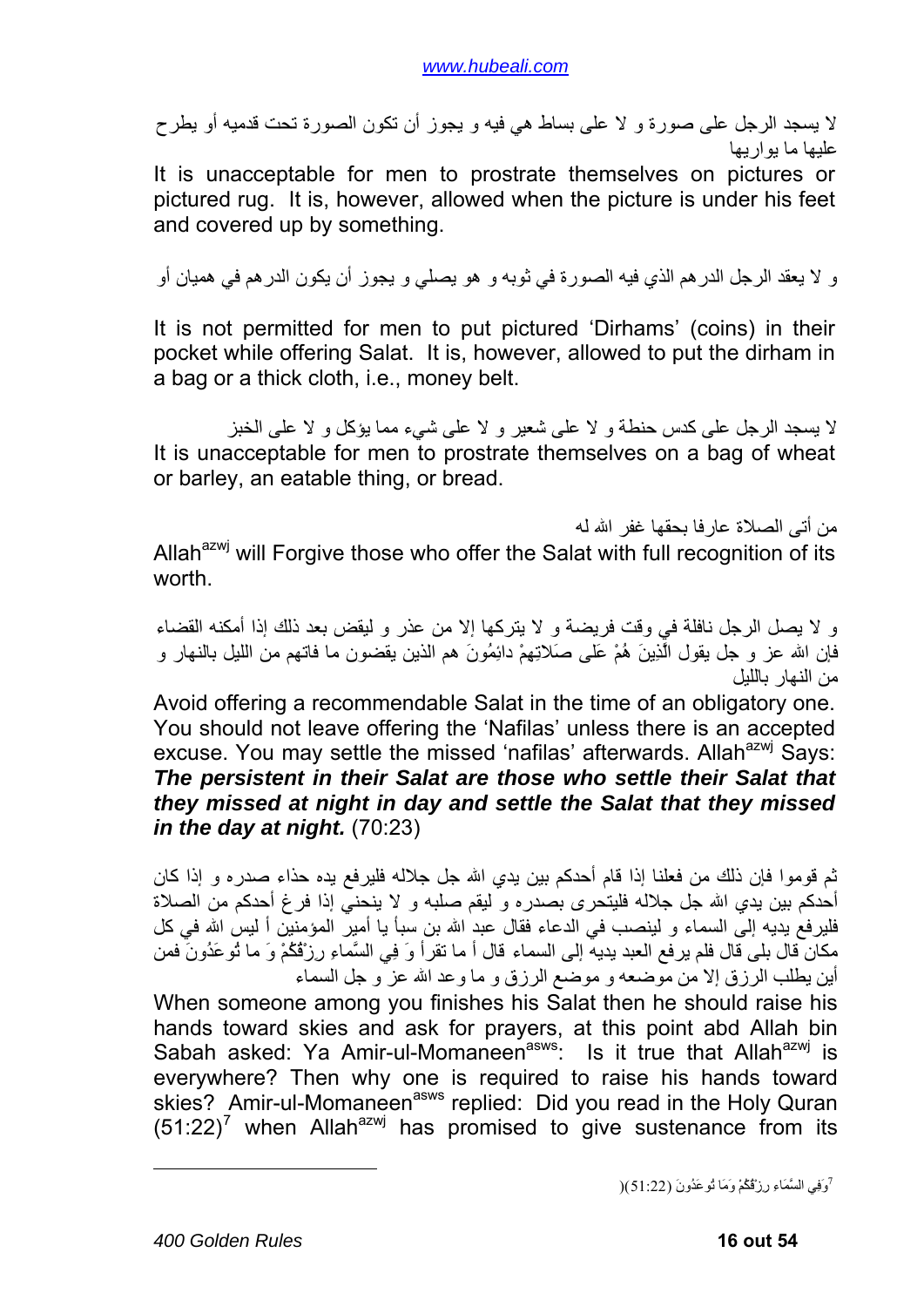لا يسجد الرجل على صورة و لا على بساط هي فيه و يجوز أن تكون الصورة تحت قدميه أو يطرح عليها ما يواريها

It is unacceptable for men to prostrate themselves on pictures or pictured rug. It is, however, allowed when the picture is under his feet and covered up by something.

و لا يعقد الرجل الدرهم الذي فيه الصورة في ثوبه و هو يصلي و يجوز أن يكون الدرهم في هميان أو

It is not permitted for men to put pictured 'Dirhams' (coins) in their pocket while offering Salat. It is, however, allowed to put the dirham in a bag or a thick cloth, i.e., money belt.

لا يسجد الرجل على كدس حنطة و لا على شعير و لا على شيء مما يؤكل و لا على الخبز It is unacceptable for men to prostrate themselves on a bag of wheat or barley, an eatable thing, or bread.

من أتى الصلاة عارفا بحقها غفر االله له Allah<sup>azwj</sup> will Forgive those who offer the Salat with full recognition of its worth.

و لا يصل الرجل نافلة في وقت فريضة و لا يتركها إلا من عذر و ليقض بعد ذلك إذا أمكنه القضاء فإن الله عز و جل يقول الَّذِينَ هُمْ عَلَى صَلاتِهِمْ دائِمُونَ هم الذين يقضون ما فاتهم من الليل بالنهار و من النهار بالليل

Avoid offering a recommendable Salat in the time of an obligatory one. You should not leave offering the 'Nafilas' unless there is an accepted excuse. You may settle the missed 'nafilas' afterwards. Allah<sup>azwj</sup> Says: *The persistent in their Salat are those who settle their Salat that they missed at night in day and settle the Salat that they missed in the day at night.* (70:23)

ثم قوموا فإن ذلك من فعلنا إذا قام أحدكم بين يدي الله جل جلاله فليرفع يده حذاء صدره و إذا كان أحدكم بين يدي الله جل جلاله فليتحرى بصدره و ليقم صلبه و لا ينحني إذا فرغ أحدكم من الصلاة فليرفع يديه إلى السماء و لينصب في الدعاء فقال عبد الله بن سبأ يا أمير المؤمنين أ ليس الله في كل مكان قال بلى قال فلم يرفع العبد يديه إلى السماء قال أ ما تقرأ وَ فِي السَّماءِ رِزْقُكُمْ وَ ما تُوعَدُونَ فمن أين يطلب الرزق إلا من موضعه و موضع الرزق و ما وعد االله عز و جل السماء

<span id="page-15-0"></span>When someone among you finishes his Salat then he should raise his hands toward skies and ask for prayers, at this point abd Allah bin Sabah asked: Ya Amir-ul-Momaneen<sup>asws</sup>: Is it true that Allah<sup>azwj</sup> is everywhere? Then why one is required to raise his hands toward skies? Amir-ul-Momaneen<sup>asws</sup> replied: Did you read in the Holy Quran  $(51:22)^7$  $(51:22)^7$  when Allah<sup>azwj</sup> has promised to give sustenance from its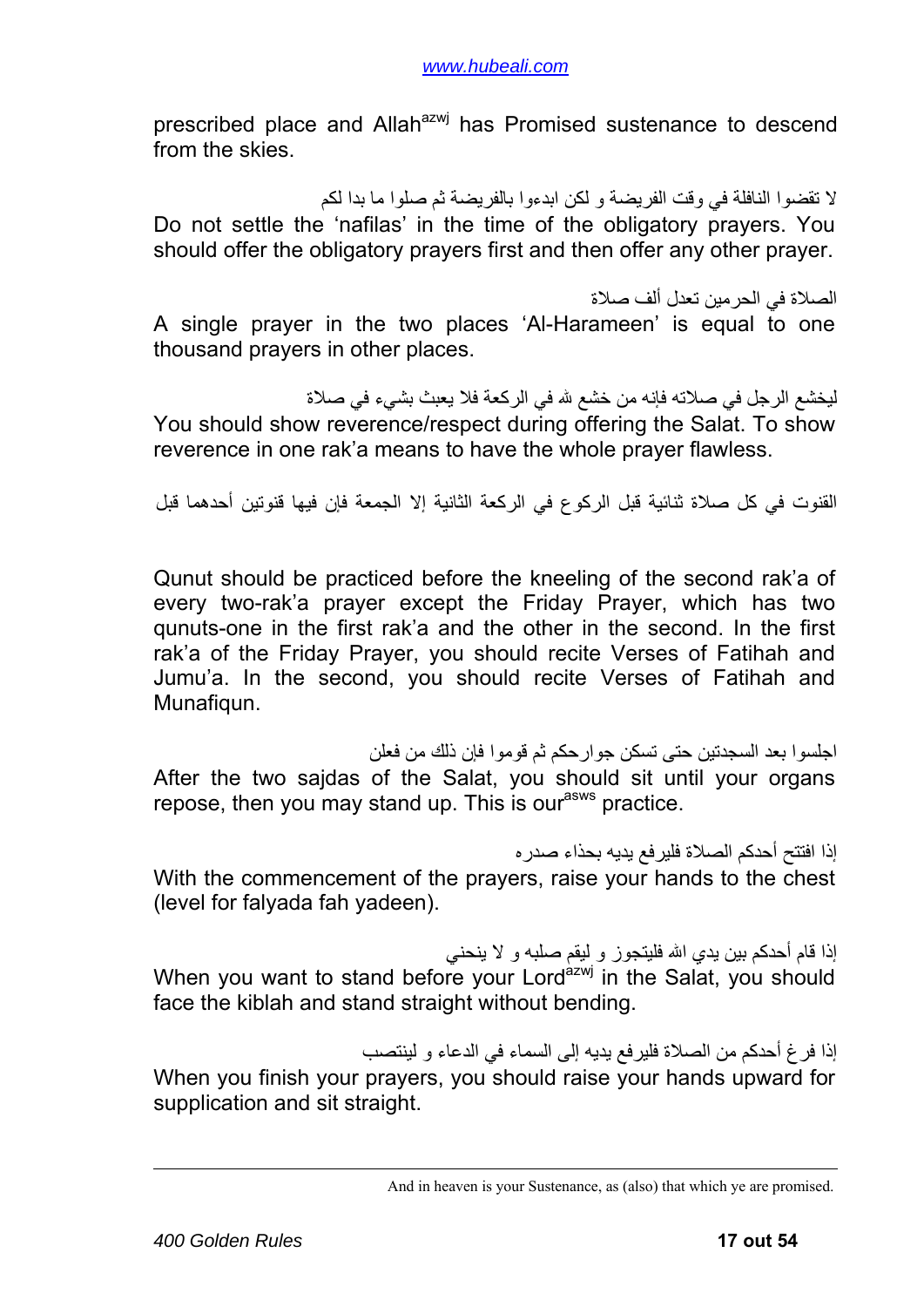prescribed place and Allah<sup>azwj</sup> has Promised sustenance to descend from the skies.

لا تقضوا النافلة في وقت الفريضة و لكن ابدءوا بالفريضة ثم صلوا ما بدا لكم Do not settle the 'nafilas' in the time of the obligatory prayers. You should offer the obligatory prayers first and then offer any other prayer.

الصلاة في الحرمين تعدل ألف صلاة

A single prayer in the two places 'Al-Harameen' is equal to one thousand prayers in other places.

ليخشع الرجل في صلاته فإنه من خشع لله في الركعة فلا يعبث بشيء في صلاة You should show reverence/respect during offering the Salat. To show reverence in one rak'a means to have the whole prayer flawless.

القنوت في كل صلاة ثنائية قبل الركوع في الركعة الثانية إلا الجمعة فإن فيها قنوتين أحدهما قبل

Qunut should be practiced before the kneeling of the second rak'a of every two-rak'a prayer except the Friday Prayer, which has two qunuts-one in the first rak'a and the other in the second. In the first rak'a of the Friday Prayer, you should recite Verses of Fatihah and Jumu'a. In the second, you should recite Verses of Fatihah and Munafiqun.

اجلسوا بعد السجدتين حتى تسكن جوارحكم ثم قوموا فإن ذلك من فعلن After the two sajdas of the Salat, you should sit until your organs repose, then you may stand up. This is our<sup>asws</sup> practice.

إذا افتتح أحدكم الصلاة فلير فع يديه بحذاء صدر ه With the commencement of the prayers, raise your hands to the chest (level for falyada fah yadeen).

إذا قام أحدكم بين يدي الله فليتجوز و ليقم صلبه و لا ينحني When you want to stand before your Lord<sup>azwj</sup> in the Salat, you should face the kiblah and stand straight without bending.

إذا فرغ أحدكم من الصلاة فليرفع يديه إلى السماء في الدعاء و لينتصب When you finish your prayers, you should raise your hands upward for supplication and sit straight.

And in heaven is your Sustenance, as (also) that which ye are promised.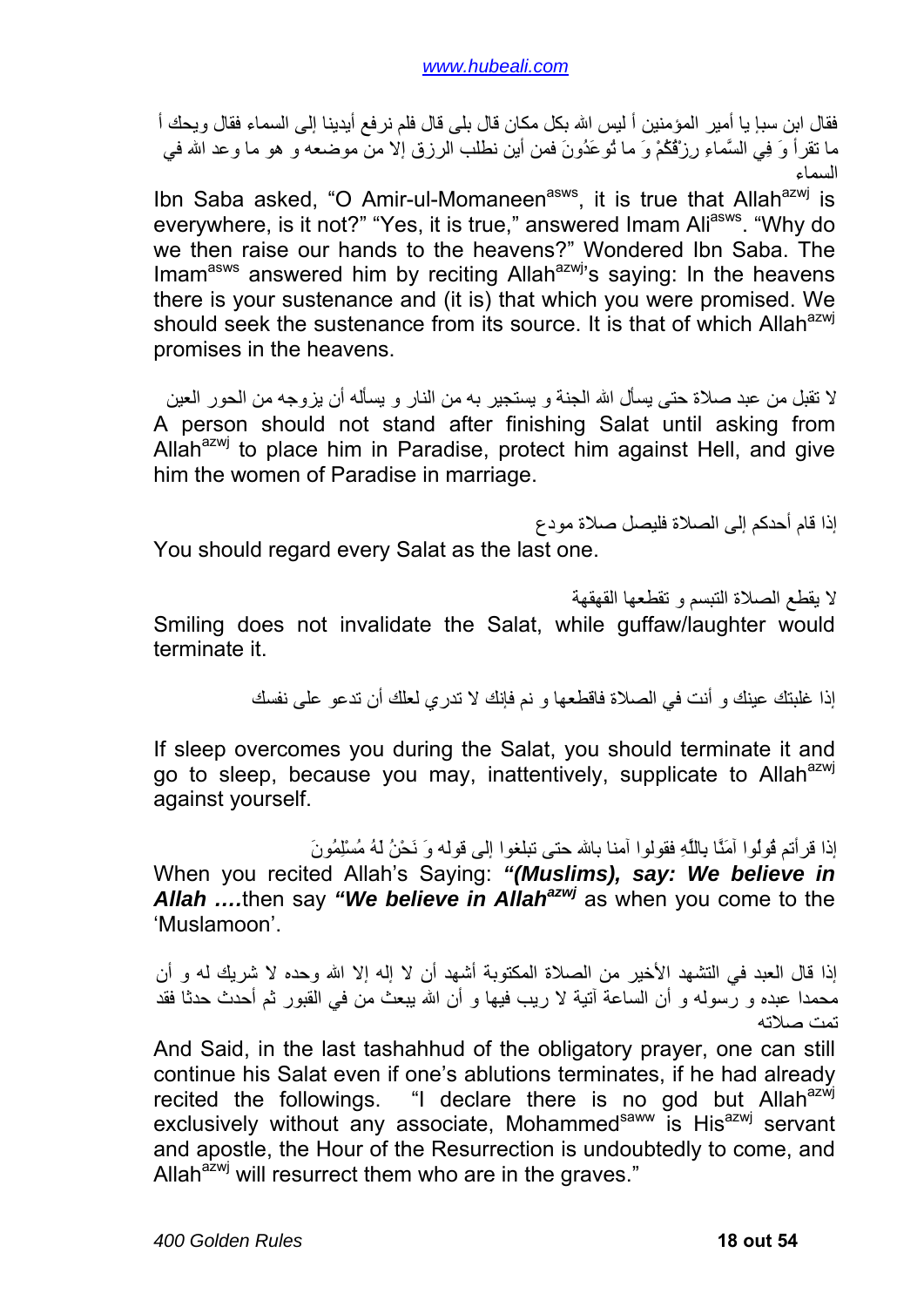فقال ابن سبإ يا أمير المؤمنين أ ليس االله بكل مكان قال بلى قال فلم نرفع أيدينا إلى السماء فقال ويحك أ ما تقرأ وَ فِي السَّماءِ رِزْقُكُمْ وَ ما تُوعَدُونَ فمن أين نطلب الرزق إلا من موضعه و هو ما وعد االله في السماء

Ibn Saba asked, "O Amir-ul-Momaneen<sup>asws</sup>, it is true that Allah<sup>azwj</sup> is everywhere, is it not?" "Yes, it is true," answered Imam Ali<sup>asws</sup>. "Why do we then raise our hands to the heavens?" Wondered Ibn Saba. The Imam<sup>asws</sup> answered him by reciting Allah<sup>azwj</sup>'s saying: In the heavens there is your sustenance and (it is) that which you were promised. We should seek the sustenance from its source. It is that of which Allah<sup>azwj</sup> promises in the heavens.

لا تقبل من عبد صلاة حتى يسأل االله الجنة و يستجير به من النار و يسأله أن يزوجه من الحور العين A person should not stand after finishing Salat until asking from Allah<sup>azwj</sup> to place him in Paradise, protect him against Hell, and give him the women of Paradise in marriage.

إذا قام أحدكم إلى الصلاة فليصل صلاة مودع You should regard every Salat as the last one.

لا يقطع الصلاة التبسم و تقطعها القهقهة Smiling does not invalidate the Salat, while guffaw/laughter would terminate it.

إذا غلبتك عينك و أنت في الصلاة فاقطعها و نم فإنك لا تدري لعلك أن تدعو على نفسك

If sleep overcomes you during the Salat, you should terminate it and go to sleep, because you may, inattentively, supplicate to Allah<sup>azwj</sup> against yourself.

إذا قرأتم قُولُوا آمَنَّا بِاللَّهِ فقولوا آمنا باالله حتى تبلغوا إلى قوله وَ نَحْنُ لَهُ مُسْلِمُونَ

When you recited Allah's Saying: *"(Muslims), say: We believe in*  Allah ...then say "We believe in Allah<sup>azwj</sup> as when you come to the 'Muslamoon'.

إذا قال العبد في التشهد الأخير من الصلاة المكتوبة أشهد أن لا إله إلا االله وحده لا شريك له و أن محمدا عبده و رسوله و أن الساعة آتية لا ريب فيها و أن االله يبعث من في القبور ثم أحدث حدثا فقد تمت صلاته

And Said, in the last tashahhud of the obligatory prayer, one can still continue his Salat even if one's ablutions terminates, if he had already recited the followings. "I declare there is no god but Allah $a$ zwi exclusively without any associate, Mohammed<sup>saww</sup> is His<sup>azwj</sup> servant and apostle, the Hour of the Resurrection is undoubtedly to come, and Allah $a^{2xy}$  will resurrect them who are in the graves."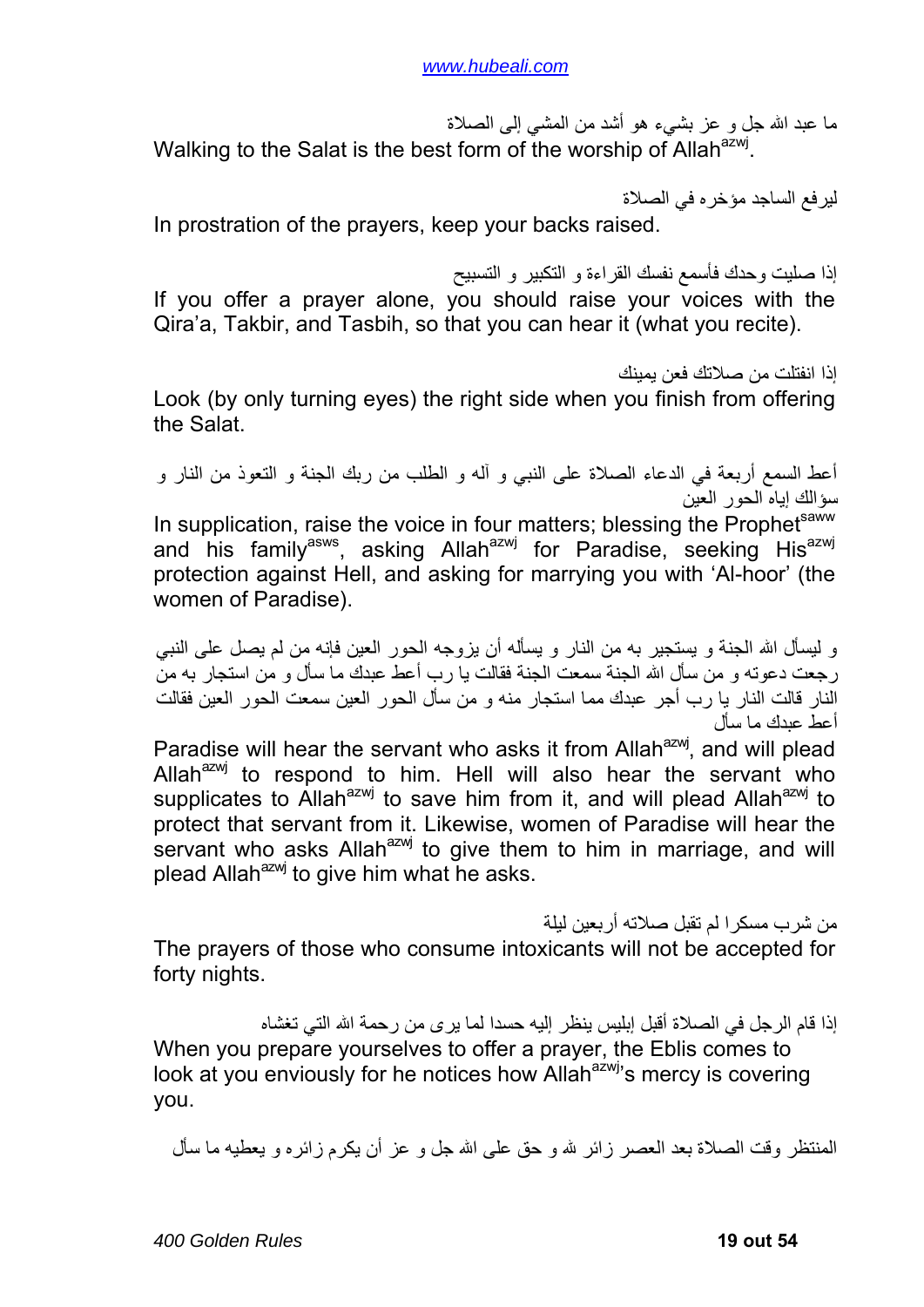ما عبد االله جل و عز بشيء هو أشد من المشي إلى الصلاة Walking to the Salat is the best form of the worship of Allah<sup>azwj</sup>.

ليرفع الساجد مؤخره في الصلاة In prostration of the prayers, keep your backs raised.

إذا صليت وحدك فأسمع نفسك القراءة و التكبير و التسبيح If you offer a prayer alone, you should raise your voices with the Qira'a, Takbir, and Tasbih, so that you can hear it (what you recite).

إذا انفتلت من صلاتك فعن يمينك

Look (by only turning eyes) the right side when you finish from offering the Salat.

أعط السمع أربعة في الدعاء الصلاة على النبي و آله و الطلب من ربك الجنة و التعوذ من النار و سؤالك إياه الحور العين

In supplication, raise the voice in four matters; blessing the Prophetsaww and his family<sup>asws</sup>, asking Allah<sup>azwj</sup> for Paradise, seeking His<sup>azwj</sup> protection against Hell, and asking for marrying you with 'Al-hoor' (the women of Paradise).

و ليسأل االله الجنة و يستجير به من النار و يسأله أن يزوجه الحور العين فإنه من لم يصل على النبي ر جعت دعوته و من سأل الله الجنة سمعت الجنة فقالت يا رب أعط عبدك ما سأل و من استجار به من النار قالت النار يا رب أجر عبدك مما استجار منه و من سأل الحور العين سمعت الحور العين فقالت أعط عبدك ما سأل

Paradise will hear the servant who asks it from Allah<sup>azwj</sup>, and will plead Allah $a^{2}$  to respond to him. Hell will also hear the servant who supplicates to Allah<sup>azwj</sup> to save him from it, and will plead Allah<sup>azwj</sup> to protect that servant from it. Likewise, women of Paradise will hear the servant who asks Allah $a$ <sub>2 $M$ j</sub> to give them to him in marriage, and will plead Allah $^{axmj}$  to give him what he asks.

من شرب مسكرا لم تقبل صلاته أربعين ليلة

The prayers of those who consume intoxicants will not be accepted for forty nights.

إذا قام الرجل في الصلاة أقبل إبليس ينظر إليه حسدا لما يرى من رحمة االله التي تغشاه When you prepare yourselves to offer a prayer, the Eblis comes to look at you enviously for he notices how Allah<sup>azwj</sup>'s mercy is covering you.

المنتظر وقت الصلاة بعد العصر زائر الله و حق على االله جل و عز أن يكرم زائره و يعطيه ما سأل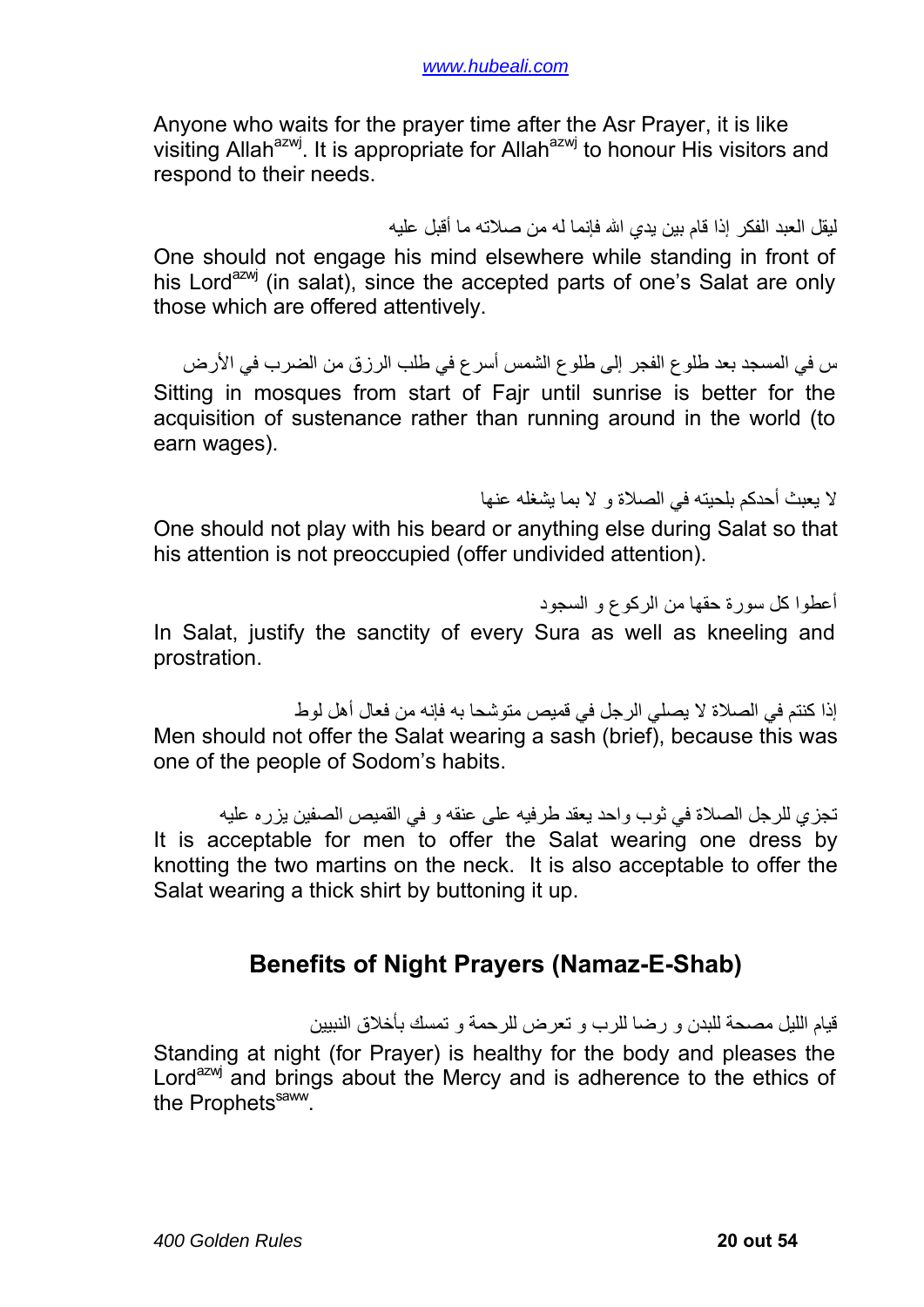<span id="page-19-0"></span>Anyone who waits for the prayer time after the Asr Prayer, it is like visiting Allah<sup>azwj</sup>. It is appropriate for Allah<sup>azwj</sup> to honour His visitors and respond to their needs.

#### ليقل العبد الفكر إذا قام بين يدي االله فإنما له من صلاته ما أقبل عليه

One should not engage his mind elsewhere while standing in front of his Lord<sup>azwj</sup> (in salat), since the accepted parts of one's Salat are only those which are offered attentively.

س في المسجد بعد طلوع الفجر إلى طلوع الشمس أسرع في طلب الرزق من الضرب في الأرض Sitting in mosques from start of Fajr until sunrise is better for the acquisition of sustenance rather than running around in the world (to earn wages).

لا يعبث أحدآم بلحيته في الصلاة و لا بما يشغله عنها

One should not play with his beard or anything else during Salat so that his attention is not preoccupied (offer undivided attention).

أعطوا كل سورة حقها من الركوع و السجود In Salat, justify the sanctity of every Sura as well as kneeling and prostration.

إذا كنتم في الصلاة لا يصلي الرجل في قميص متوشحا به فإنه من فعال أهل لوط Men should not offer the Salat wearing a sash (brief), because this was one of the people of Sodom's habits.

تجزي للرجل الصلاة في ثوب واحد يعقد طرفيه على عنقه و في القميص الصفين يزره عليه It is acceptable for men to offer the Salat wearing one dress by knotting the two martins on the neck. It is also acceptable to offer the Salat wearing a thick shirt by buttoning it up.

## **Benefits of Night Prayers (Namaz-E-Shab)**

قيام الليل مصحة للبدن و رضا للرب و تعرض للرحمة و تمسك بأخلاق النبيين Standing at night (for Prayer) is healthy for the body and pleases the Lord<sup>azw</sup> and brings about the Mercy and is adherence to the ethics of the Prophets<sup>saww</sup>.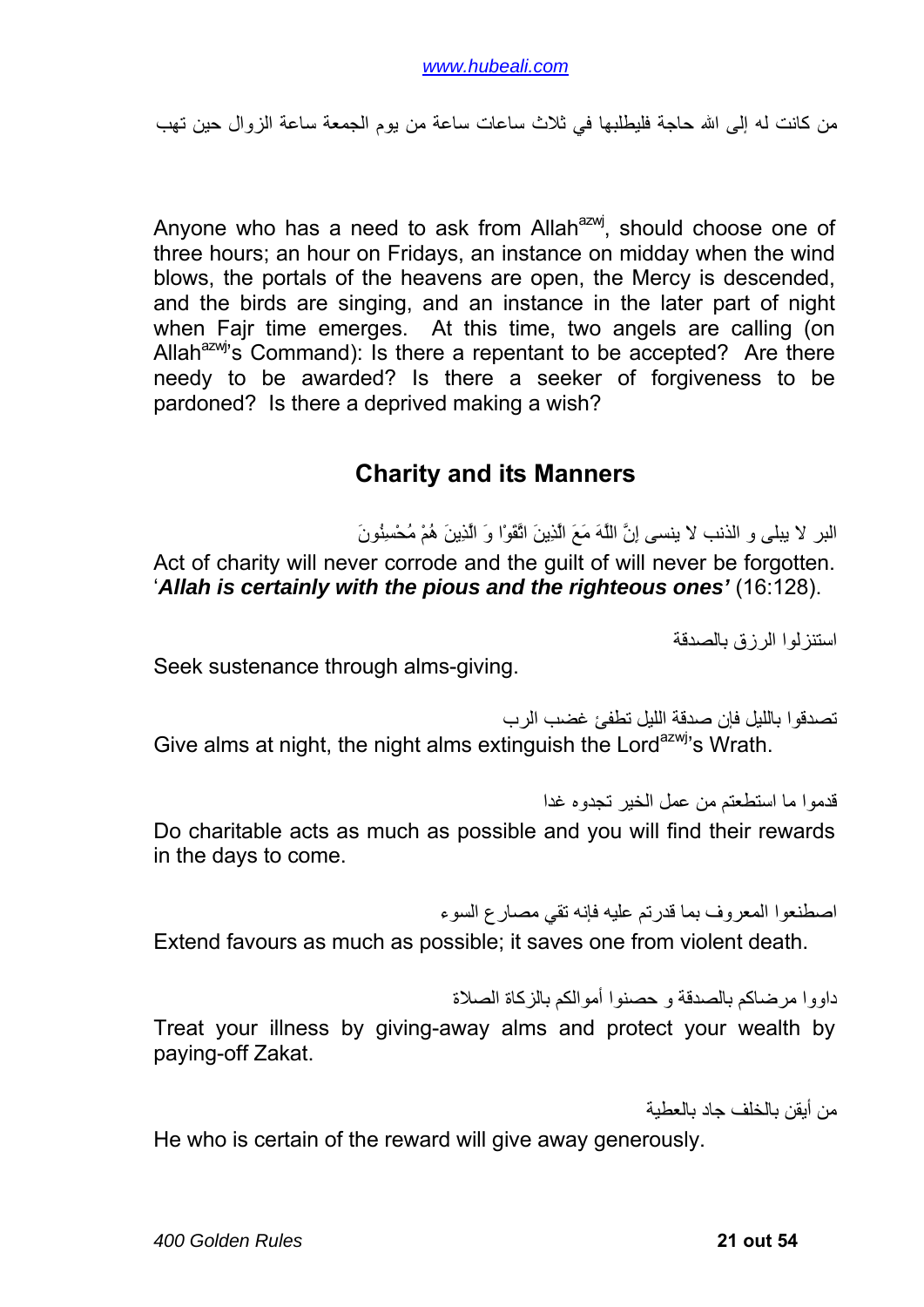<span id="page-20-0"></span>من كانت له إلى الله حاجة فليطلبها في ثلاث ساعات ساعة من يوم الجمعة ساعة الزوال حين تهب

Anyone who has a need to ask from Allah<sup>azwj</sup>, should choose one of three hours; an hour on Fridays, an instance on midday when the wind blows, the portals of the heavens are open, the Mercy is descended, and the birds are singing, and an instance in the later part of night when Fajr time emerges. At this time, two angels are calling (on Allah $^{a}$ zwj's Command): Is there a repentant to be accepted? Are there needy to be awarded? Is there a seeker of forgiveness to be pardoned? Is there a deprived making a wish?

#### **Charity and its Manners**

البر لا يبلى و الذنب لا ينسى إِنَّ اللَّهَ مَعَ الَّذِينَ اتَّقَوْا وَ الَّذِينَ هُمْ مُحْسِنُونَ Act of charity will never corrode and the guilt of will never be forgotten. '*Allah is certainly with the pious and the righteous ones'* (16:128).

استنزلوا الرزق بالصدقة

Seek sustenance through alms-giving.

تصدقوا بالليل فإن صدقة الليل تطفئ غضب الرب Give alms at night, the night alms extinguish the Lord<sup>azwj</sup>'s Wrath.

قدموا ما استطعتم من عمل الخير تجدوه غدا Do charitable acts as much as possible and you will find their rewards in the days to come.

اصطنعوا المعروف بما قدرتم عليه فإنه تقي مصارع السوء

Extend favours as much as possible; it saves one from violent death.

داووا مرضاكم بالصدقة و حصنوا أموالكم بالزكاة الصلاة

Treat your illness by giving-away alms and protect your wealth by paying-off Zakat.

من أيقن بالخلف جاد بالعطية

He who is certain of the reward will give away generously.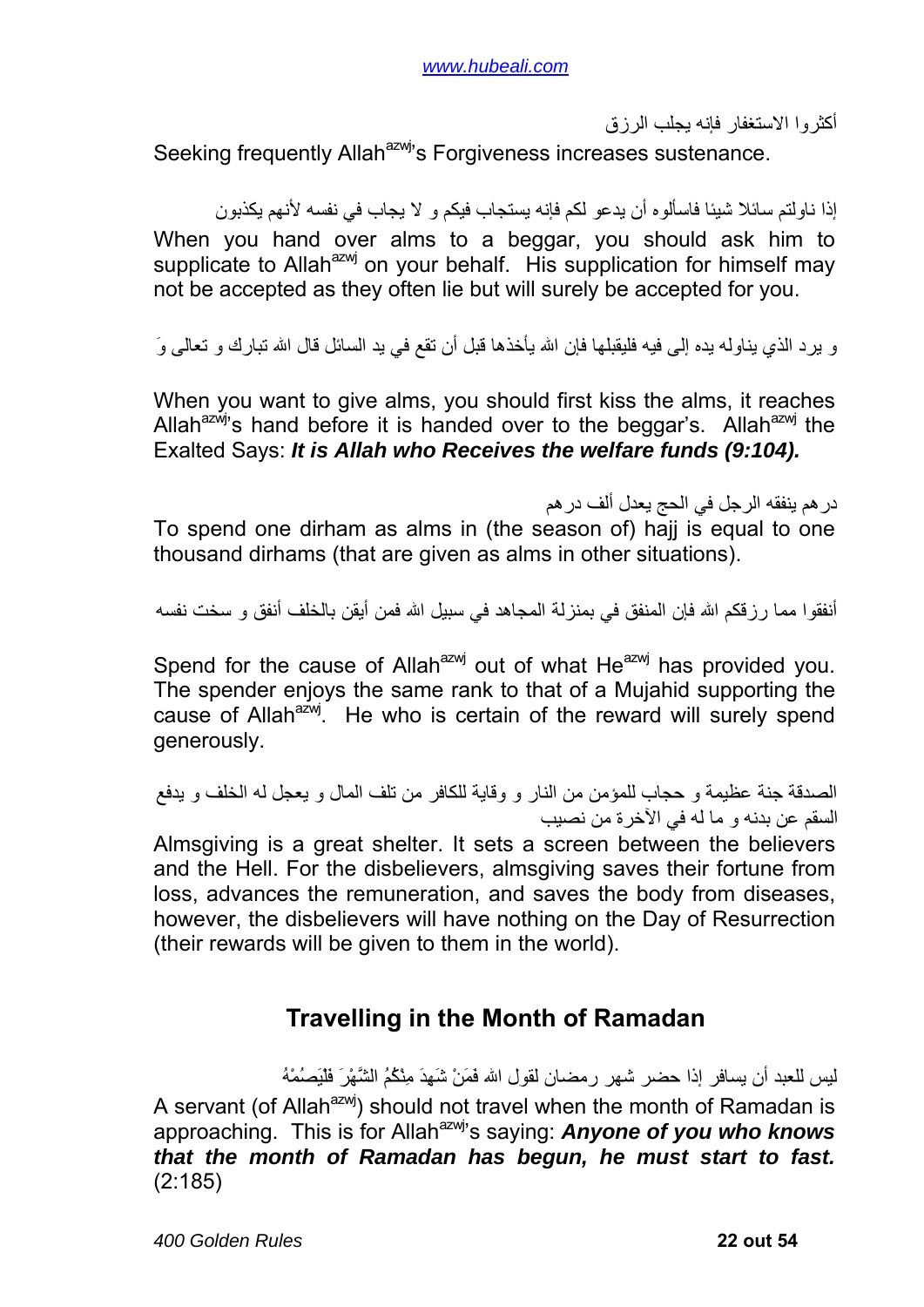أآثروا الاستغفار فإنه يجلب الرزق

<span id="page-21-0"></span>Seeking frequently Allah<sup>azwj</sup>'s Forgiveness increases sustenance.

إذا ناولتم سائلا شيئا فاسألوه أن يدعو لكم فإنه يستجاب فيكم و لا يجاب في نفسه لأنهم يكذبون When you hand over alms to a beggar, you should ask him to supplicate to Allah<sup>azwj</sup> on your behalf. His supplication for himself may not be accepted as they often lie but will surely be accepted for you.

و ير د الذي يناوله يده إلى فيه فليقبلها فإن الله يأخذها قبل أن تقع في يد السائل قال الله تبار ك و تعالى وَ

When you want to give alms, you should first kiss the alms, it reaches Allah<sup>azwj</sup>'s hand before it is handed over to the beggar's. Allah<sup>azwj</sup> the Exalted Says: *It is Allah who Receives the welfare funds (9:104).*

درهم ينفقه الرجل في الحج يعدل ألف درهم To spend one dirham as alms in (the season of) hajj is equal to one thousand dirhams (that are given as alms in other situations).

أنفقوا مما رز قكم الله فإن المنفق في بمنزلة المجاهد في سبيل الله فمن أيقن بالخلف أنفق و سخت نفسه

Spend for the cause of Allah<sup>azwj</sup> out of what He<sup>azwj</sup> has provided you. The spender enjoys the same rank to that of a Mujahid supporting the cause of Allah<sup>azwj</sup>. He who is certain of the reward will surely spend generously.

```
الصدقة جنة عظيمة و حجاب للمؤمن من النار و وقاية للكافر من تلف المال و يعجل له الخلف و يدفع
                                      السقم عن بدنه و ما له في الآخرة من نصيب
```
Almsgiving is a great shelter. It sets a screen between the believers and the Hell. For the disbelievers, almsgiving saves their fortune from loss, advances the remuneration, and saves the body from diseases, however, the disbelievers will have nothing on the Day of Resurrection (their rewards will be given to them in the world).

### **Travelling in the Month of Ramadan**

ليس للعبد أن يسافر إذا حضر شهر رمضان لقول االله فَمَنْ شَهِدَ مِنْكُمُ الشَّهْرَ فَلْيَصُمْهُ A servant (of Allah<sup>azwj</sup>) should not travel when the month of Ramadan is approaching. This is for Allah<sup>azwj</sup>'s saying: **Anyone of you who knows** *that the month of Ramadan has begun, he must start to fast.*  (2:185)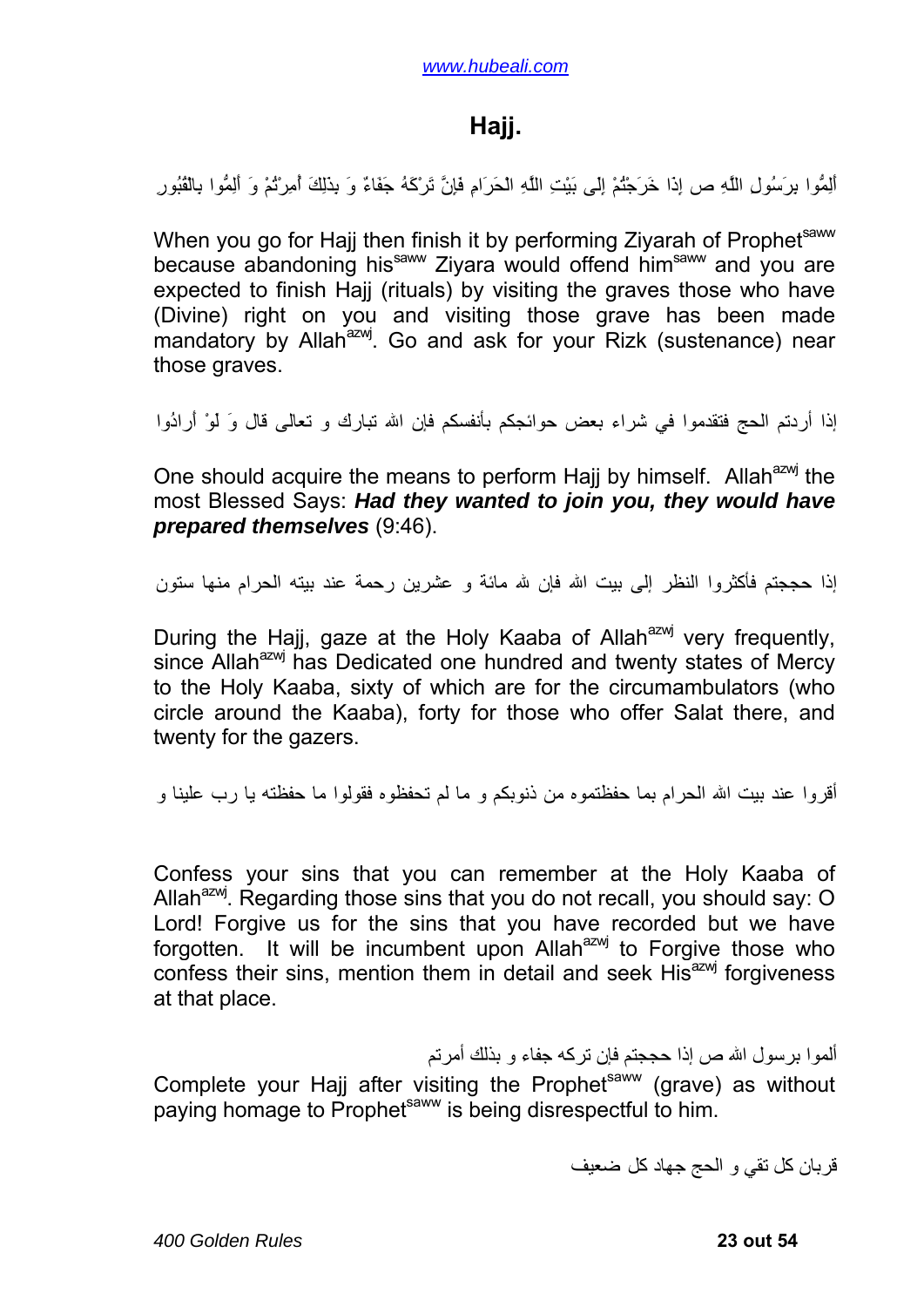### **Hajj.**

<span id="page-22-0"></span>أَلِمُّوا بِرَسُولِ اللَّهِ ص إِذَا خَرَجْتُمْ إِلَى بَيْتِ اللَّهِ الْحَرَامِ فَإِنَّ تَرْآَهُ جَفَاءٌ وَ بِذَلِكَ أُمِرْتُمْ وَ أَلِمُّوا بِالْقُبُورِ

When you go for Hajj then finish it by performing Ziyarah of Prophetsaww because abandoning his<sup>saww</sup> Zivara would offend him<sup>saww</sup> and you are expected to finish Hajj (rituals) by visiting the graves those who have (Divine) right on you and visiting those grave has been made mandatory by Allah<sup>azwj</sup>. Go and ask for your Rizk (sustenance) near those graves.

إذا أردتم الحج فتقدموا في شراء بعض حوائجكم بأنفسكم فإن االله تبارك و تعالى قال وَ لَوْ أَرادُوا

One should acquire the means to perform Hajj by himself. Allah<sup>azwj</sup> the most Blessed Says: *Had they wanted to join you, they would have prepared themselves* (9:46).

إذا حججتم فأكثروا النظر إلى بيت الله فإن لله مائة و عشرين رحمة عند بيته الحرام منها ستون

During the Hajj, gaze at the Holy Kaaba of Allah<sup>azwj</sup> very frequently, since Allah<sup>azwj</sup> has Dedicated one hundred and twenty states of Mercy to the Holy Kaaba, sixty of which are for the circumambulators (who circle around the Kaaba), forty for those who offer Salat there, and twenty for the gazers.

أقروا عند بيت الله الحرام بما حفظتموه من ذنوبكم و ما لم تحفظوه فقولوا ما حفظته يا رب علينا و

Confess your sins that you can remember at the Holy Kaaba of Allah $^{azw}$ . Regarding those sins that you do not recall, you should say: O Lord! Forgive us for the sins that you have recorded but we have forgotten. It will be incumbent upon Allah $^{axmj}$  to Forgive those who confess their sins, mention them in detail and seek His<sup>azwj</sup> forgiveness at that place.

ألموا برسول الله ص إذا حججتم فإن تركه جفاء و بذلك أمرتم

Complete your Hajj after visiting the Prophet<sup>saww</sup> (grave) as without paying homage to Prophet<sup>saww</sup> is being disrespectful to him.

قربان كل تقى و الحج جهاد كل ضعيف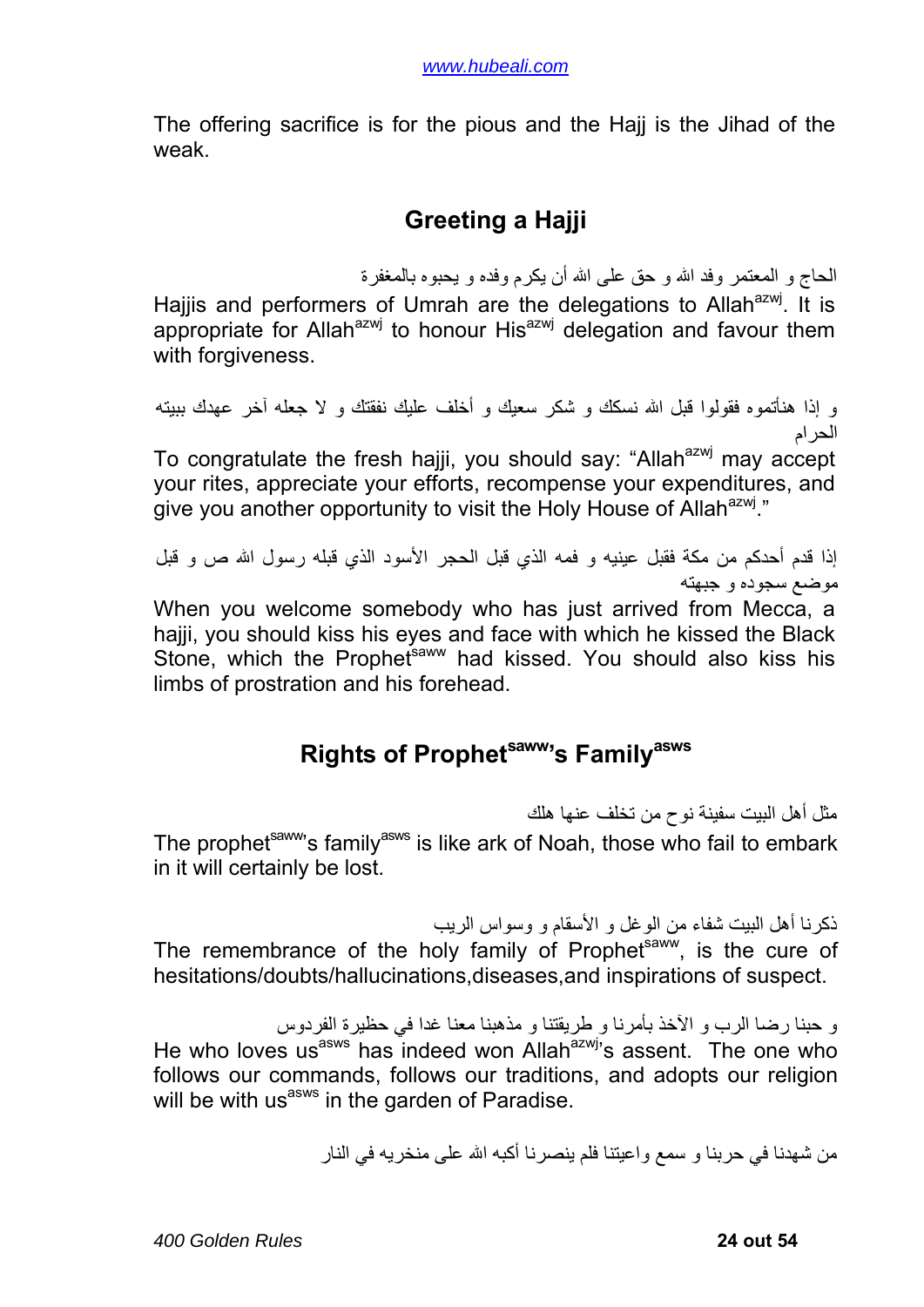<span id="page-23-0"></span>The offering sacrifice is for the pious and the Hajj is the Jihad of the weak.

# **Greeting a Hajji**

الحاج و المعتمر وفد االله و حق على االله أن يكرم وفده و يحبوه بالمغفرة

Hajjis and performers of Umrah are the delegations to Allah<sup>azwj</sup>. It is appropriate for Allah<sup>azwj</sup> to honour His<sup>azwj</sup> delegation and favour them with forgiveness.

و إذا هنأتموه فقولوا قبل االله نسكك و شكر سعيك و أخلف عليك نفقتك و لا جعله آخر عهدك ببيته الحرام

To congratulate the fresh hajji, you should say: "Allah<sup>azwj</sup> may accept your rites, appreciate your efforts, recompense your expenditures, and give you another opportunity to visit the Holy House of Allah<sup>azwj</sup>."

إذا قدم أحدكم من مكة فقبل عينيه و فمه الذي قبل الحجر الأسود الذي قبله رسول الله ص و قبل موضع سجوده و جبهته

When you welcome somebody who has just arrived from Mecca, a hajji, you should kiss his eyes and face with which he kissed the Black Stone, which the Prophet<sup>saww</sup> had kissed. You should also kiss his limbs of prostration and his forehead.

# **Rights of Prophetsaww's Familyasws**

مثل أهل البيت سفينة نوح من تخلف عنها هلك

The prophet<sup>saww</sup>'s family<sup>asws</sup> is like ark of Noah, those who fail to embark in it will certainly be lost.

ذآرنا أهل البيت شفاء من الوغل و الأسقام و وسواس الريب The remembrance of the holy family of Prophet<sup>saww</sup>, is the cure of hesitations/doubts/hallucinations,diseases,and inspirations of suspect.

و حبنا رضا الرب و الآخذ بأمرنا و طريقتنا و مذهبنا معنا غدا في حظيرة الفردوس He who loves us<sup>asws</sup> has indeed won Allah<sup>azwj</sup>'s assent. The one who follows our commands, follows our traditions, and adopts our religion will be with us<sup>asws</sup> in the garden of Paradise.

من شهدنا في حربنا و سمع واعيتنا فلم ينصر نا أكبه الله على منخريه في النار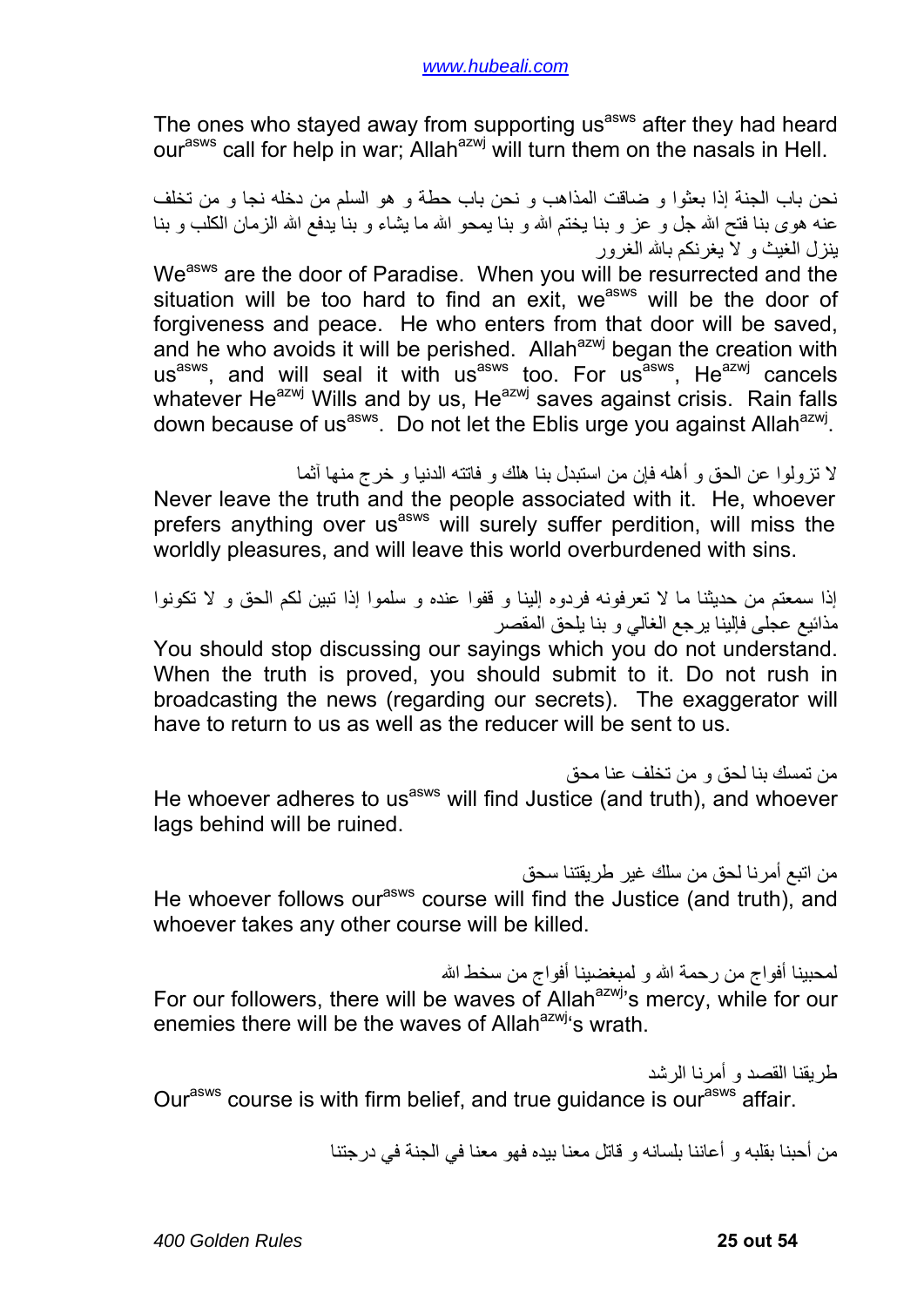The ones who stayed away from supporting us<sup>asws</sup> after they had heard our<sup>asws</sup> call for help in war; Allah<sup>azwj</sup> will turn them on the nasals in Hell.

نحن باب الجنة إذا بعثوا و ضاقت المذاهب و نحن باب حطة و هو السلم من دخله نجا و من تخلف عنه هوى بنا فتح الله جل و عز و بنا يختم الله و بنا يمحو الله ما يشاء و بنا يدفع الله الزمان الكلب و بنا ينزل الغيث و لا يغرنكم باالله الغرور

We<sup>asws</sup> are the door of Paradise. When you will be resurrected and the situation will be too hard to find an exit, we<sup>asws</sup> will be the door of forgiveness and peace. He who enters from that door will be saved, and he who avoids it will be perished. Allah<sup>azwj</sup> began the creation with us<sup>asws</sup>, and will seal it with us<sup>asws</sup> too. For us<sup>asws</sup>, He<sup>azwj</sup> cancels whatever He<sup>azwj</sup> Wills and by us, He<sup>azwj</sup> saves against crisis. Rain falls down because of us<sup>asws</sup>. Do not let the Eblis urge you against Allah<sup>azwj</sup>.

لا تزولوا عن الحق و أهله فإن من استبدل بنا هلك و فاتته الدنيا و خرج منها آثما

Never leave the truth and the people associated with it. He, whoever prefers anything over us<sup>asws</sup> will surely suffer perdition, will miss the worldly pleasures, and will leave this world overburdened with sins.

إذا سمعتم من حديثنا ما لا تعرفونه فردوه إلينا و قفوا عنده و سلموا إذا تبين لكم الحق و لا تكونوا مذائيع عجلى فإلينا يرجع الغالي و بنا يلحق المقصر

You should stop discussing our sayings which you do not understand. When the truth is proved, you should submit to it. Do not rush in broadcasting the news (regarding our secrets). The exaggerator will have to return to us as well as the reducer will be sent to us.

من تمسك بنا لحق و من تخلف عنا محق He whoever adheres to us<sup>asws</sup> will find Justice (and truth), and whoever lags behind will be ruined.

من اتبع أمرنا لحق من سلك غير طريقتنا سحق He whoever follows our<sup>asws</sup> course will find the Justice (and truth), and whoever takes any other course will be killed.

لمحبينا أفواج من رحمة االله و لمبغضينا أفواج من سخط االله For our followers, there will be waves of Allah $a^{2}$ <sub>s</sub> mercy, while for our enemies there will be the waves of Allah<sup>azwj</sup>'s wrath.

طريقنا القصد و أمرنا الرشد

Our<sup>asws</sup> course is with firm belief, and true guidance is our<sup>asws</sup> affair.

من أحبنا بقلبه و أعاننا بلسانه و قاتل معنا بيده فهو معنا في الجنة في درجتنا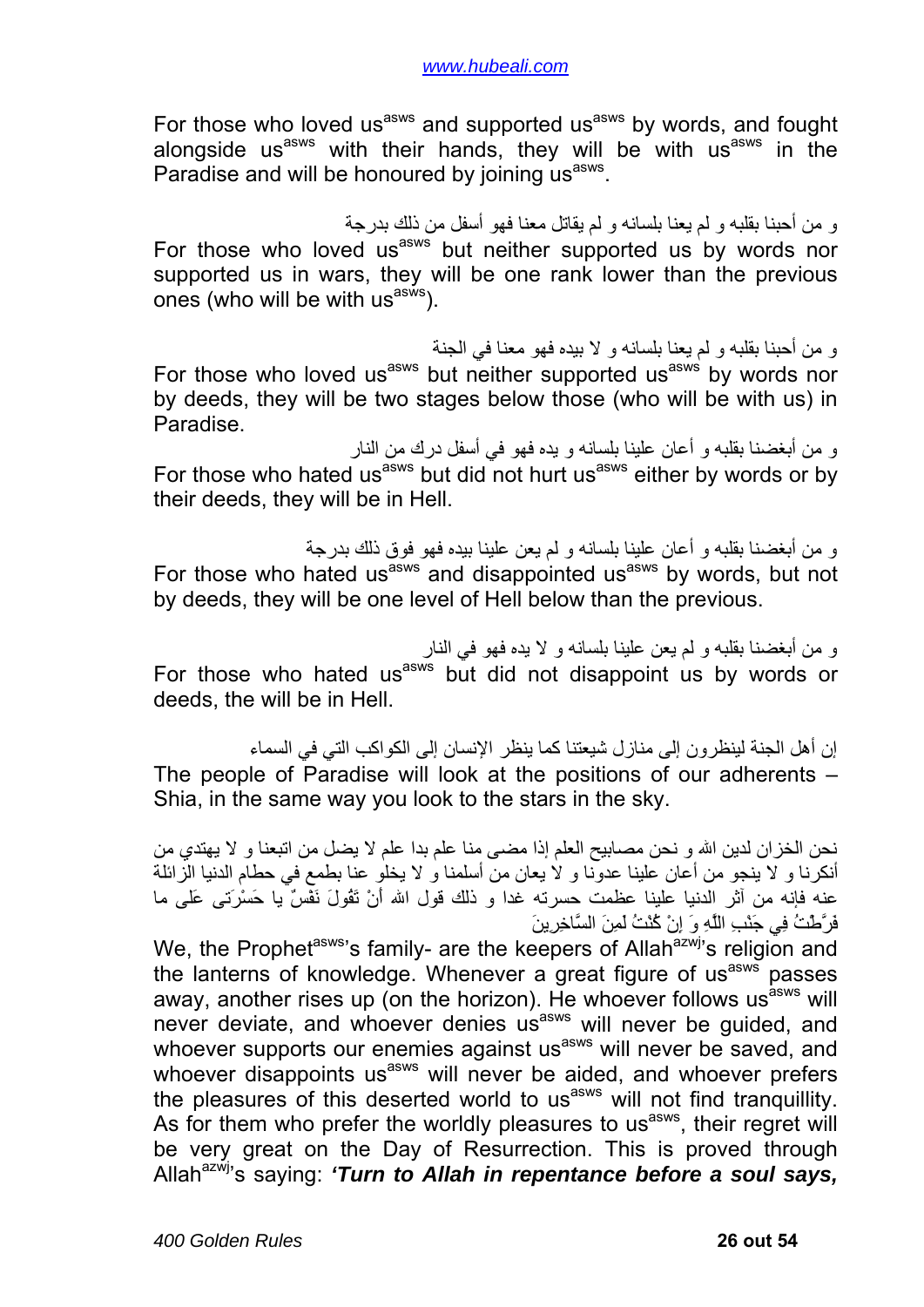For those who loved us<sup>asws</sup> and supported us<sup>asws</sup> by words, and fought alongside us<sup>asws</sup> with their hands, they will be with us<sup>asws</sup> in the Paradise and will be honoured by joining us<sup>asws</sup>.

و من أحبنا بقلبه و لم يعنا بلسانه و لم يقاتل معنا فهو أسفل من ذلك بدرجة For those who loved us<sup>asws</sup> but neither supported us by words nor supported us in wars, they will be one rank lower than the previous ones (who will be with  $\text{us}^{\text{asw}}$ ).

و من أحبنا بقلبه و لم يعنا بلسانه و لا بيده فهو معنا في الجنة For those who loved us<sup>asws</sup> but neither supported us<sup>asws</sup> by words nor by deeds, they will be two stages below those (who will be with us) in Paradise.

و من أبغضنا بقلبه و أعان علينا بلسانه و يده فهو في أسفل درك من النار For those who hated us<sup>asws</sup> but did not hurt us<sup>asws</sup> either by words or by their deeds, they will be in Hell.

و من أبغضنا بقلبه و أعان علينا بلسانه و لم يعن علينا بيده فهو فوق ذلك بدرجة For those who hated us<sup>asws</sup> and disappointed us<sup>asws</sup> by words, but not by deeds, they will be one level of Hell below than the previous.

و من أبغضنا بقلبه و لم يعن علينا بلسانه و لا يده فهو في النار For those who hated us<sup>asws</sup> but did not disappoint us by words or deeds, the will be in Hell.

إن أهل الجنة لينظرون إلى منازل شيعتنا كما ينظر الإنسان إلى الكواكب التي في السماء The people of Paradise will look at the positions of our adherents – Shia, in the same way you look to the stars in the sky.

نحن الخزان لدين الله و نحن مصابيح العلم إذا مضى منا علم بدا علم لا يضل من اتبعنا و لا يهتدي من أنكرنا و لا ينجو من أعان علينا عدونا و لا يعان من أسلمنا و لا يخلو عنا بطمع في حطام الدنيا الزائلة عنه فإنه من آثر الدنيا علينا عظمت حسرته غدا و ذلك قول االله أَنْ تَقُولَ نَفْسٌ يا حَسْرَتى عَلى ما فَرَّطْتُ فِي جَنْبِ اللَّهِ وَ إِنْ آُنْتُ لَمِنَ السَّاخِرِينَ

We, the Prophet<sup>asws</sup>'s family- are the keepers of Allah<sup>azwj</sup>'s religion and the lanterns of knowledge. Whenever a great figure of usasws passes away, another rises up (on the horizon). He whoever follows usasws will never deviate, and whoever denies usasws will never be guided, and whoever supports our enemies against us<sup>asws</sup> will never be saved, and whoever disappoints us<sup>asws</sup> will never be aided, and whoever prefers the pleasures of this deserted world to us<sup>asws</sup> will not find tranquillity. As for them who prefer the worldly pleasures to us<sup>asws</sup>, their regret will be very great on the Day of Resurrection. This is proved through Allah<sup>azwj</sup>'s saving: *'Turn to Allah in repentance before a soul savs.*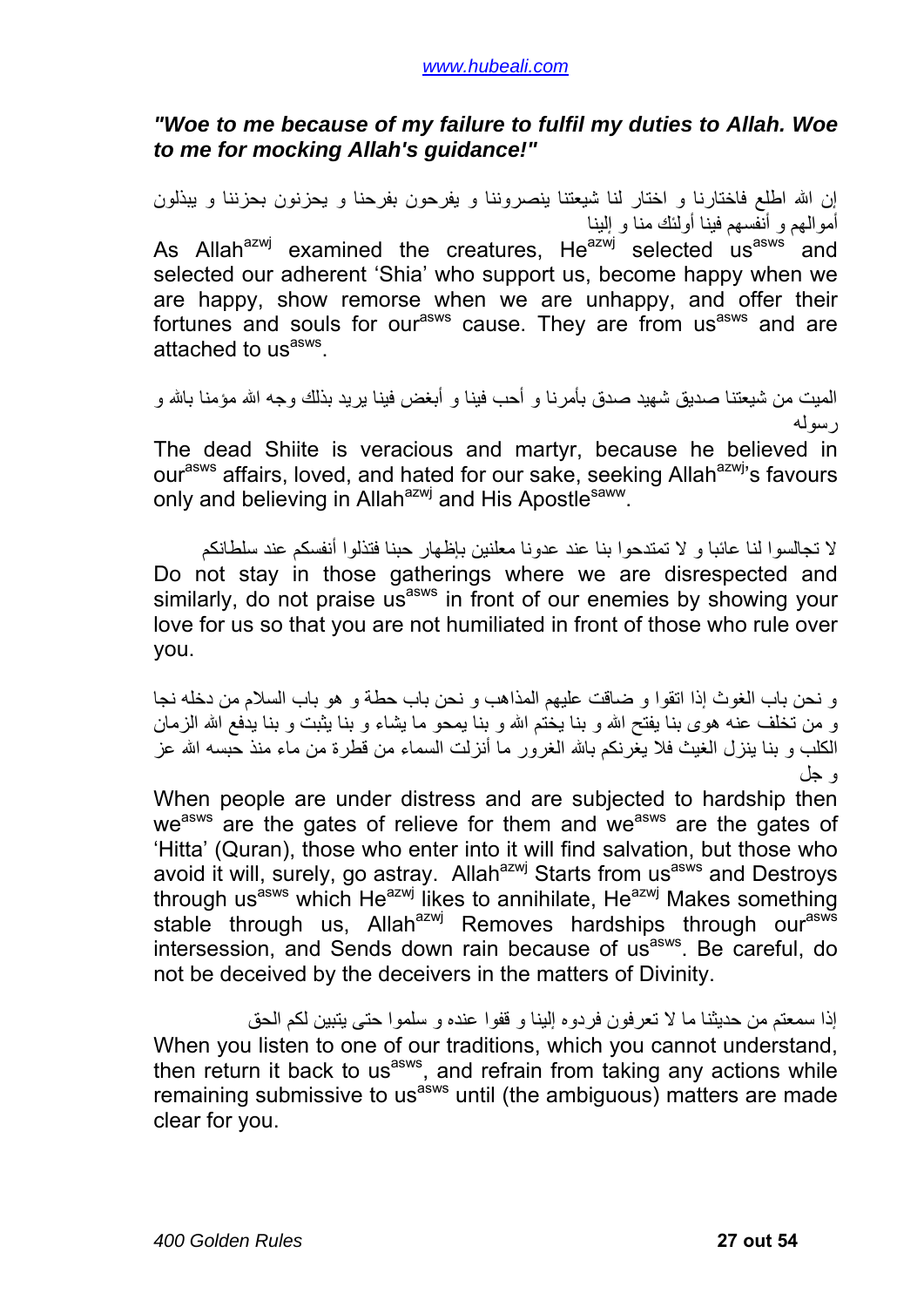#### *"Woe to me because of my failure to fulfil my duties to Allah. Woe to me for mocking Allah's guidance!"*

إن االله اطلع فاختارنا و اختار لنا شيعتنا ينصروننا و يفرحون بفرحنا و يحزنون بحزننا و يبذلون أموالهم و أنفسهم فينا أولئك منا و إلينا As Allah<sup>azwj</sup> examined the creatures, He<sup>azwj</sup> selected us<sup>asws</sup> and selected our adherent 'Shia' who support us, become happy when we are happy, show remorse when we are unhappy, and offer their fortunes and souls for our<sup>asws</sup> cause. They are from us<sup>asws</sup> and are attached to us<sup>asws</sup>.

الميت من شيعتنا صديق شهيد صدق بأمر نا و أحب فينا و أبغض فينا ير يد بذلك و جه الله مؤمنا بالله و رسوله

The dead Shiite is veracious and martyr, because he believed in our<sup>asws</sup> affairs, loved, and hated for our sake, seeking Allah<sup>azwj</sup>'s favours only and believing in Allah<sup>azwj</sup> and His Apostle<sup>saww</sup>.

لا تجالسوا لنا عائبا و لا تمتدحوا بنا عند عدونا معلنين بإظهار حبنا فتذلوا أنفسكم عند سلطانكم Do not stay in those gatherings where we are disrespected and similarly, do not praise us<sup>asws</sup> in front of our enemies by showing your love for us so that you are not humiliated in front of those who rule over you.

و نحن باب الغوث إذا اتقوا و ضاقت عليهم المذاهب و نحن باب حطة و هو باب السلام من دخله نجا و من تخلف عنه هوى بنا يفتح الله و بنا يختم الله و بنا يمحو ما يشاء و بنا يثبت و بنا يدفع الله الزمان الكلب و بنا بنزل الغيث فلا يغرنكم بالله الغرور ما أنزلت السماء من قطرة من ماء منذ حسبه الله عز و جل

When people are under distress and are subjected to hardship then we<sup>asws</sup> are the gates of relieve for them and we<sup>asws</sup> are the gates of 'Hitta' (Quran), those who enter into it will find salvation, but those who avoid it will, surely, go astray. Allah<sup>azwj</sup> Starts from us<sup>asws</sup> and Destroys through us<sup>asws</sup> which He<sup>azwj</sup> likes to annihilate, He<sup>azwj</sup> Makes something stable through us, Allah<sup>azwj</sup> Removes hardships through our<sup>asws</sup> intersession, and Sends down rain because of us<sup>asws</sup>. Be careful, do not be deceived by the deceivers in the matters of Divinity.

إذا سمعتم من حديثنا ما لا تعرفون فردوه إلينا و قفوا عنده و سلموا حتى يتبين لكم الحق When you listen to one of our traditions, which you cannot understand, then return it back to us<sup>asws</sup>, and refrain from taking any actions while remaining submissive to us<sup>asws</sup> until (the ambiguous) matters are made clear for you.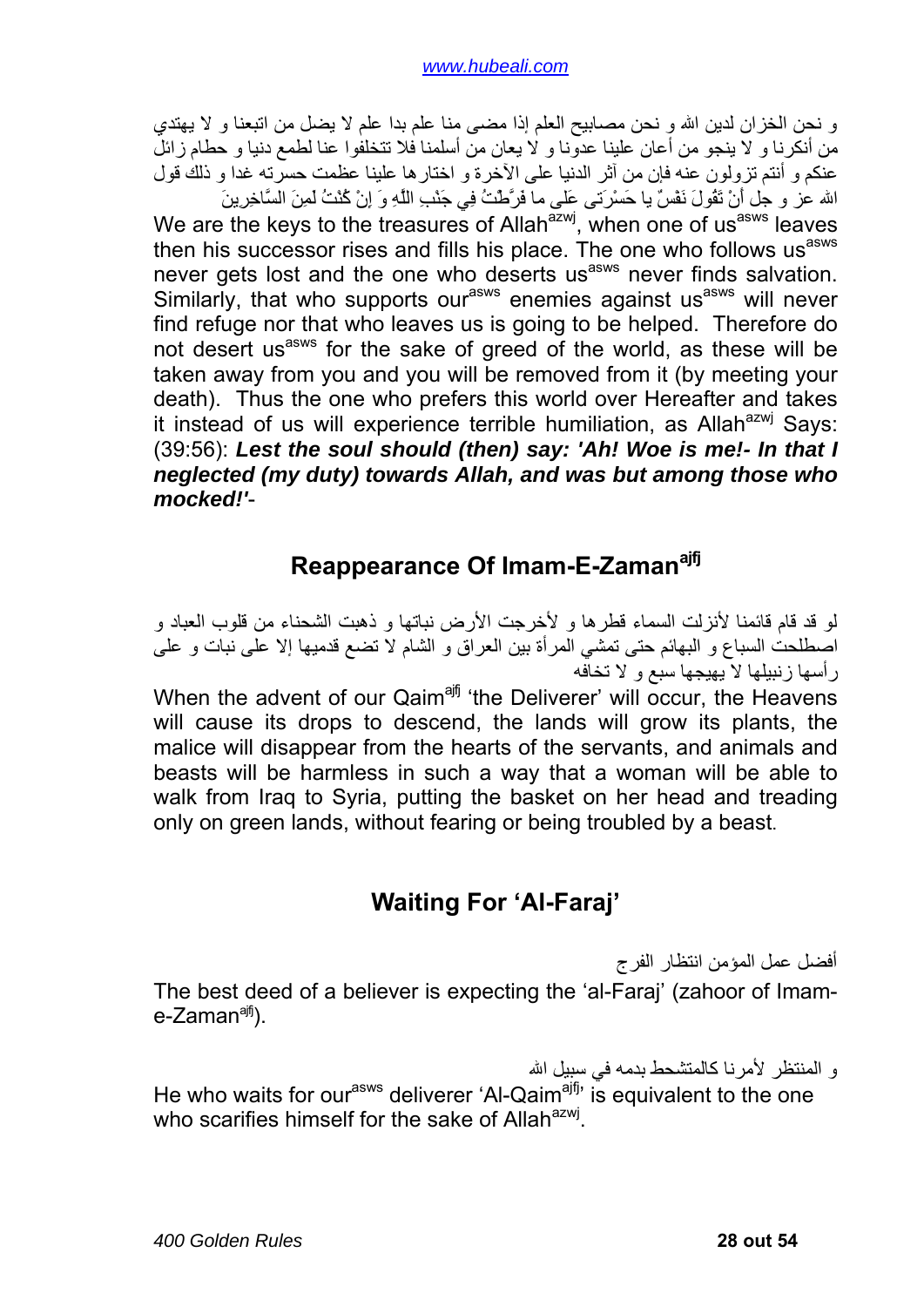<span id="page-27-0"></span>و نحن الخزان لدين الله و نحن مصابيح العلم إذا مضى منا علم بدا علم لا يضل من اتبعنا و لا يهتدي من أنكرنا و لا ينجو من أعان علينا عدونا و لا يعان من أسلمنا فلا تتخلفوا عنا لطمع دنيا و حطام زائل عنكم و أنتم تزولون عنه فإن من آثر الدنيا على الآخرة و اختارها علينا عظمت حسرته غدا و ذلك قول

االله عز و جل أَنْ تَقُولَ نَفْسٌ يا حَسْرَتى عَلى ما فَرَّطْتُ فِي جَنْبِ اللَّهِ وَ إِنْ آُنْتُ لَمِنَ السَّاخِرِينَ We are the keys to the treasures of Allah $\overline{a}$ zwj, when one of us $\overline{a}$ sws leaves then his successor rises and fills his place. The one who follows us<sup>asws</sup> never gets lost and the one who deserts us<sup>asws</sup> never finds salvation. Similarly, that who supports our<sup>asws</sup> enemies against us<sup>asws</sup> will never find refuge nor that who leaves us is going to be helped. Therefore do not desert us<sup>asws</sup> for the sake of greed of the world, as these will be taken away from you and you will be removed from it (by meeting your death). Thus the one who prefers this world over Hereafter and takes it instead of us will experience terrible humiliation, as Allah<sup>azwj</sup> Says: (39:56): *Lest the soul should (then) say: 'Ah! Woe is me!- In that I neglected (my duty) towards Allah, and was but among those who mocked!'*-

### **Reappearance Of Imam-E-Zamanajfj**

لو قد قام قائمنا لأنزلت السماء قطرها و لأخرجت الأرض نباتها و ذهبت الشحناء من قلوب العباد و اصطلحت السباع و البهائم حتى تمشي المرأة بين العراق و الشام لا تضع قدميها إلا على نبات و على رأسها زنبيلها لا يهيجها سبع و لا تخافه When the advent of our Qaim<sup>ajfj</sup> 'the Deliverer' will occur, the Heavens

will cause its drops to descend, the lands will grow its plants, the malice will disappear from the hearts of the servants, and animals and beasts will be harmless in such a way that a woman will be able to walk from Iraq to Syria, putting the basket on her head and treading only on green lands, without fearing or being troubled by a beast.

# **Waiting For 'Al-Faraj'**

أفضل عمل المؤمن انتظار الفرج The best deed of a believer is expecting the 'al-Faraj' (zahoor of Imam $e$ -Zaman<sup>ajfj</sup>).

و المنتظر لأمرنا كالمتشحط بدمه في سبيل الله He who waits for our<sup>asws</sup> deliverer 'Al-Qaim<sup>ajfj</sup>' is equivalent to the one

who scarifies himself for the sake of Allah<sup>azwj</sup>.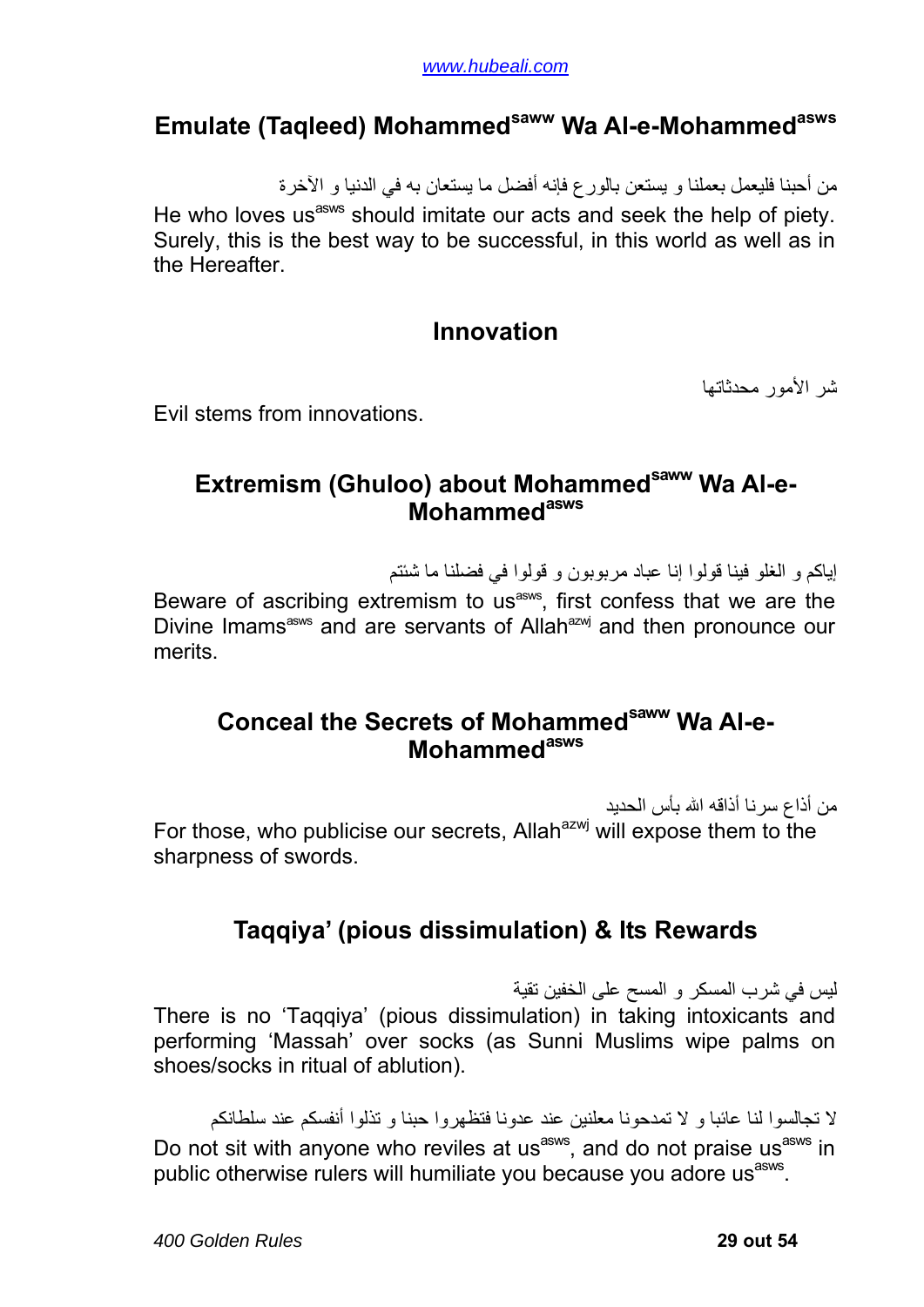### <span id="page-28-0"></span>**Emulate (Taqleed) Mohammedsaww Wa Al-e-Mohammedasws**

من أحبنا فليعمل بعملنا و يستعن بالورع فإنه أفضل ما يستعان به في الدنيا و الآخرة He who loves us<sup>asws</sup> should imitate our acts and seek the help of piety. Surely, this is the best way to be successful, in this world as well as in the Hereafter.

#### **Innovation**

شر الأمور محدثاتها

Evil stems from innovations.

### **Extremism (Ghuloo) about Mohammed<sup>saww</sup> Wa Al-e-Mohammed**<sup>asws</sup>

إياكم و الغلو فينا قولوا إنا عباد مربوبون و قولوا في فضلنا ما شئتم

Beware of ascribing extremism to us<sup>asws</sup>, first confess that we are the Divine Imams<sup>asws</sup> and are servants of Allah<sup>azwj</sup> and then pronounce our merits.

#### **Conceal the Secrets of Mohammedsaww Wa Al-e-Mohammedasws**

من أذاع سرنا أذاقه االله بأس الحديد

For those, who publicise our secrets, Allah<sup>azwj</sup> will expose them to the sharpness of swords.

### **Taqqiya' (pious dissimulation) & Its Rewards**

ليس في شرب المسكر و المسح على الخفين تقية There is no 'Taqqiya' (pious dissimulation) in taking intoxicants and performing 'Massah' over socks (as Sunni Muslims wipe palms on shoes/socks in ritual of ablution).

لا تجالسوا لنا عائبا و لا تمدحونا معلنين عند عدونا فتظهروا حبنا و تذلوا أنفسكم عند سلطانكم Do not sit with anyone who reviles at us<sup>asws</sup>, and do not praise us<sup>asws</sup> in public otherwise rulers will humiliate you because you adore us<sup>asws</sup>.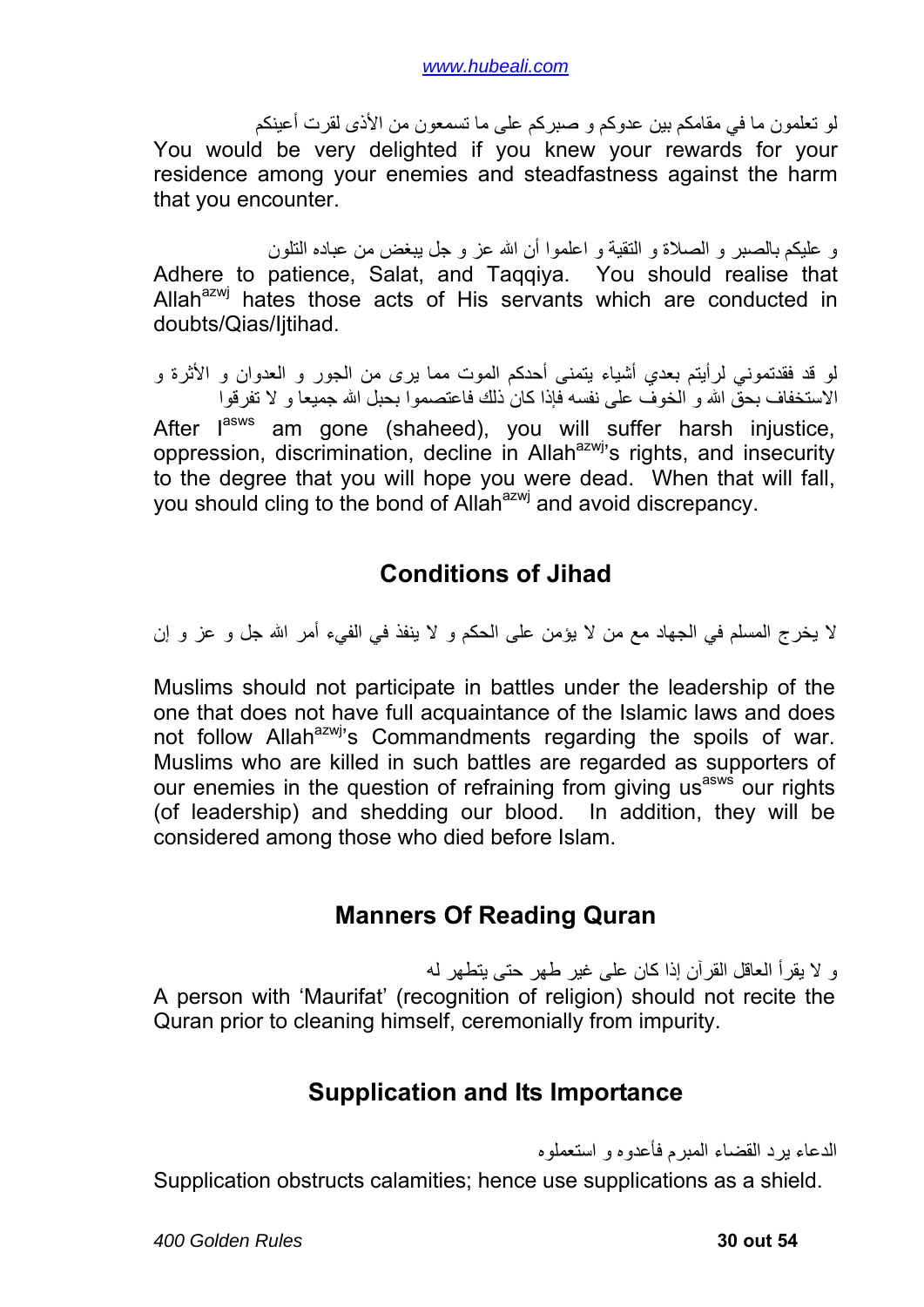<span id="page-29-0"></span>لو تعلمون ما في مقامكم بين عدوآم و صبرآم على ما تسمعون من الأذى لقرت أعينكم You would be very delighted if you knew your rewards for your residence among your enemies and steadfastness against the harm that you encounter.

و عليكم بالصبر و الصلاة و التقية و اعلموا أن االله عز و جل يبغض من عباده التلون Adhere to patience, Salat, and Taqqiya. You should realise that Allah<sup>azwj</sup> hates those acts of His servants which are conducted in doubts/Qias/Ijtihad.

لو قد فقدتموني لرأيتم بعدي أشياء يتمنى أحدكم الموت مما يرى من الجور و العدوان و الأثرة و الاستخفاف بحقّ الله و الخوف على نفسه فإذا كان ذلك فاعتصموا بحبل الله جميعا و لا تفرقوا

After l<sup>asws</sup> am gone (shaheed), you will suffer harsh injustice, oppression, discrimination, decline in Allah<sup>azwj</sup>'s rights, and insecurity to the degree that you will hope you were dead. When that will fall, you should cling to the bond of Allah<sup>azwj</sup> and avoid discrepancy.

### **Conditions of Jihad**

لا يخرج المسلم في الجهاد مع من لا يؤمن على الحكم و لا ينفذ في الفيء أمر االله جل و عز و إن

Muslims should not participate in battles under the leadership of the one that does not have full acquaintance of the Islamic laws and does not follow Allah<sup>azwj</sup>'s Commandments regarding the spoils of war. Muslims who are killed in such battles are regarded as supporters of our enemies in the question of refraining from giving us<sup>asws</sup> our rights (of leadership) and shedding our blood. In addition, they will be considered among those who died before Islam.

### **Manners Of Reading Quran**

و لا يقرأ العاقل القرآن إذا كان على غير طهر حتى يتطهر له A person with 'Maurifat' (recognition of religion) should not recite the Quran prior to cleaning himself, ceremonially from impurity.

### **Supplication and Its Importance**

الدعاء يرد القضاء المبرم فأعدوه و استعملوه

Supplication obstructs calamities; hence use supplications as a shield.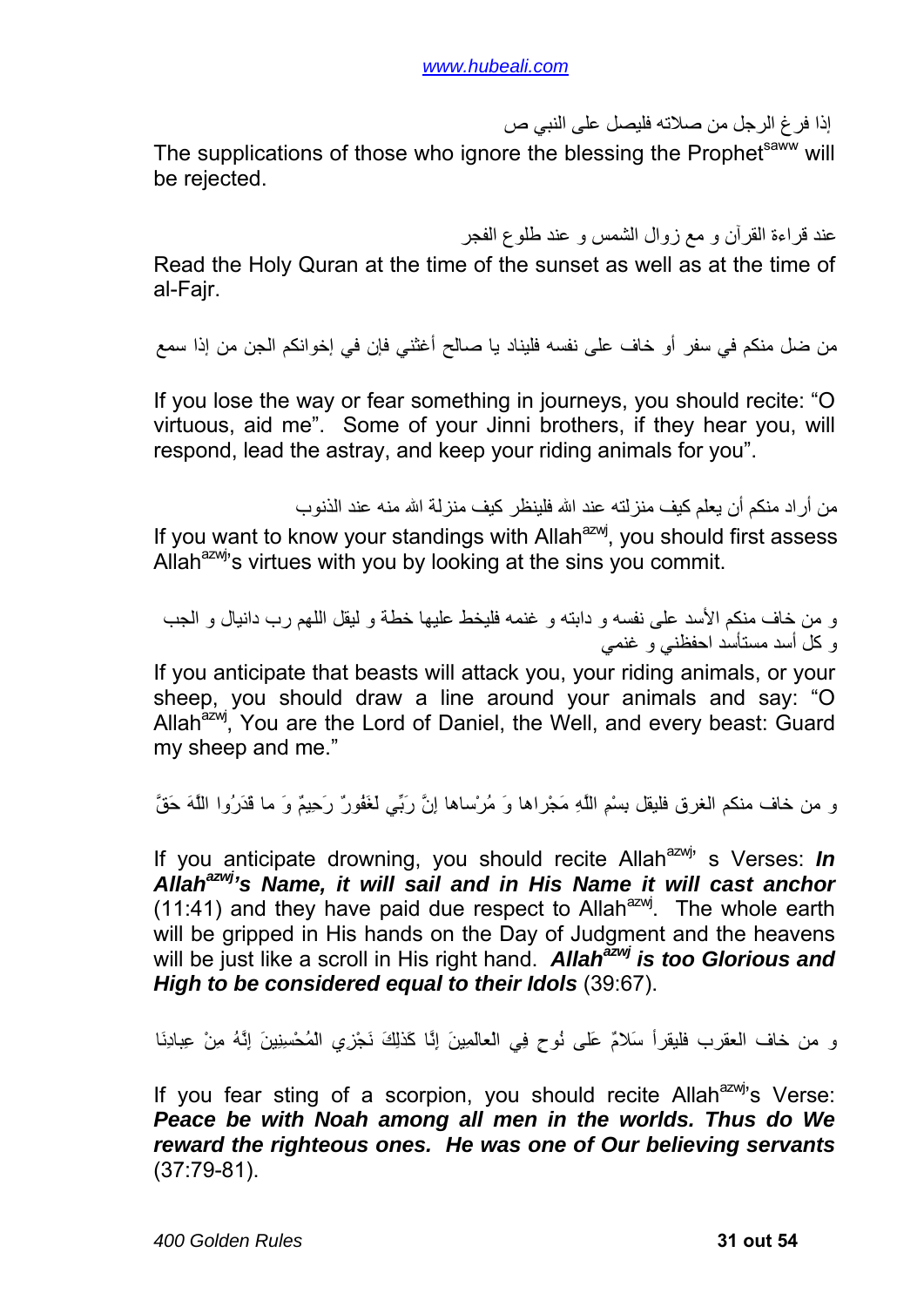إذا فرغ الرجل من صلاته فليصل على النبي ص

The supplications of those who ignore the blessing the Prophetsaww will be rejected.

عند قراءة القرآن و مع زوال الشمس و عند طلوع الفجر

Read the Holy Quran at the time of the sunset as well as at the time of al-Fajr.

من ضل منكم في سفر أو خاف على نفسه فليناد يا صالح أغثني فإن في إخوانكم الجن من إذا سمع

If you lose the way or fear something in journeys, you should recite: "O virtuous, aid me". Some of your Jinni brothers, if they hear you, will respond, lead the astray, and keep your riding animals for you".

من أراد منكم أن يعلم كيف منزلته عند الله فلينظر كيف منزلة الله منه عند الذنوب If you want to know your standings with Allah<sup>azwj</sup>, you should first assess Allah $a^{2}$  s virtues with you by looking at the sins you commit.

و من خاف منكم الأسد على نفسه و دابته و غنمه فليخط عليها خطة و ليقل اللهم رب دانيال و الجب و آل أسد مستأسد احفظني و غنمي

If you anticipate that beasts will attack you, your riding animals, or your sheep, you should draw a line around your animals and say: "O Allah<sup>azwj</sup>, You are the Lord of Daniel, the Well, and every beast: Guard my sheep and me."

و من خاف منكم الغرق فليقل بِسْمِ اللَّهِ مَجْراها وَ مُرْساها إِنَّ رَبِّي لَغَفُورٌ رَحِيمٌ وَ ما قَدَرُوا اللَّهَ حَقَّ

If you anticipate drowning, you should recite Allah<sup>azwj</sup>' s Verses: *In Allahazwj's Name, it will sail and in His Name it will cast anchor*  $(11:41)$  and they have paid due respect to Allah<sup>azwj</sup>. The whole earth will be gripped in His hands on the Day of Judgment and the heavens will be just like a scroll in His right hand. *Allah<sup>azwj</sup> is too Glorious and High to be considered equal to their Idols* (39:67).

و من خاف العقرب فليقرأ سَلامٌ عَلى نُوحٍ فِي الْعالَمِينَ إِنَّا آَذلِكَ نَجْزِي الْمُحْسِنِينَ إِنَّهُ مِنْ عِبادِنَا

If you fear sting of a scorpion, you should recite Allah<sup>azwj</sup>'s Verse: *Peace be with Noah among all men in the worlds. Thus do We reward the righteous ones. He was one of Our believing servants* (37:79-81).

*400 Golden Rules* **31 out 54**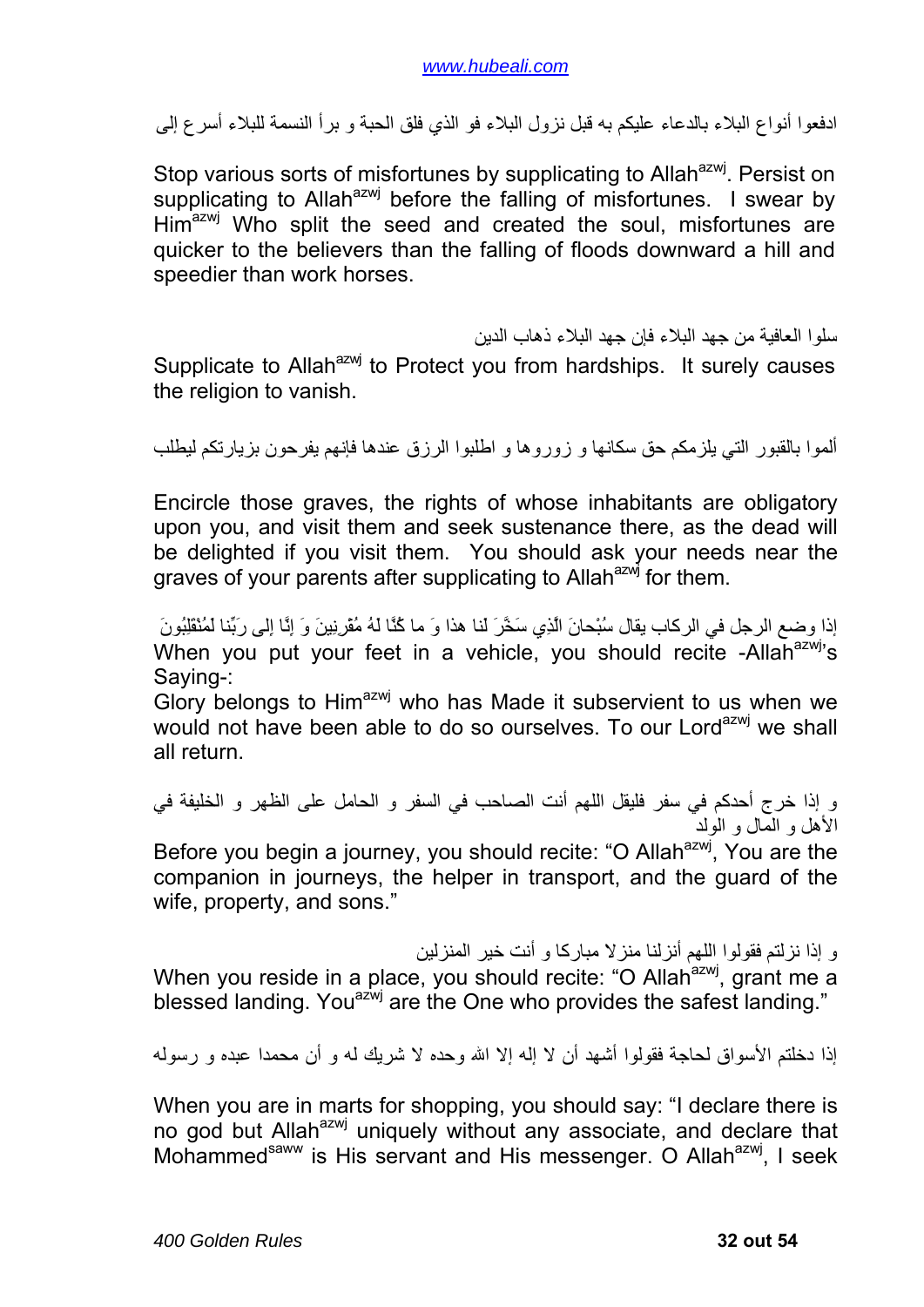ادفعوا أنواع البلاء بالدعاء عليكم به قبل نزول البلاء فو الذي فلق الحبة و برأ النسمة للبلاء أسرع إلى

Stop various sorts of misfortunes by supplicating to Allah<sup>azwj</sup>. Persist on supplicating to Allah<sup>azwj</sup> before the falling of misfortunes. I swear by Him<sup>azwj</sup> Who split the seed and created the soul, misfortunes are quicker to the believers than the falling of floods downward a hill and speedier than work horses.

سلوا العافية من جهد البلاء فإن جهد البلاء ذهاب الدين

Supplicate to Allah $a^{2}$  to Protect you from hardships. It surely causes the religion to vanish.

ألموا بالقبور التي يلزمكم حق سكانها و زوروها و اطلبوا الرزق عندها فإنهم يفرحون بزيارتكم ليطلب

Encircle those graves, the rights of whose inhabitants are obligatory upon you, and visit them and seek sustenance there, as the dead will be delighted if you visit them. You should ask your needs near the graves of your parents after supplicating to Allah<sup>azwj</sup> for them.

إذا وضع الرجل في الركاب يقال سُبْحانَ الَّذِي سَخَّرَ لَنا هذا وَ ما كُنَّا لَهُ مُقْرِنِينَ وَ إِنَّا إِلَى رَبِّنا لَمُنْقَلِبُونَ When you put your feet in a vehicle, you should recite -Allah $a$ <sup>2WJ</sup>'s Saying-:

Glory belongs to Him<sup>azwj</sup> who has Made it subservient to us when we would not have been able to do so ourselves. To our Lord<sup>azwj</sup> we shall all return.

و إذا خرج أحدكم في سفر فليقل اللهم أنت الصاحب في السفر و الحامل على الظهر و الخليفة في الأهل و المال و الولد

Before you begin a journey, you should recite: "O Allah<sup>azwj</sup>, You are the companion in journeys, the helper in transport, and the guard of the wife, property, and sons."

و إذا نزلتم فقولوا اللهم أنزلنا منزلا مباركا و أنت خير المنزلين

When you reside in a place, you should recite: "O Allah<sup>azwj</sup>, grant me a blessed landing. You<sup>azwj</sup> are the One who provides the safest landing."

إذا دخلتم الأسواق لحاجة فقولوا أشهد أن لا إله إلا االله وحده لا شريك له و أن محمدا عبده و رسوله

When you are in marts for shopping, you should say: "I declare there is no god but Allah<sup>azwj</sup> uniquely without any associate, and declare that Mohammed<sup>saww</sup> is His servant and His messenger. O Allah<sup>azwj</sup>, I seek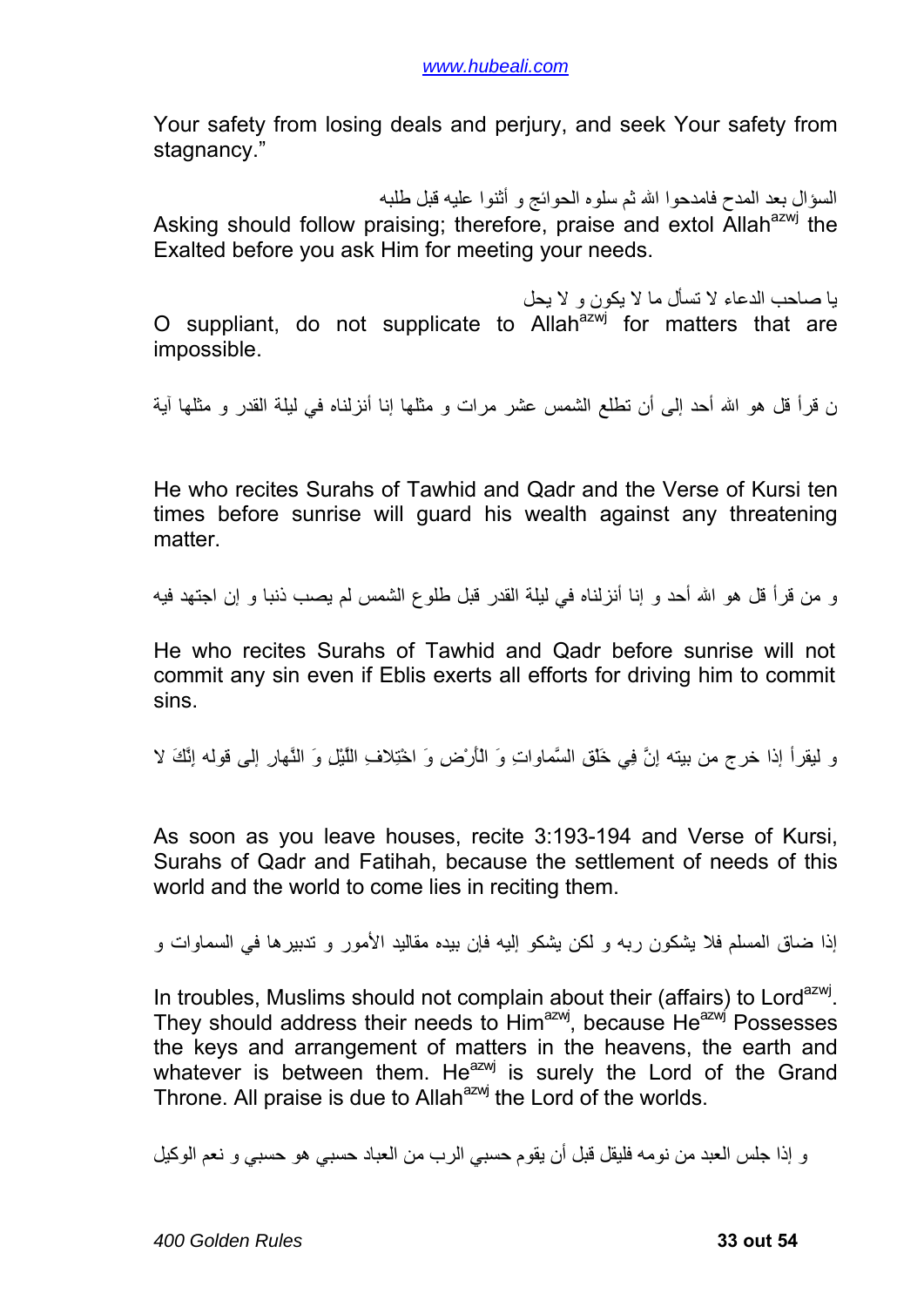Your safety from losing deals and perjury, and seek Your safety from stagnancy."

السؤال بعد المدح فامدحوا االله ثم سلوه الحوائج و أثنوا عليه قبل طلبه Asking should follow praising; therefore, praise and extol Allah<sup>azwj</sup> the Exalted before you ask Him for meeting your needs.

يا صاحب الدعاء لا تسأل ما لا يكون و لا يحل O suppliant, do not supplicate to Allah $a^{2}$  for matters that are impossible.

ن قرأ قل هو االله أحد إلى أن تطلع الشمس عشر مرات و مثلها إنا أنزلناه في ليلة القدر و مثلها آية

He who recites Surahs of Tawhid and Qadr and the Verse of Kursi ten times before sunrise will guard his wealth against any threatening matter.

و من قرأ قل هو االله أحد و إنا أنزلناه في ليلة القدر قبل طلوع الشمس لم يصب ذنبا و إن اجتهد فيه

He who recites Surahs of Tawhid and Qadr before sunrise will not commit any sin even if Eblis exerts all efforts for driving him to commit sins.

و ليقرأ إذا خرج من بيته إِنَّ فِي خَلْقِ السَّماواتِ وَ الْأَرْضِ وَ اخْتِلافِ اللَّيْلِ وَ النَّهارِ إلى قوله إِنَّكَ لا

As soon as you leave houses, recite 3:193-194 and Verse of Kursi, Surahs of Qadr and Fatihah, because the settlement of needs of this world and the world to come lies in reciting them.

إذا ضاق المسلم فلا يشكون ربه و لكن يشكو إليه فإن بيده مقاليد الأمور و تدبيرها في السماوات و

In troubles, Muslims should not complain about their (affairs) to Lord<sup>azwj</sup>. They should address their needs to Him<sup>azwj</sup>, because He<sup>azwj</sup> Possesses the keys and arrangement of matters in the heavens, the earth and whatever is between them. He<sup>azwj</sup> is surely the Lord of the Grand Throne. All praise is due to Allah<sup>azwj</sup> the Lord of the worlds.

و إذا جلس العبد من نومه فليقل قبل أن يقوم حسبي الرب من العباد حسبي هو حسبي و نعم الوآيل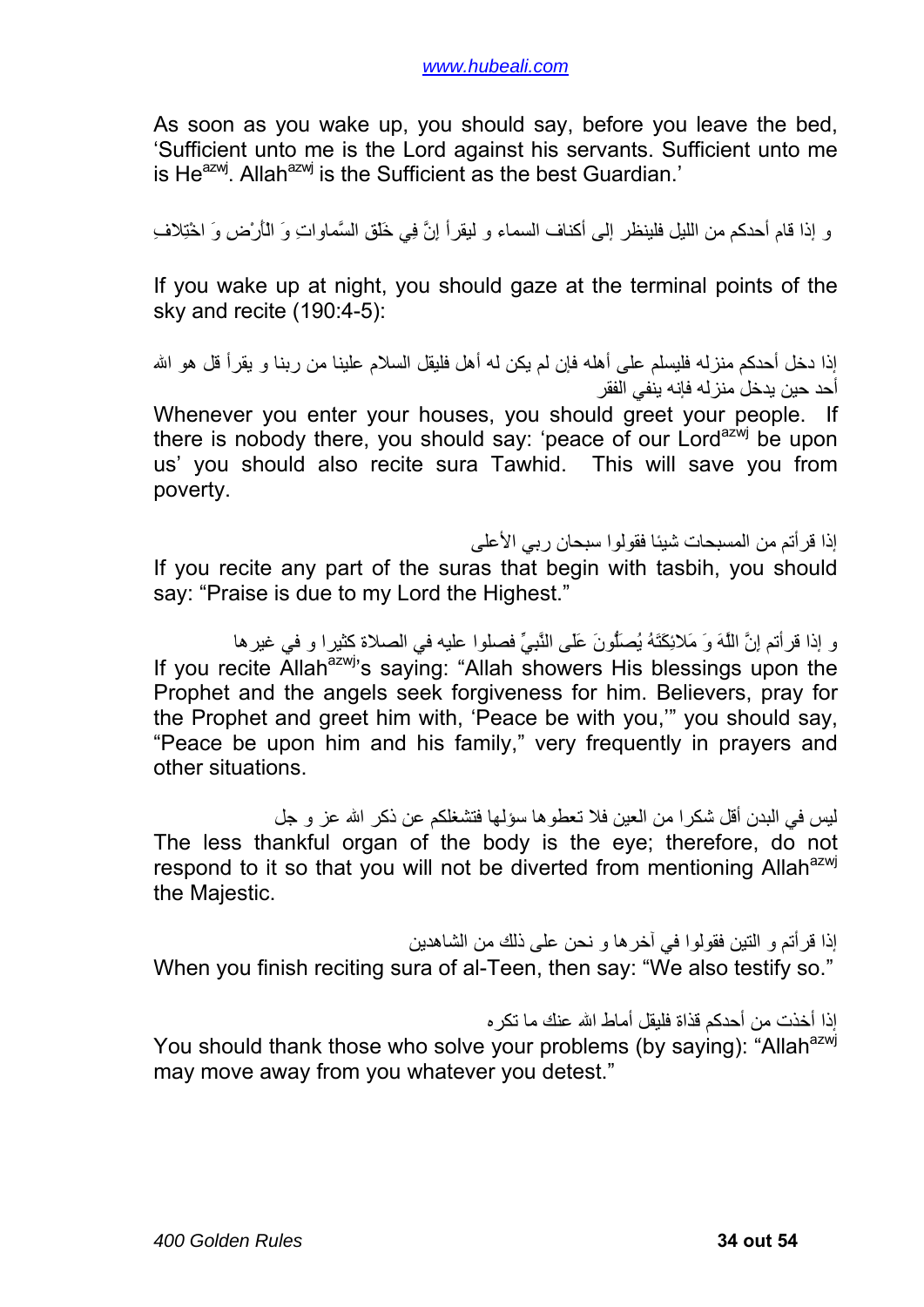As soon as you wake up, you should say, before you leave the bed, 'Sufficient unto me is the Lord against his servants. Sufficient unto me is He $^{a}$ zwj. Allah $^{a}$ zwj is the Sufficient as the best Guardian.'

و إذا قام أحدكم من الليل فلينظر إلى أكناف السماء و ليقرأ إِنَّ فِي خَلْقِ السَّماواتِ وَ الْأَرْضِ وَ اخْتِلافِ

If you wake up at night, you should gaze at the terminal points of the sky and recite (190:4-5):

إذا دخل أحدكم منز له فليسلم على أهله فإن لم يكن له أهل فليقل السلام علينا من ر بنا و يقر أ قل هو الله أحد حين يدخل منزله فإنه ينفي الفقر

Whenever you enter your houses, you should greet your people. If there is nobody there, you should say: 'peace of our Lord<sup>azwj</sup> be upon us' you should also recite sura Tawhid. This will save you from poverty.

إذا قرأتم من المسبحات شيئا فقولوا سبحان ربي الأعلى

If you recite any part of the suras that begin with tasbih, you should say: "Praise is due to my Lord the Highest."

و إذا قر أتم إِنَّ اللَّهَ وَ مَلائِكَتَهُ يُصَلُّونَ عَلَى النَّبِيِّ فصلوا عليه في الصلاة كثيرا و في غير ها If you recite Allah<sup>azwj</sup>'s saying: "Allah showers His blessings upon the Prophet and the angels seek forgiveness for him. Believers, pray for the Prophet and greet him with, 'Peace be with you,'" you should say, "Peace be upon him and his family," very frequently in prayers and other situations.

ليس في البدن أقل شكر ا من العين فلا تعطوها سؤلها فتشغلكم عن ذكر الله عز و جل The less thankful organ of the body is the eye; therefore, do not respond to it so that you will not be diverted from mentioning Allah<sup>azwj</sup> the Majestic.

إذا قرأتم و التين فقولوا في آخرها و نحن على ذلك من الشاهدين When you finish reciting sura of al-Teen, then say: "We also testify so."

إذا أخذت من أحدكم قذاة فليقل أماط الله عنك ما تكر ه

You should thank those who solve your problems (by saying): "Allah<sup>azwj</sup> may move away from you whatever you detest."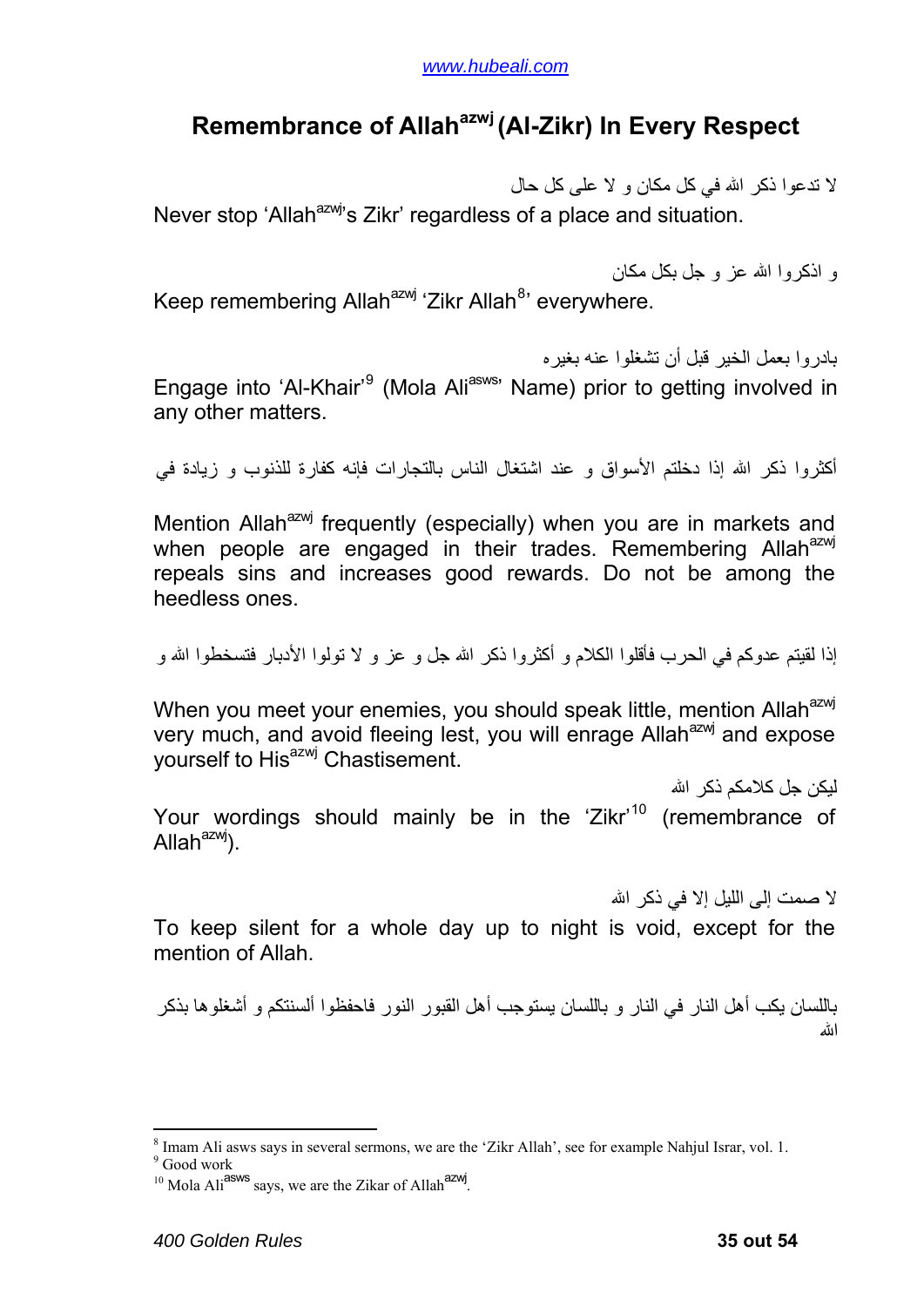#### <span id="page-34-0"></span>**Remembrance of Allahazwj(Al-Zikr) In Every Respect**

لا تدعوا ذآر االله في آل مكان و لا على آل حال Never stop 'Allah<sup>azwj</sup>'s Zikr' regardless of a place and situation.

و اذآروا االله عز و جل بكل مكان Keep remembering Allah<sup>azwj</sup> 'Zikr Allah<sup>[8](#page-34-1)</sup>' everywhere.

بادروا بعمل الخير قبل أن تشغلوا عنه بغيره Engage into 'Al-Khair'<sup>[9](#page-34-2)</sup> (Mola Ali<sup>asws</sup>' Name) prior to getting involved in any other matters.

أكثر وا ذكر الله إذا دخلتم الأسواق و عند اشتغال الناس بالتجارات فإنه كفارة للذنوب و زيادة في

Mention Allah<sup>azwj</sup> frequently (especially) when you are in markets and when people are engaged in their trades. Remembering Allah<sup>azwj</sup> repeals sins and increases good rewards. Do not be among the heedless ones.

إذا لقيتم عدوكم في الحرب فأقلوا الكلام و أكثروا ذكر الله جل و عز و لا تولوا الأدبار فتسخطوا الله و

When you meet your enemies, you should speak little, mention Allah<sup>azwj</sup> very much, and avoid fleeing lest, you will enrage Allah $a$ <sup>azwj</sup> and expose yourself to His<sup>azwj</sup> Chastisement.

ليكن جل كلامكم ذكر الله Your wordings should mainly be in the 'Zikr'<sup>[10](#page-34-3)</sup> (remembrance of Allah $a^{2}$ yj).

لا صمت إلى الليل إلا في ذكر الله

To keep silent for a whole day up to night is void, except for the mention of Allah.

باللسان يكب أهل النار في النار و باللسان يستوجب أهل القبور النور فاحفظوا ألسنتكم و أشغلوها بذآر االله

1

 $\frac{8}{9}$  Imam Ali asws says in several sermons, we are the 'Zikr Allah', see for example Nahjul Israr, vol. 1.

<span id="page-34-3"></span><span id="page-34-2"></span><span id="page-34-1"></span><sup>&</sup>lt;sup>9</sup> Good work

 $10$  Mola Ali<sup>asws</sup> says, we are the Zikar of Allah<sup>azwj</sup>.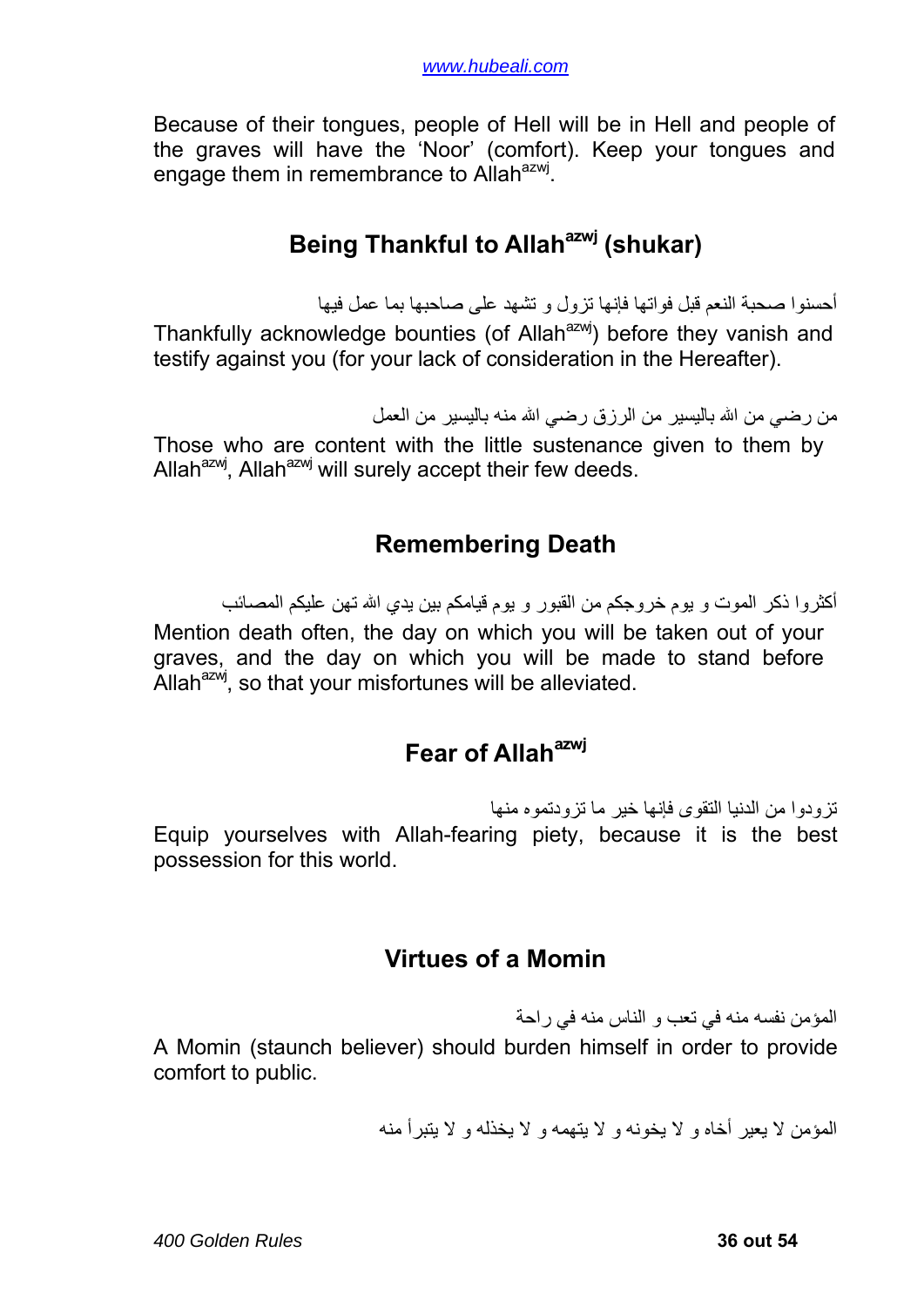<span id="page-35-0"></span>Because of their tongues, people of Hell will be in Hell and people of the graves will have the 'Noor' (comfort). Keep your tongues and engage them in remembrance to Allah<sup>azwj</sup>.

## **Being Thankful to Allah<sup>azwj</sup> (shukar)**

أحسنوا صحبة النعم قبل فواتها فإنها تزول و تشهد على صاحبها بما عمل فيها Thankfully acknowledge bounties (of Allah<sup>azwj</sup>) before they vanish and testify against you (for your lack of consideration in the Hereafter).

من رضي من الله باليسير من الرزق رضي الله منه باليسير من العمل

Those who are content with the little sustenance given to them by Allah $^{azw}$ , Allah $^{azw}$  will surely accept their few deeds.

### **Remembering Death**

أكثر وا ذكر الموت و يوم خروجكم من القبور و يوم قيامكم بين يدي الله تهن عليكم المصائب Mention death often, the day on which you will be taken out of your graves, and the day on which you will be made to stand before Allah $^{a}$ zwj, so that your misfortunes will be alleviated.

## **Fear of Allah<sup>azwj</sup>**

تزودوا من الدنيا التقوى فإنها خير ما تزودتموه منها Equip yourselves with Allah-fearing piety, because it is the best possession for this world.

### **Virtues of a Momin**

المؤمن نفسه منه في تعب و الناس منه في راحة A Momin (staunch believer) should burden himself in order to provide comfort to public.

المؤمن لا يعير أخاه و لا يخونه و لا يتهمه و لا يخذله و لا يتبرأ منه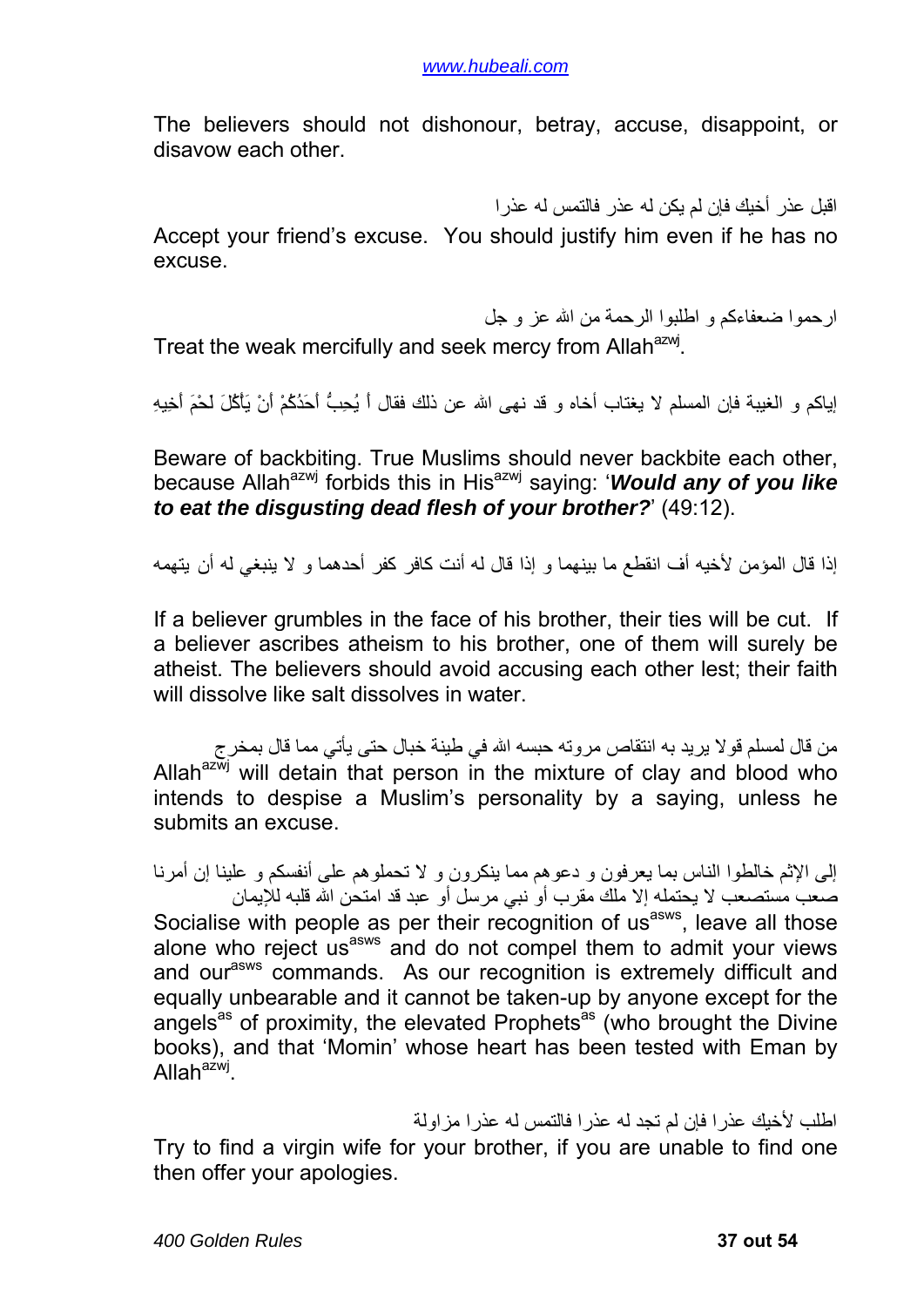The believers should not dishonour, betray, accuse, disappoint, or disavow each other.

اقبل عذر أخيك فإن لم يكن له عذر فالتمس له عذرا

Accept your friend's excuse. You should justify him even if he has no excuse.

ارحموا ضعفاءآم و اطلبوا الرحمة من االله عز و جل

Treat the weak mercifully and seek mercy from Allah<sup>azwj</sup>.

إياكم و الغيبة فإن المسلم لا يغتاب أخاه و قد نهى الله عن ذلك فقال أَ يُحِبُّ أَحَدُكُمْ أَنْ يَأْكُلَ لَحْمَ أَخِيهِ

Beware of backbiting. True Muslims should never backbite each other, because Allah<sup>azwj</sup> forbids this in His<sup>azwj</sup> saying: '*Would any of you like to eat the disgusting dead flesh of your brother?*' (49:12).

إذا قال المؤمن لأخيه أف انقطع ما بينهما و إذا قال له أنت كافر كفر أحدهما و لا ينبغي له أن يتهمه

If a believer grumbles in the face of his brother, their ties will be cut. If a believer ascribes atheism to his brother, one of them will surely be atheist. The believers should avoid accusing each other lest; their faith will dissolve like salt dissolves in water.

من قال لمسلم قولا يريد به انتقاص مروته حبسه االله في طينة خبال حتى يأتي مما قال بمخرج Allah $a^{2\overline{w}j}$  will detain that person in the mixture of clay and blood who intends to despise a Muslim's personality by a saying, unless he submits an excuse.

إلى الإثم خالطوا الناس بما يعرفون و دعوهم مما ينكرون و لا تحملوهم على أنفسكم و علينا إن أمرنا صعب مستصعب لا يحتمله إلا ملك مقرب أو نبي مرسل أو عبد قد امتحن االله قلبه للإيمان Socialise with people as per their recognition of usasws, leave all those alone who reject us<sup>asws</sup> and do not compel them to admit your views and our<sup>asws</sup> commands. As our recognition is extremely difficult and equally unbearable and it cannot be taken-up by anyone except for the angels<sup>as</sup> of proximity, the elevated Prophets<sup>as</sup> (who brought the Divine books), and that 'Momin' whose heart has been tested with Eman by Allah $a^{\lambda}$ 

اطلب لأخيك عذرا فإن لم تجد له عذرا فالتمس له عذرا مزاولة Try to find a virgin wife for your brother, if you are unable to find one then offer your apologies.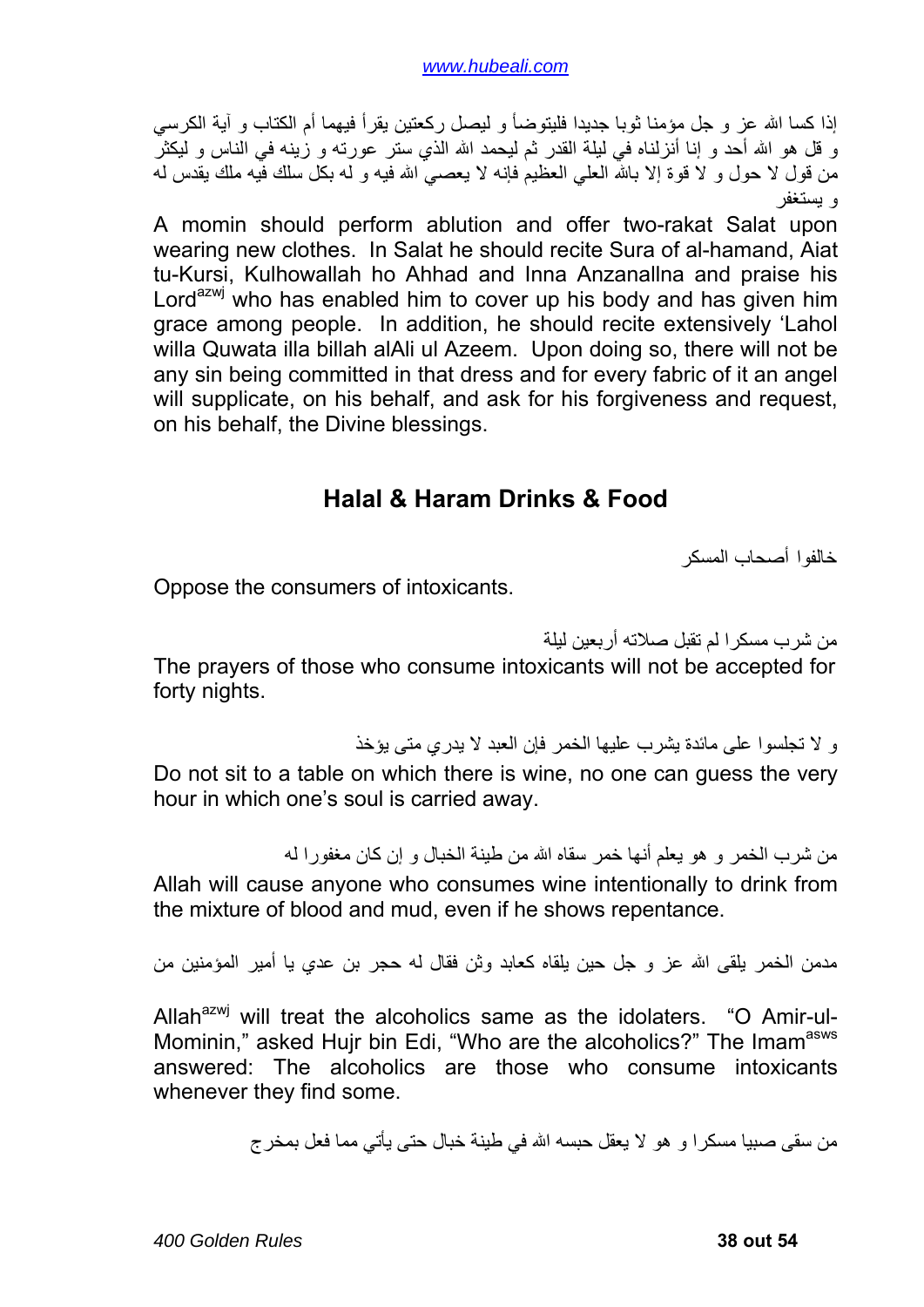<span id="page-37-0"></span>إذا كسا الله عز و جل مؤمنا ثوبا جديدا فليتوضأ و ليصل ركعتين يقرأ فيهما أم الكتاب و آية الكرسي و قل هو الله أحد و إنا أنزلناه في ليلة القدر ثم ليحمد الله الذي ستر عورته و زينه في الناس و ليكثر من قول لا حول و لا قوة إلا بالله العلي العظيم فإنه لا يعصبي الله فيه و له بكل سلك فيه ملك يقدس له و يستغفر

A momin should perform ablution and offer two-rakat Salat upon wearing new clothes. In Salat he should recite Sura of al-hamand, Aiat tu-Kursi, Kulhowallah ho Ahhad and Inna Anzanallna and praise his Lord<sup>azwj</sup> who has enabled him to cover up his body and has given him grace among people. In addition, he should recite extensively 'Lahol willa Quwata illa billah alAli ul Azeem. Upon doing so, there will not be any sin being committed in that dress and for every fabric of it an angel will supplicate, on his behalf, and ask for his forgiveness and request, on his behalf, the Divine blessings.

#### **Halal & Haram Drinks & Food**

خالفوا أصحاب المسكر

Oppose the consumers of intoxicants.

من شرب مسكرا لم تقبل صلاته أربعين ليلة

The prayers of those who consume intoxicants will not be accepted for forty nights.

و لا تجلسوا على مائدة يشرب عليها الخمر فإن العبد لا يدري متى يؤخذ

Do not sit to a table on which there is wine, no one can guess the very hour in which one's soul is carried away.

من شرب الخمر و هو يعلم أنها خمر سقاه الله من طينة الخبال و إن كان مغفور ا له Allah will cause anyone who consumes wine intentionally to drink from the mixture of blood and mud, even if he shows repentance.

مدمن الخمر يلقى الله عز و جل حين يلقاه كعابد وثن فقال له حجر بن عدي يا أمير المؤمنين من

Allah $^{azwj}$  will treat the alcoholics same as the idolaters. "O Amir-ul-Mominin," asked Hujr bin Edi, "Who are the alcoholics?" The Imam<sup>asws</sup> answered: The alcoholics are those who consume intoxicants whenever they find some.

من سقى صبيا مسكرا و هو لا يعقل حبسه االله في طينة خبال حتى يأتي مما فعل بمخرج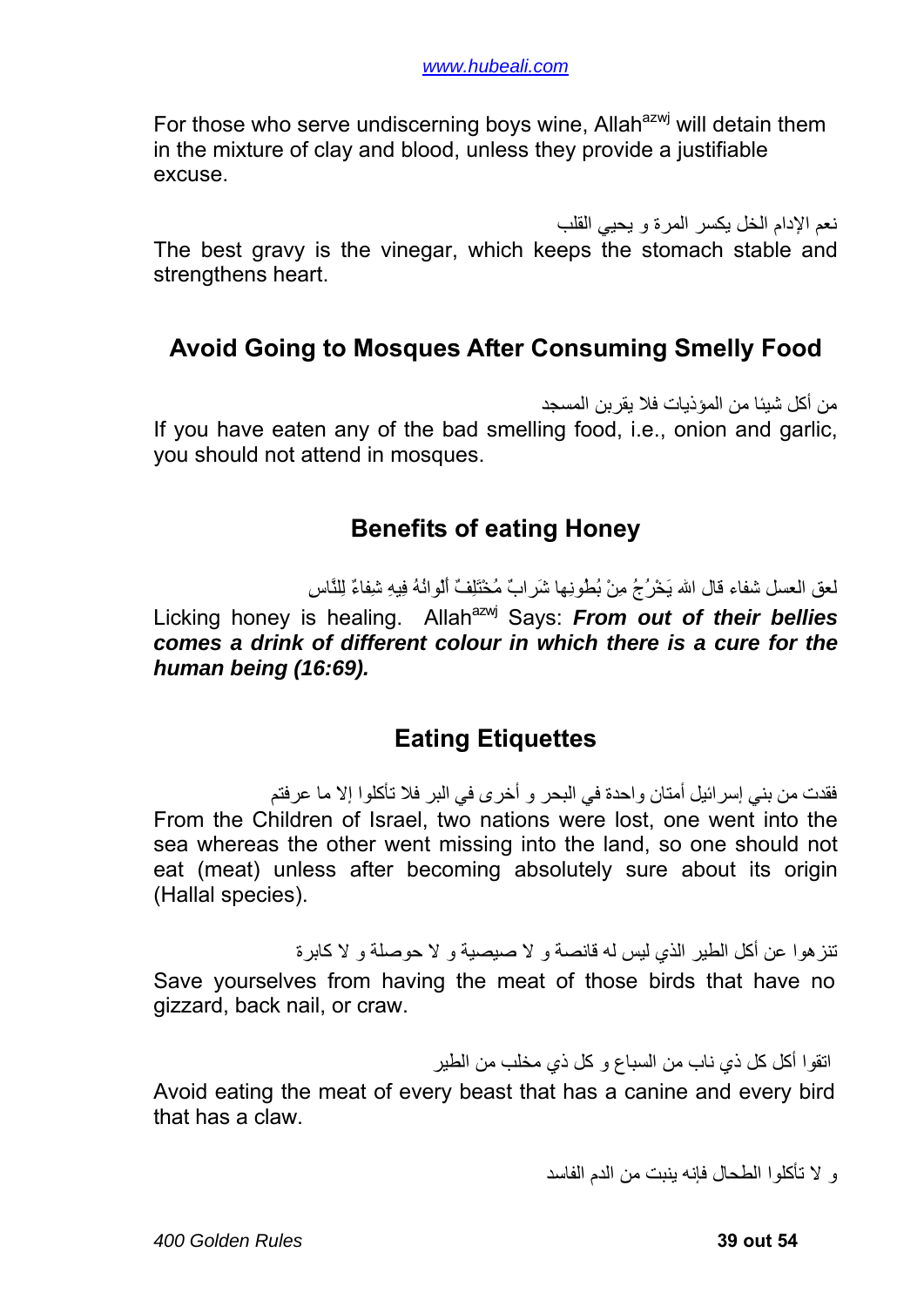<span id="page-38-0"></span>For those who serve undiscerning boys wine. Allah<sup>azwj</sup> will detain them in the mixture of clay and blood, unless they provide a justifiable excuse.

نعم الإدام الخل يكسر المرة و يحيي القلب

The best gravy is the vinegar, which keeps the stomach stable and strengthens heart.

### **Avoid Going to Mosques After Consuming Smelly Food**

من أكل شيئا من المؤذيات فلا يقربن المسجد If you have eaten any of the bad smelling food, i.e., onion and garlic, you should not attend in mosques.

#### **Benefits of eating Honey**

لعق العسل شفاء قال االله يَخْرُجُ مِنْ بُطُونِها شَرابٌ مُخْتَلِفٌ أَلْوانُهُ فِيهِ شِفاءٌ لِلنَّاسِ

Licking honey is healing. Allah<sup>azwj</sup> Says: *From out of their bellies comes a drink of different colour in which there is a cure for the human being (16:69).*

### **Eating Etiquettes**

فقدت من بني إسرائيل أمتان واحدة في البحر و أخرى في البر فلا تأآلوا إلا ما عرفتم From the Children of Israel, two nations were lost, one went into the sea whereas the other went missing into the land, so one should not eat (meat) unless after becoming absolutely sure about its origin (Hallal species).

تنز هوا عن أكل الطير الذي ليس له قانصة و لا صيصية و لا حوصلة و لا كابر ة Save yourselves from having the meat of those birds that have no gizzard, back nail, or craw.

اتقوا أكل كل ذي ناب من السباع و كل ذي مخلب من الطير

Avoid eating the meat of every beast that has a canine and every bird that has a claw.

و لا تأآلوا الطحال فإنه ينبت من الدم الفاسد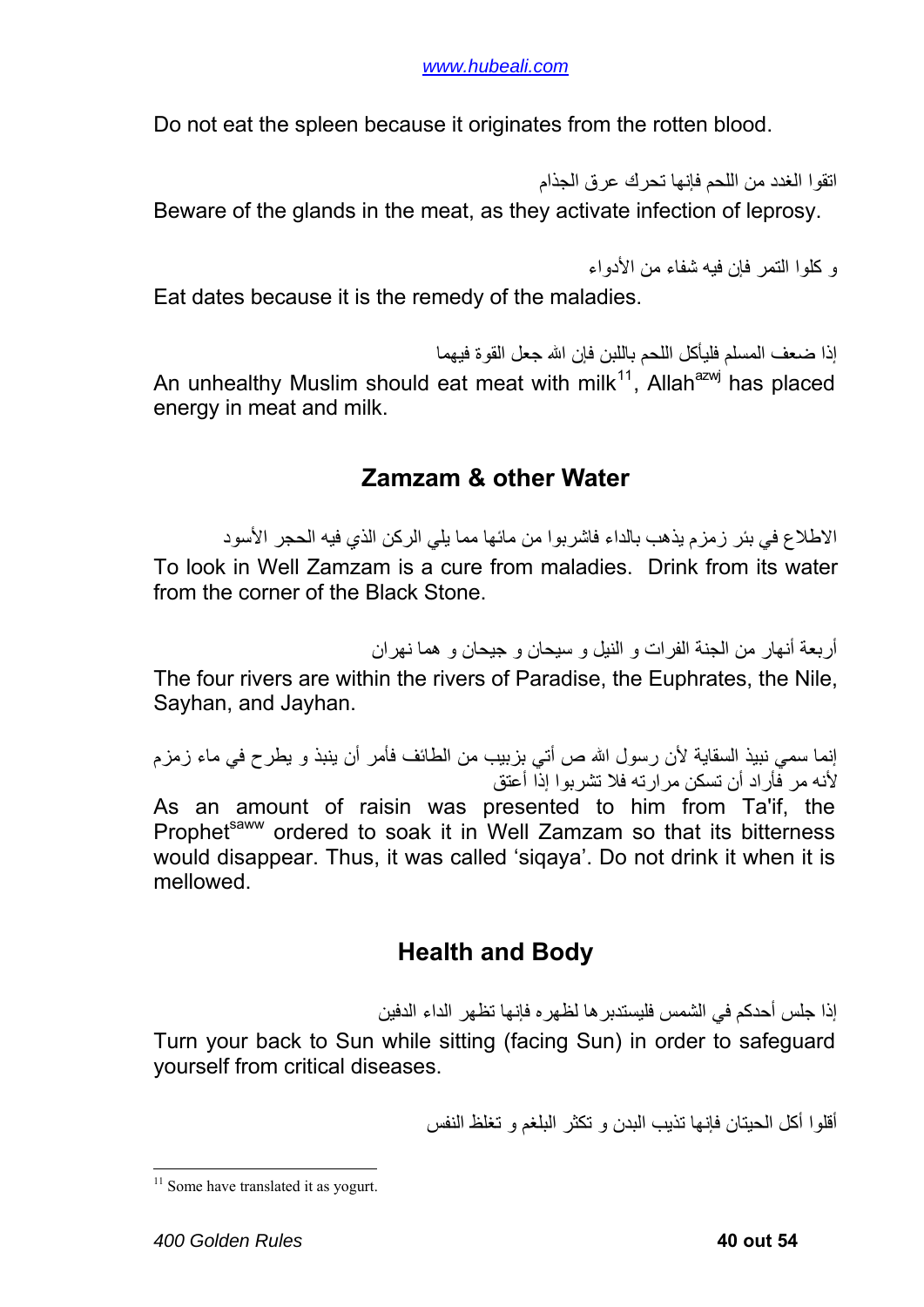<span id="page-39-0"></span>Do not eat the spleen because it originates from the rotten blood.

اتقوا الغدد من اللحم فإنها تحرك عرق الجذام Beware of the glands in the meat, as they activate infection of leprosy.

```
و آلوا التمر فإن فيه شفاء من الأدواء
```
Eat dates because it is the remedy of the maladies.

إذا ضعف المسلم فليأكل اللحم باللبن فإن الله جعل القوة فيهما An unhealthy Muslim should eat meat with milk<sup>[11](#page-39-1)</sup>, Allah<sup>azwj</sup> has placed energy in meat and milk.

#### **Zamzam & other Water**

الاطلاع في بئر زمزم يذهب بالداء فاشربوا من مائها مما يلي الرآن الذي فيه الحجر الأسود To look in Well Zamzam is a cure from maladies. Drink from its water from the corner of the Black Stone.

أربعة أنهار من الجنة الفرات و النيل و سيحان و جيحان و هما نهران

The four rivers are within the rivers of Paradise, the Euphrates, the Nile, Sayhan, and Jayhan.

إنما سمي نبيذ السقاية لأن رسول االله ص أتي بزبيب من الطائف فأمر أن ينبذ و يطرح في ماء زمزم لأنه مر فأراد أن تسكن مرارته فلا تشربوا إذا أعتق

As an amount of raisin was presented to him from Ta'if, the Prophet<sup>saww</sup> ordered to soak it in Well Zamzam so that its bitterness would disappear. Thus, it was called 'siqaya'. Do not drink it when it is mellowed.

## **Health and Body**

إذا جلس أحدكم في الشمس فلبستدبر ها لظهر ه فإنها تظهر الداء الدفين

Turn your back to Sun while sitting (facing Sun) in order to safeguard yourself from critical diseases.

أقلوا أكل الحيتان فإنها تذيب البدن و تكثر البلغم و تغلظ النفس

1

<span id="page-39-1"></span> $11$  Some have translated it as yogurt.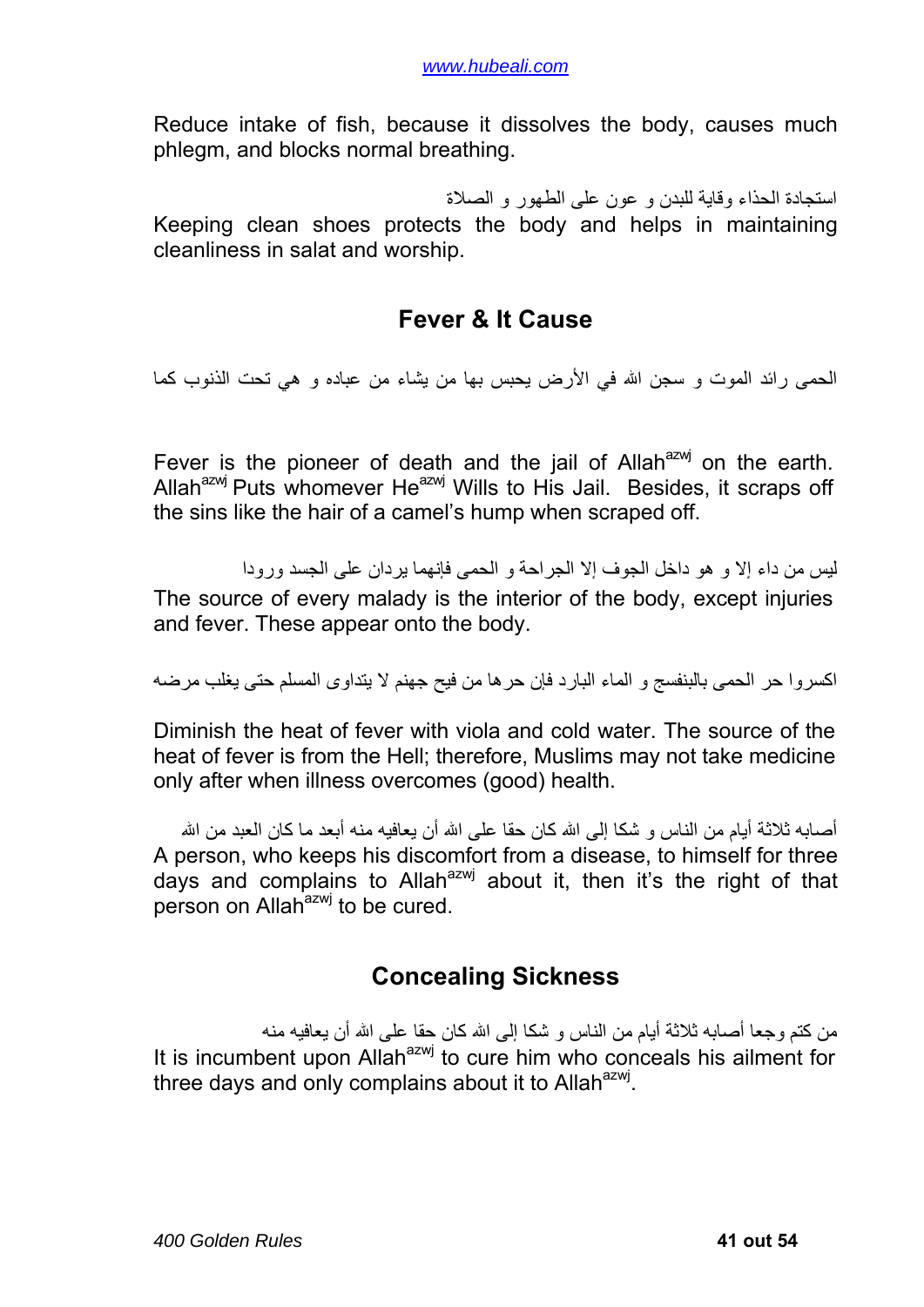<span id="page-40-0"></span>Reduce intake of fish, because it dissolves the body, causes much phlegm, and blocks normal breathing.

استجادة الحذاء وقاية للبدن و عون على الطهور و الصلاة Keeping clean shoes protects the body and helps in maintaining cleanliness in salat and worship.

#### **Fever & It Cause**

الحمى رائد الموت و سجن الله في الأرض يحبس بها من يشاء من عباده و هي تحت الذنوب كما

Fever is the pioneer of death and the jail of Allah $a^{2}$  on the earth. Allah $^{a}$ zwj Puts whomever He $^{a}$ zwj Wills to His Jail. Besides, it scraps off the sins like the hair of a camel's hump when scraped off.

ليس من داء إلا و هو داخل الجوف إلا الجراحة و الحمى فإنهما يردان على الجسد ورودا The source of every malady is the interior of the body, except injuries and fever. These appear onto the body.

اآسروا حر الحمى بالبنفسج و الماء البارد فإن حرها من فيح جهنم لا يتداوى المسلم حتى يغلب مرضه

Diminish the heat of fever with viola and cold water. The source of the heat of fever is from the Hell; therefore, Muslims may not take medicine only after when illness overcomes (good) health.

أصبابه ثلاثة أبام من الناس و شكا إلى الله كان حقا على الله أن بعافيه منه أبعد ما كان العبد من الله A person, who keeps his discomfort from a disease, to himself for three days and complains to Allah<sup>azwj</sup> about it, then it's the right of that person on Allah<sup>azwj</sup> to be cured.

### **Concealing Sickness**

من كتم وجعا أصـابـه ثلاثـة أيـام من النـاس و شكـا إلـى الله كـان حقا علـى الله أن يـعافيـه منـه It is incumbent upon Allah<sup>azwj</sup> to cure him who conceals his ailment for three days and only complains about it to Allah $^{azwj}$ .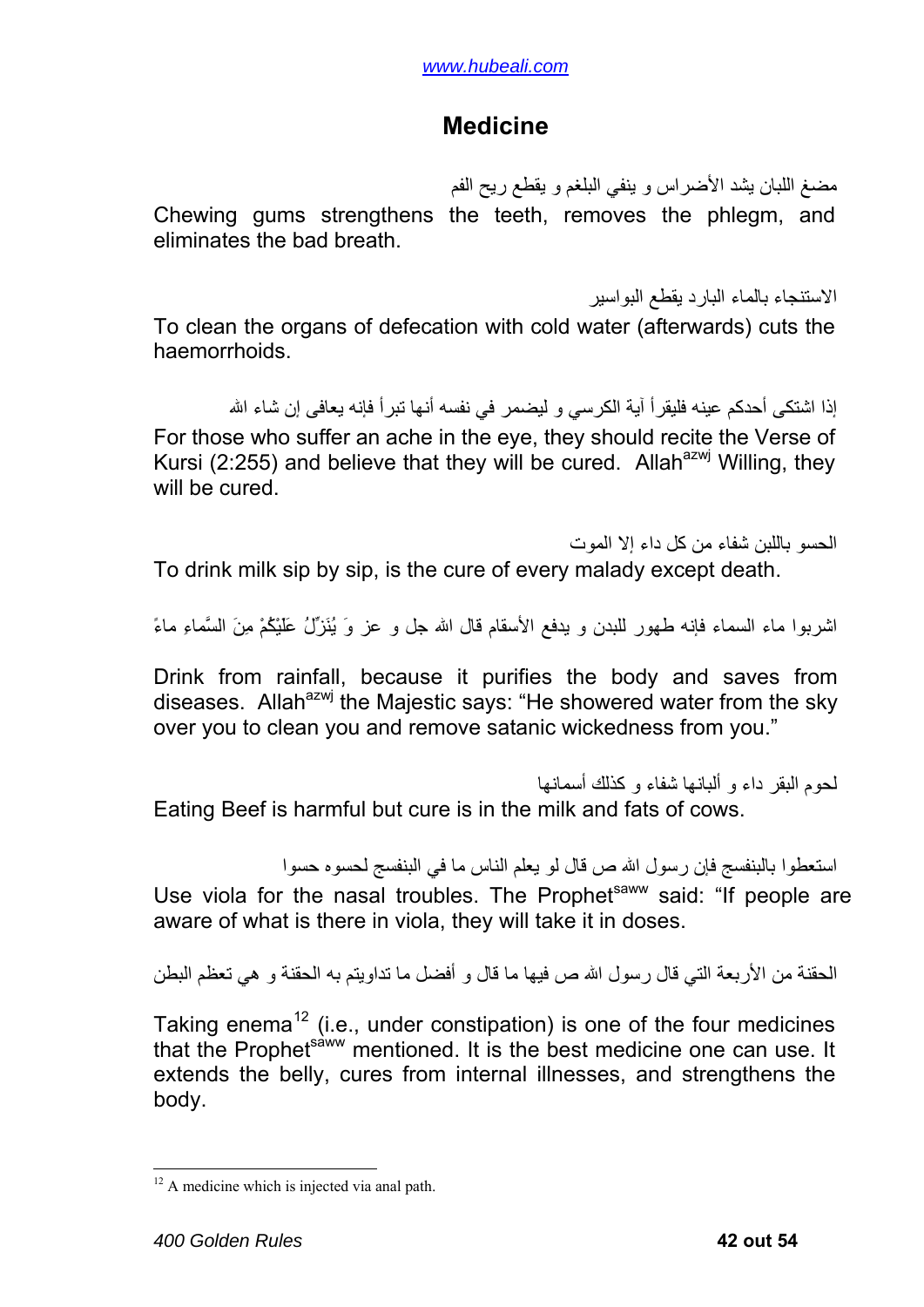#### **Medicine**

مضغ اللبان يشد الأضراس و ينفي البلغم و يقطع ريح الفم

<span id="page-41-0"></span>Chewing gums strengthens the teeth, removes the phlegm, and eliminates the bad breath.

الاستنجاء بالماء البارد يقطع البواسير

To clean the organs of defecation with cold water (afterwards) cuts the haemorrhoids.

إذا اشتكى أحدكم عينه فليقرأ آية الكرسي و ليضمر في نفسه أنها تبرأ فإنه يعافى إن شاء الله For those who suffer an ache in the eye, they should recite the Verse of Kursi (2:255) and believe that they will be cured. Allah<sup>azwj</sup> Willing, they will be cured.

الحسو باللبن شفاء من آل داء إلا الموت To drink milk sip by sip, is the cure of every malady except death.

اشربوا ماء السماء فإنه طهور للبدن و يدفع الأسقام قال االله جل و عز وَ يُنَزِّلُ عَلَيْكُمْ مِنَ السَّماءِ ماءً

Drink from rainfall, because it purifies the body and saves from diseases. Allah<sup>azwj</sup> the Majestic says: "He showered water from the sky over you to clean you and remove satanic wickedness from you."

لحوم البقر داء و ألبانها شفاء و كذلك أسمانها Eating Beef is harmful but cure is in the milk and fats of cows.

استعطوا بالبنفسج فإن رسول االله ص قال لو يعلم الناس ما في البنفسج لحسوه حسوا

Use viola for the nasal troubles. The Prophet<sup>saww</sup> said: "If people are aware of what is there in viola, they will take it in doses.

الحقنة من الأربعة التي قال رسول االله ص فيها ما قال و أفضل ما تداويتم به الحقنة و هي تعظم البطن

Taking enema<sup>[12](#page-41-1)</sup> (i.e., under constipation) is one of the four medicines that the Prophet<sup>saww</sup> mentioned. It is the best medicine one can use. It extends the belly, cures from internal illnesses, and strengthens the body.

1

<span id="page-41-1"></span> $12$  A medicine which is injected via anal path.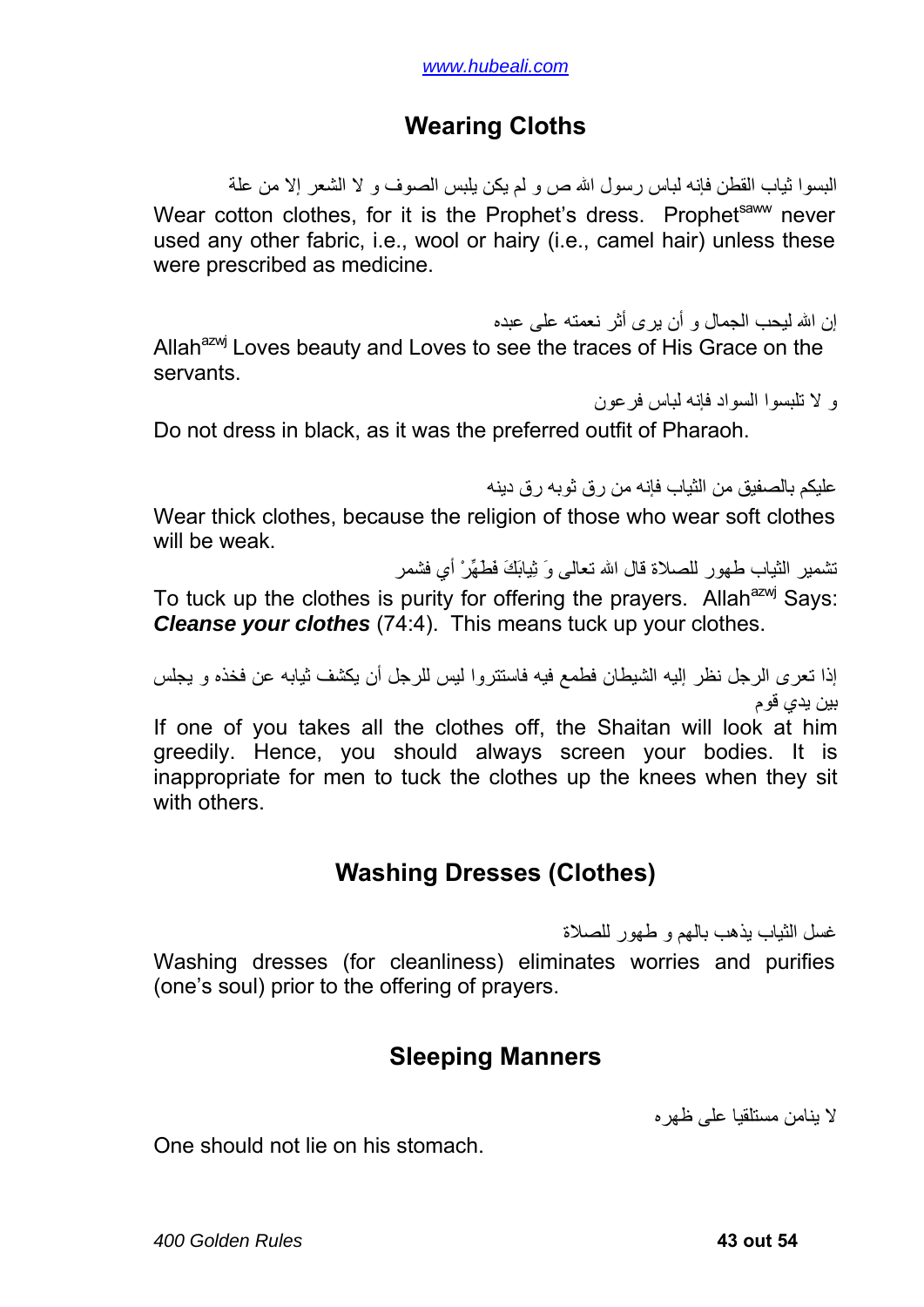#### **Wearing Cloths**

<span id="page-42-0"></span>البسوا ثياب القطن فإنه لباس رسول االله ص و لم يكن يلبس الصوف و لا الشعر إلا من علة Wear cotton clothes, for it is the Prophet's dress. Prophet<sup>saww</sup> never used any other fabric, i.e., wool or hairy (i.e., camel hair) unless these were prescribed as medicine.

إن االله ليحب الجمال و أن يرى أثر نعمته على عبده

Allah<sup>azwj</sup> Loves beauty and Loves to see the traces of His Grace on the servants.

و لا تلبسوا السواد فإنه لباس فرعون

Do not dress in black, as it was the preferred outfit of Pharaoh.

عليكم بالصفيق من الثياب فإنه من رق ثوبه رق دينه

Wear thick clothes, because the religion of those who wear soft clothes will be weak.

تشمير الثياب طهور للصلاة قال االله تعالى وَ ثِيابَكَ فَطَهِّرْ أي فشمر

To tuck up the clothes is purity for offering the prayers. Allah<sup>azwj</sup> Says: *Cleanse your clothes* (74:4). This means tuck up your clothes.

إذا تعرى الرجل نظر إليه الشيطان فطمع فيه فاستتروا ليس للرجل أن يكشف ثيابه عن فخذه و يجلس بين يدي قوم

If one of you takes all the clothes off, the Shaitan will look at him greedily. Hence, you should always screen your bodies. It is inappropriate for men to tuck the clothes up the knees when they sit with others.

### **Washing Dresses (Clothes)**

غسل الثياب يذهب بالهم و طهور للصلاة

Washing dresses (for cleanliness) eliminates worries and purifies (one's soul) prior to the offering of prayers.

#### **Sleeping Manners**

لا ينامن مستلقيا على ظهره

One should not lie on his stomach.

*400 Golden Rules* **43 out 54**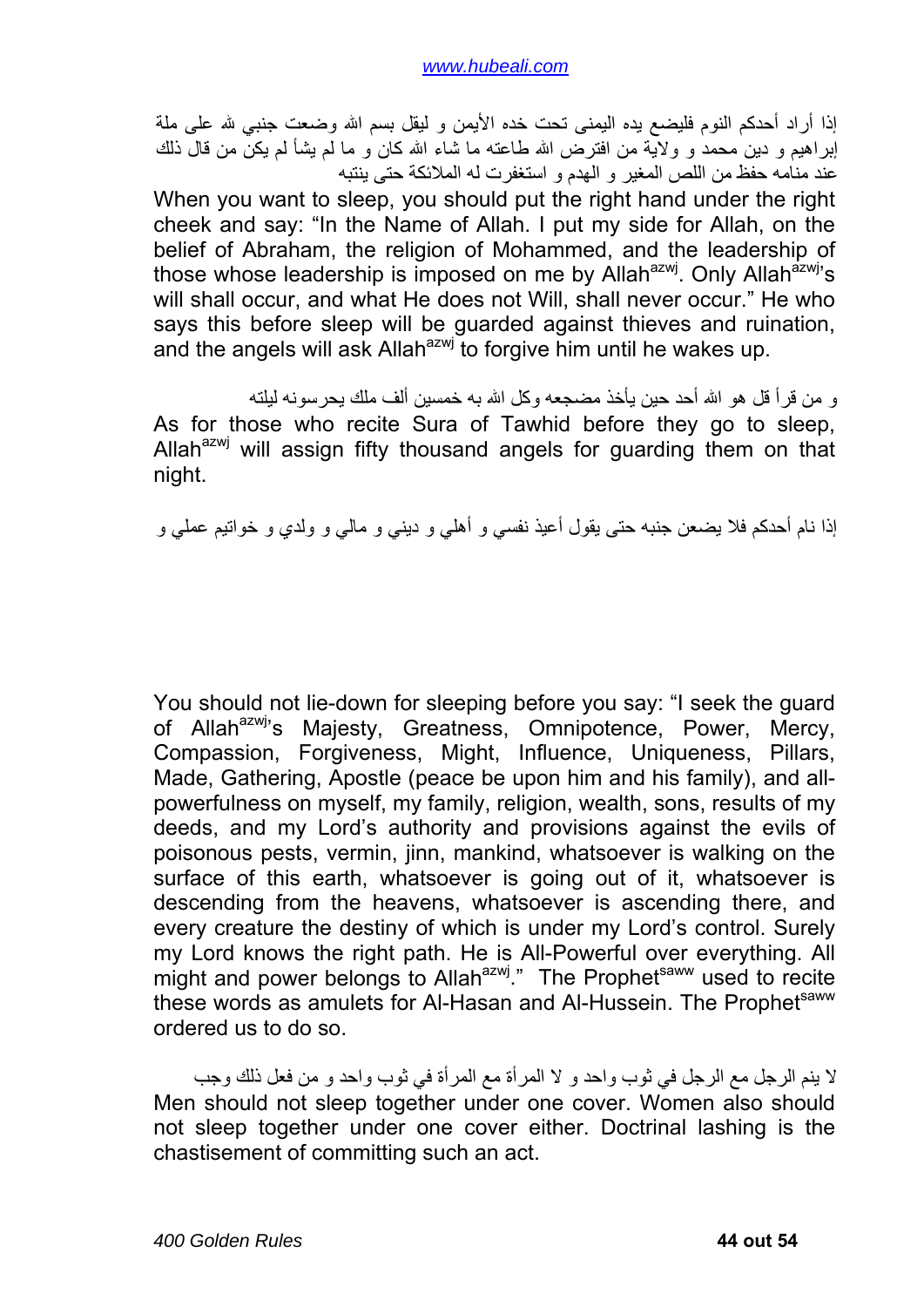إذا أراد أحدكم النوم فليضع يده اليمنى تحت خده الأيمن و ليقل بسم الله وضعت جنبي لله على ملة إبراهيم و دين محمد و ولاية من افترض الله طاعته ما شاء الله كان و ما لم يشأ لم يكنُّ من قال ذلك عند منامه حفظ من اللص المغير و الهدم و استغفرت له الملائكة حتى ينتبه

When you want to sleep, you should put the right hand under the right cheek and say: "In the Name of Allah. I put my side for Allah, on the belief of Abraham, the religion of Mohammed, and the leadership of those whose leadership is imposed on me by Allah<sup>azwj</sup>. Only Allah<sup>azwj</sup>'s will shall occur, and what He does not Will, shall never occur." He who says this before sleep will be guarded against thieves and ruination, and the angels will ask Allah<sup>azwj</sup> to forgive him until he wakes up.

و من قر أ قل هو الله أحد حين يأخذ مضجعه وكل الله به خمسين ألف ملك يحر سونه ليلته As for those who recite Sura of Tawhid before they go to sleep, Allah $^{azwj}$  will assign fifty thousand angels for guarding them on that night.

إذا نام أحدكم فلا يضعن جنبه حتى يقول أعيذ نفسي و أهلي و ديني و مالي و ولدي و خواتيم عملي و

You should not lie-down for sleeping before you say: "I seek the guard of Allah<sup>azwj</sup>'s Majesty, Greatness, Omnipotence, Power, Mercy, Compassion, Forgiveness, Might, Influence, Uniqueness, Pillars, Made, Gathering, Apostle (peace be upon him and his family), and allpowerfulness on myself, my family, religion, wealth, sons, results of my deeds, and my Lord's authority and provisions against the evils of poisonous pests, vermin, jinn, mankind, whatsoever is walking on the surface of this earth, whatsoever is going out of it, whatsoever is descending from the heavens, whatsoever is ascending there, and every creature the destiny of which is under my Lord's control. Surely my Lord knows the right path. He is All-Powerful over everything. All might and power belongs to Allah<sup>azwj</sup>." The Prophet<sup>saww</sup> used to recite these words as amulets for Al-Hasan and Al-Hussein. The Prophetsaww ordered us to do so.

لا ينم الرجل مع الرجل في ثوب واحد و لا المرأة مع المرأة في ثوب واحد و من فعل ذلك وجب Men should not sleep together under one cover. Women also should not sleep together under one cover either. Doctrinal lashing is the chastisement of committing such an act.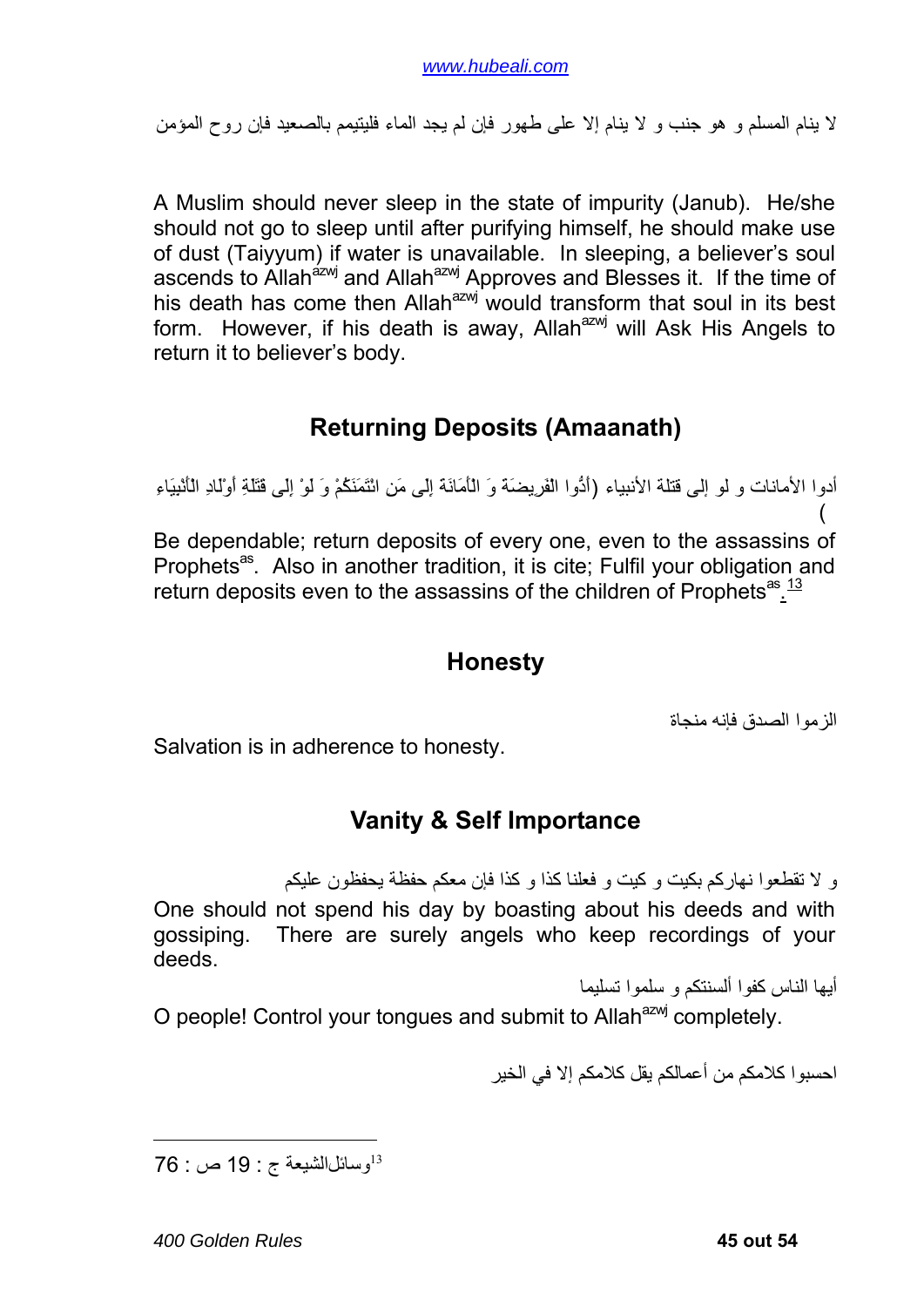<span id="page-44-0"></span>لا ينام المسلم و هو جنب و لا ينام إلا على طهور فإن لم يجد الماء فليتيمم بالصعيد فإن روح المؤمن

A Muslim should never sleep in the state of impurity (Janub). He/she should not go to sleep until after purifying himself, he should make use of dust (Taiyyum) if water is unavailable. In sleeping, a believer's soul ascends to Allah<sup>azwj</sup> and Allah<sup>azwj</sup> Approves and Blesses it. If the time of his death has come then Allah<sup>azwj</sup> would transform that soul in its best form. However, if his death is away, Allah<sup>azwj</sup> will Ask His Angels to return it to believer's body.

### **Returning Deposits (Amaanath)**

أدوا الأمانات و لو إلى قتلة الأنبياء (أَدُّوا الْفَرِيضَةَ وَ الْأَمَانَةَ إِلَى مَنِ ائْتَمَنَكُمْ وَ لَوْ إِلَى قَتَلَةِ أَوْلَادِ الْأَنْبِيَاءِ  $\sqrt{2}$ Be dependable; return deposits of every one, even to the assassins of

Prophets<sup>as</sup>. Also in another tradition, it is cite; Fulfil your obligation and return deposits even to the assassins of the children of Prophets<sup>as</sup>.<sup>[13](#page-44-1)</sup>

#### **Honesty**

الزموا الصدق فإنه منجاة

Salvation is in adherence to honesty.

### **Vanity & Self Importance**

و لا تقطعوا نهاركم بكيت و كيت و فعلنا كذا و كذا فإن معكم حفظة يحفظون عليكم One should not spend his day by boasting about his deeds and with gossiping. There are surely angels who keep recordings of your deeds.

أيها الناس كفوا ألسنتكم و سلموا تسليما

O people! Control your tongues and submit to Allah<sup>azwj</sup> completely.

احسبوا كلامكم من أعمالكم يقل كلامكم إلا في الخير

<span id="page-44-1"></span><sup>13</sup>وسائل الشيعة ج : 19 ص : 76

1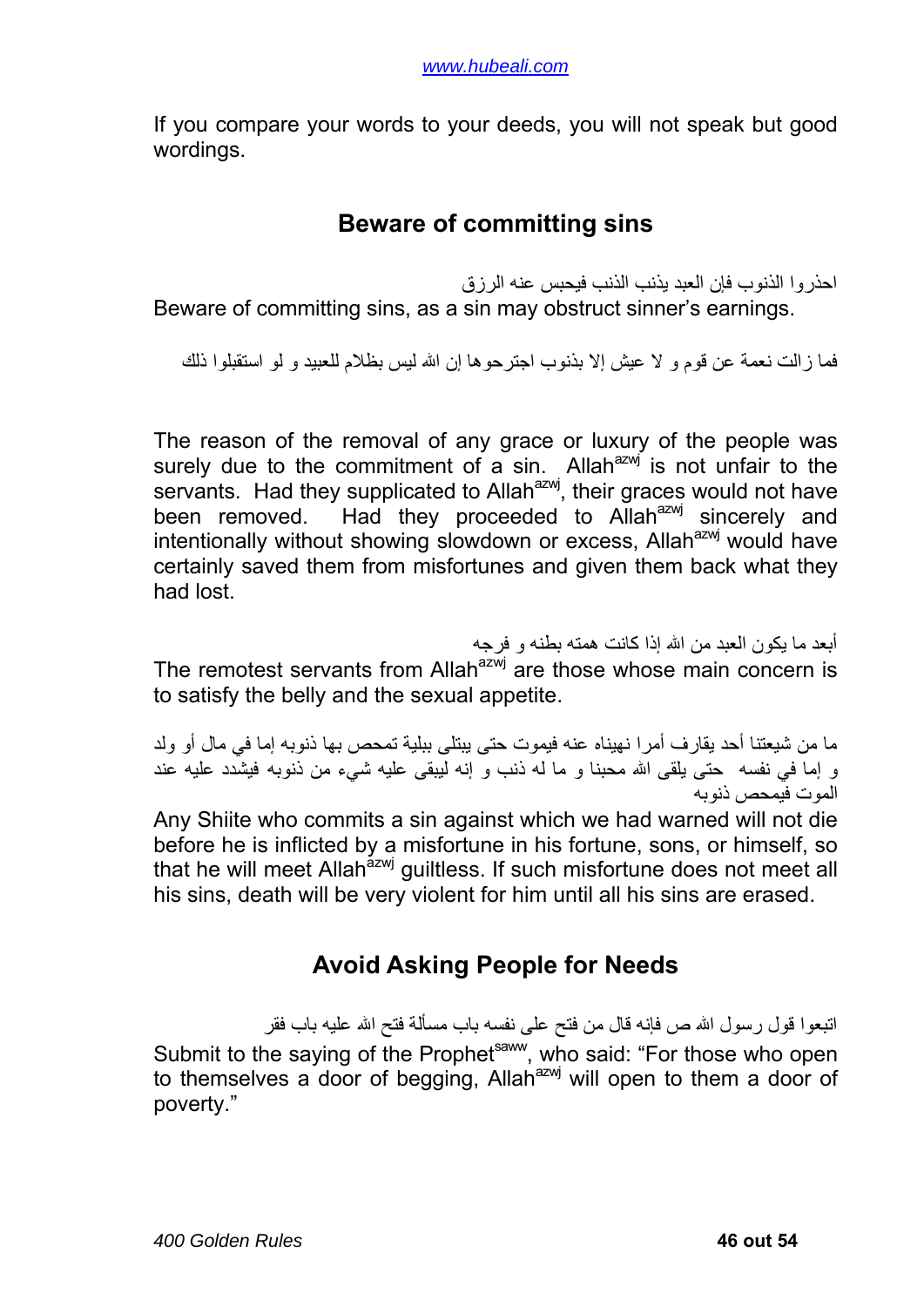<span id="page-45-0"></span>If you compare your words to your deeds, you will not speak but good wordings.

#### **Beware of committing sins**

احذروا الذنوب فإن العبد يذنب الذنب فيحبس عنه الرزق

Beware of committing sins, as a sin may obstruct sinner's earnings.

فما زالت نعمة عن قوم و لا عيش إلا بذنوب اجترحوها إن االله ليس بظلام للعبيد و لو استقبلوا ذلك

The reason of the removal of any grace or luxury of the people was surely due to the commitment of a sin. Allah $a^{2}$  is not unfair to the servants. Had they supplicated to Allah<sup>azwj</sup>, their graces would not have been removed. Had they proceeded to Allah<sup>azwj</sup> sincerely and intentionally without showing slowdown or excess. Allah<sup>azwj</sup> would have certainly saved them from misfortunes and given them back what they had lost.

أبعد ما يكون العبد من الله إذا كانت همته بطنه و فرجه The remotest servants from Allah<sup>azwj</sup> are those whose main concern is to satisfy the belly and the sexual appetite.

ما من شيعتنا أحد يقارف أمرا نهيناه عنه فيموت حتى يبتلى ببلية تمحص بها ذنوبه إما في مال أو ولد و إما في نفسه حتى يلقى الله محبنا و ما له ذنب و إنه ليبقى عليه شيء من ذنوبه فيشدد عليه عند الموت فيمحص ذنوبه

Any Shiite who commits a sin against which we had warned will not die before he is inflicted by a misfortune in his fortune, sons, or himself, so that he will meet Allah<sup>azwj</sup> guiltless. If such misfortune does not meet all his sins, death will be very violent for him until all his sins are erased.

### **Avoid Asking People for Needs**

اتبعوا قول رسول الله ص فإنه قال من فتح على نفسه باب مسألة فتح الله عليه باب فقر Submit to the saying of the Prophet<sup>saww</sup>, who said: "For those who open to themselves a door of begging, Allah<sup>azwj</sup> will open to them a door of poverty."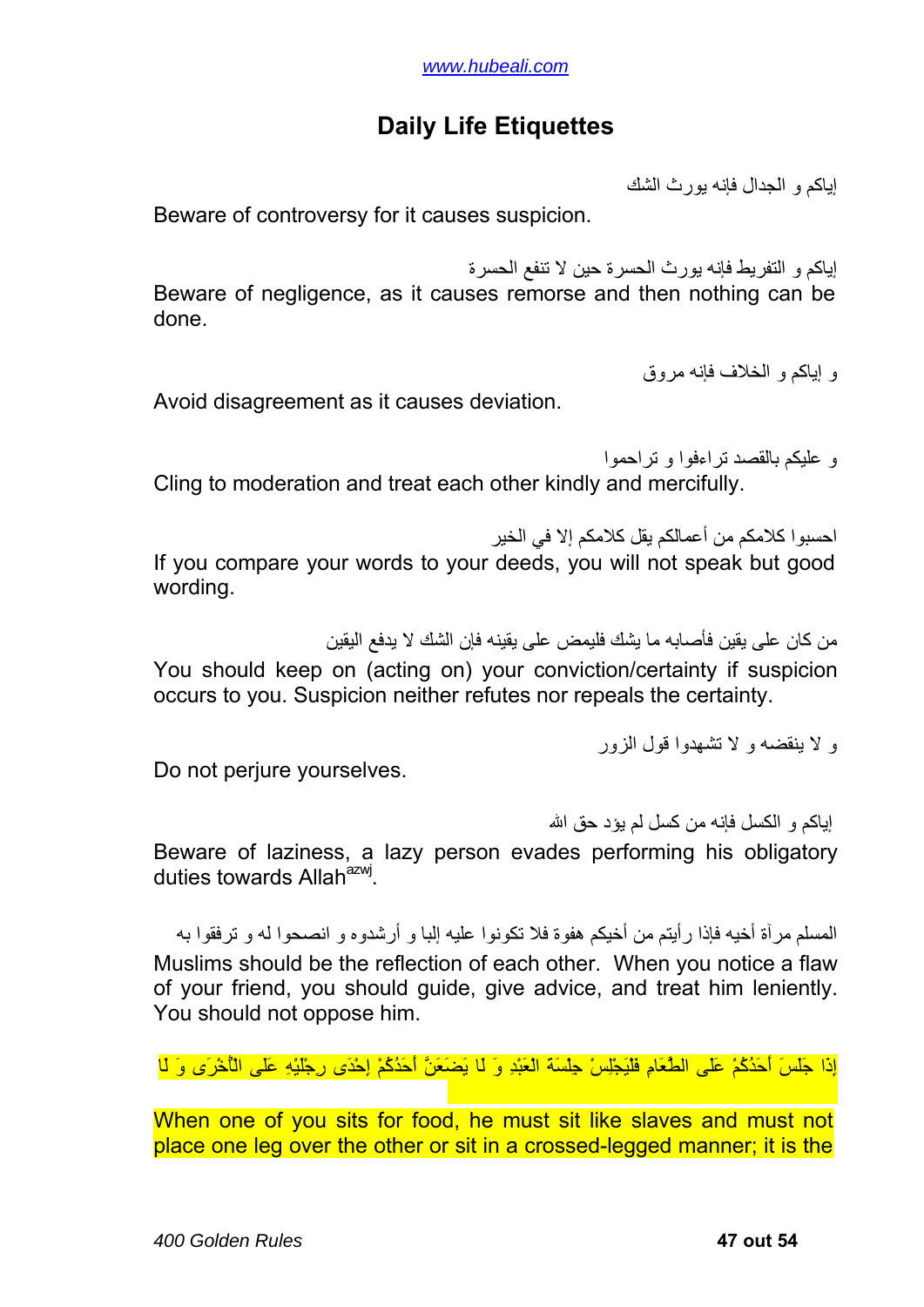### **Daily Life Etiquettes**

إياكم و الجدال فإنه يورث الشك

<span id="page-46-0"></span>Beware of controversy for it causes suspicion.

إياآم و التفريط فإنه يورث الحسرة حين لا تنفع الحسرة Beware of negligence, as it causes remorse and then nothing can be done.

و إياآم و الخلاف فإنه مروق

Avoid disagreement as it causes deviation.

و عليكم بالقصد تراءفوا و تراحموا Cling to moderation and treat each other kindly and mercifully.

احسبو ا كلامكم من أعمالكم بقل كلامكم إلا في الخبر If you compare your words to your deeds, you will not speak but good wording.

من كان على يقين فأصبابه ما يشك فليمض على يقينه فإن الشك لا يدفع اليقين You should keep on (acting on) your conviction/certainty if suspicion occurs to you. Suspicion neither refutes nor repeals the certainty.

و لا ينقضه و لا تشهدوا قول الزور

Do not perjure yourselves.

إباكم و الكسل فإنه من كسل لم يؤد حق الله

Beware of laziness, a lazy person evades performing his obligatory duties towards Allah<sup>azwj</sup>

المسلم مرآة أخيه فإذا رأيتم من أخيكم هفوة فلا تكونوا عليه إلبا و أرشدوه و انصحوا له و ترفقوا به Muslims should be the reflection of each other. When you notice a flaw of your friend, you should guide, give advice, and treat him leniently. You should not oppose him.

إِذَا جَلَسَ أَحَدُآُمْ عَلَى الطَّعَامِ فَلْيَجْلِسْ جِلْسَةَ الْعَبْدِ وَ لَا يَضَعَنَّ أَحَدُآُمْ إِحْدَى رِجْلَيْهِ عَلَى الْأُخْرَى وَ لَا

When one of you sits for food, he must sit like slaves and must not place one leg over the other or sit in a crossed-legged manner; it is the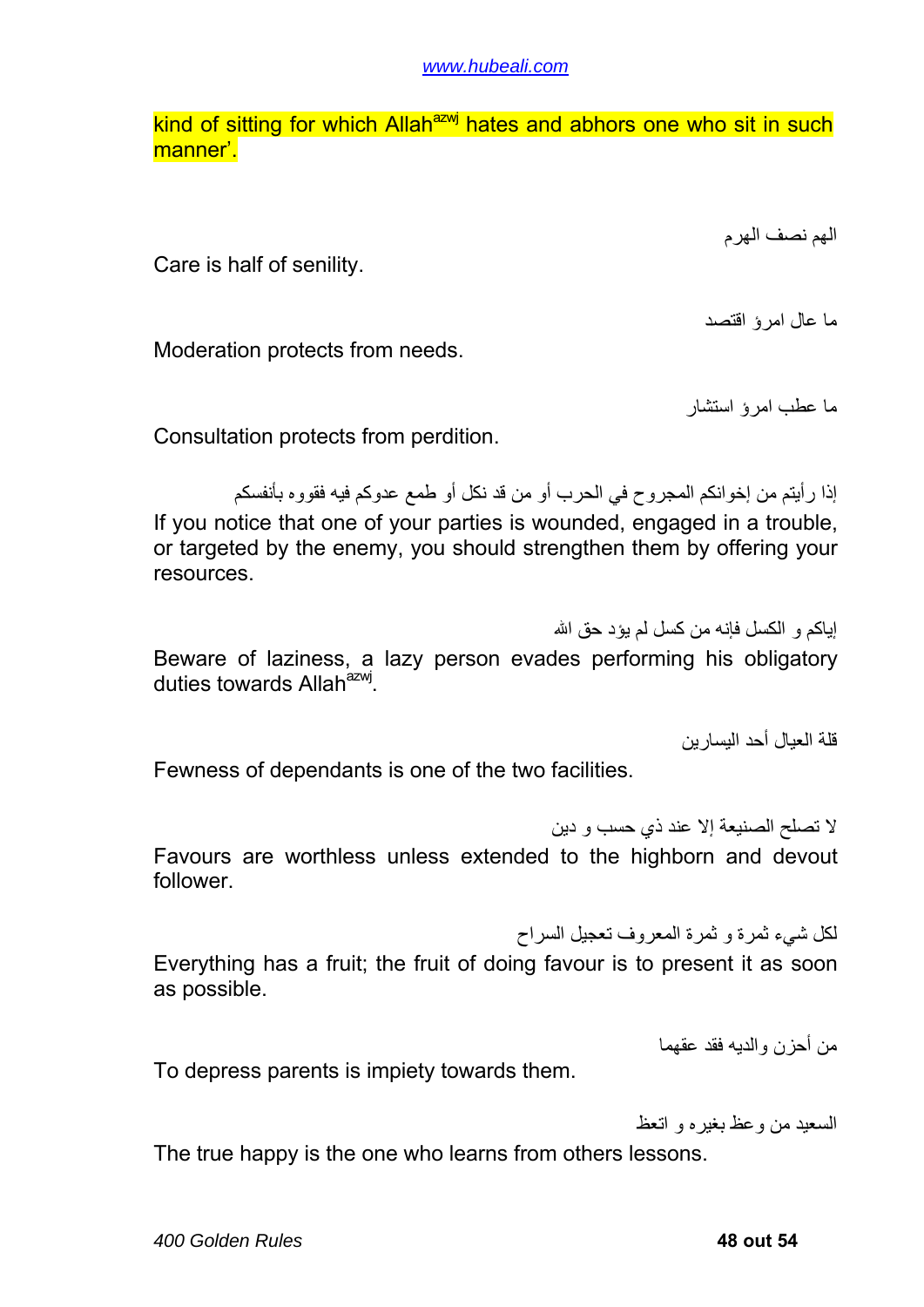kind of sitting for which Allah<sup>azwj</sup> hates and abhors one who sit in such manner'.

الهم نصف الهرم

Care is half of senility.

ما عال امرؤ اقتصد

Moderation protects from needs.

ما عطب امرؤ استشار

Consultation protects from perdition.

إذا رأيتم من إخوانكم المجروح في الحرب أو من قد نكل أو طمع عدوآم فيه فقووه بأنفسكم If you notice that one of your parties is wounded, engaged in a trouble, or targeted by the enemy, you should strengthen them by offering your resources.

إباكم و الكسل فإنه من كسل لم يؤد حق الله

Beware of laziness, a lazy person evades performing his obligatory duties towards Allah<sup>azwj</sup>.

قلة العيال أحد اليسارين

Fewness of dependants is one of the two facilities.

لا تصلح الصنيعة إلا عند ذي حسب و دين Favours are worthless unless extended to the highborn and devout follower.

لكل شيء ثمرة و ثمرة المعروف تعجيل السراح

Everything has a fruit; the fruit of doing favour is to present it as soon as possible.

من أحزن والديه فقد عقهما

To depress parents is impiety towards them.

السعيد من وعظ بغيره و اتعظ

The true happy is the one who learns from others lessons.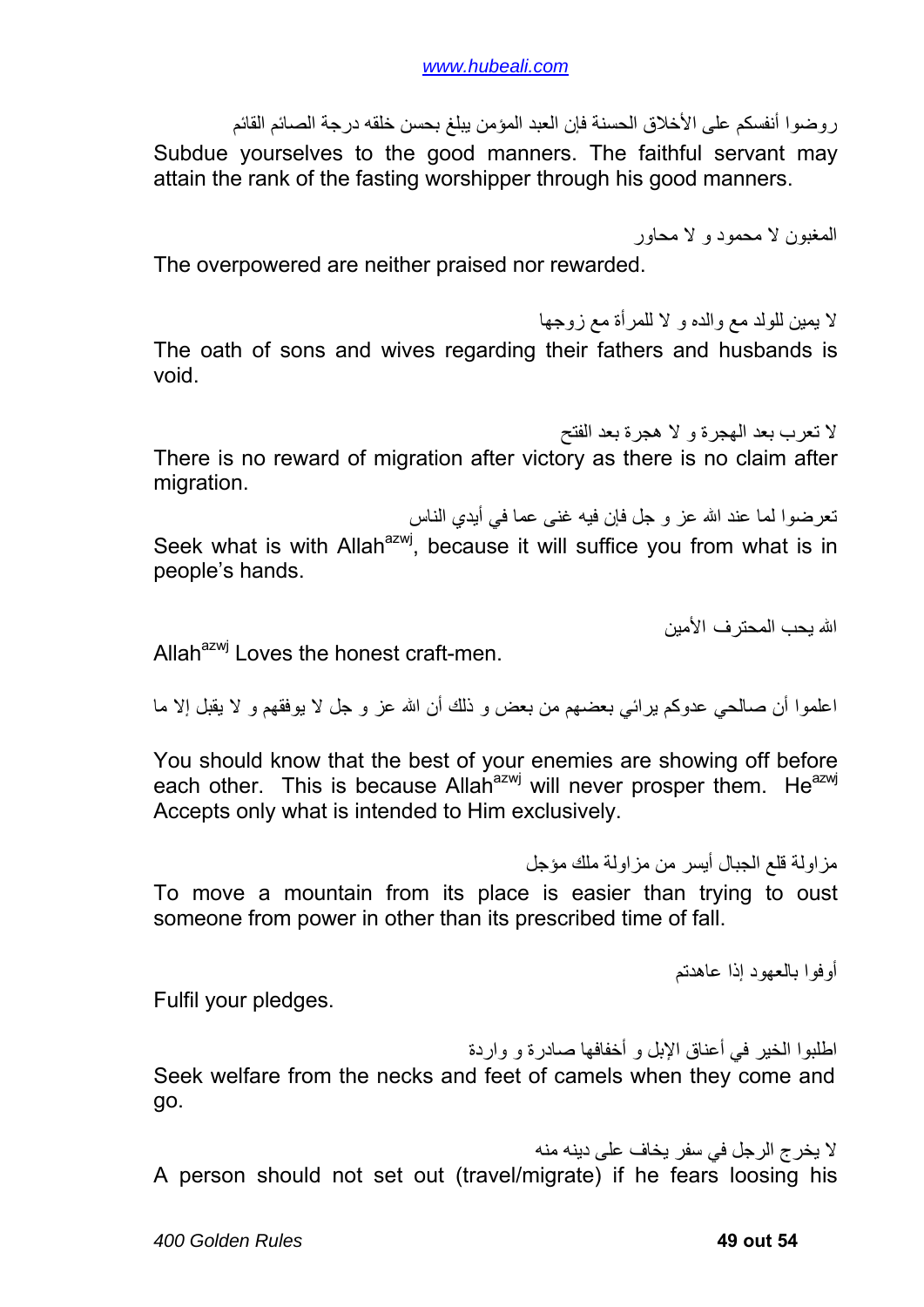روضوا أنفسكم على الأخلاق الحسنة فإن العبد المؤمن يبلغ بحسن خلقه درجة الصائم القائم Subdue yourselves to the good manners. The faithful servant may attain the rank of the fasting worshipper through his good manners.

المغبون لا محمود و لا محاور

The overpowered are neither praised nor rewarded.

لا يمين للولد مع والده و لا للمرأة مع زوجها The oath of sons and wives regarding their fathers and husbands is void.

لا تعرب بعد الهجرة و لا هجرة بعد الفتح

There is no reward of migration after victory as there is no claim after migration.

تعرضوا لما عند االله عز و جل فإن فيه غنى عما في أيدي الناس

Seek what is with Allah<sup>azwj</sup>, because it will suffice you from what is in people's hands.

االله يحب المحترف الأمين

Allah $a^{2xy}$  Loves the honest craft-men.

اعلموا أن صالحي عدوآم يرائي بعضهم من بعض و ذلك أن االله عز و جل لا يوفقهم و لا يقبل إلا ما

You should know that the best of your enemies are showing off before each other. This is because Allah<sup>azwj</sup> will never prosper them. He<sup>azwj</sup> Accepts only what is intended to Him exclusively.

someone from power in other than its prescribed time of fall.

مزاولة قلع الجبال أيسر من مزاولة ملك مؤجل To move a mountain from its place is easier than trying to oust

أوفوا بالعهود إذا عاهدتم

Fulfil your pledges.

اطلبوا الخير في أعناق الإبل و أخفافها صادرة و واردة Seek welfare from the necks and feet of camels when they come and go.

لا يخرج الرجل في سفر يخاف على دينه منه A person should not set out (travel/migrate) if he fears loosing his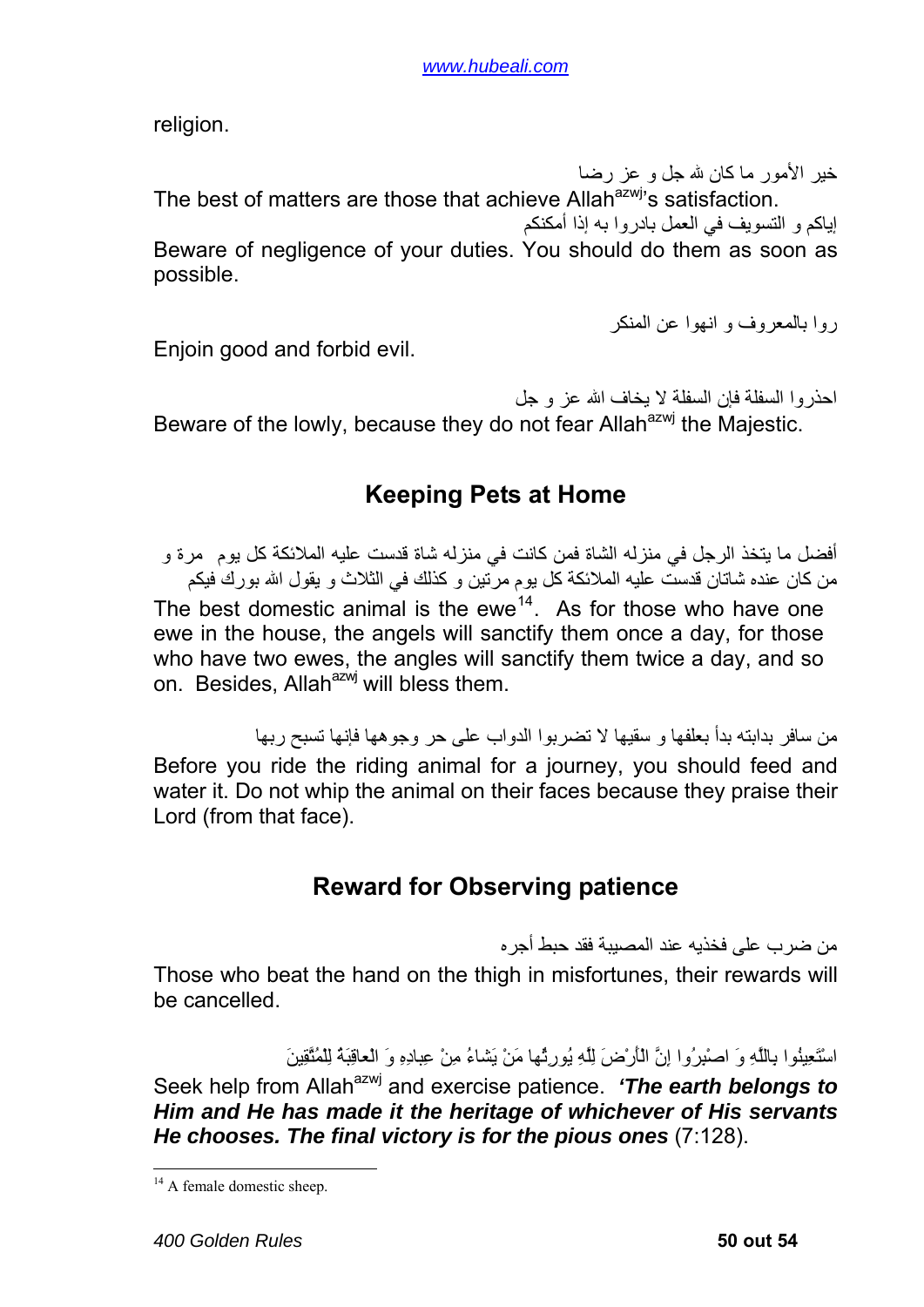<span id="page-49-0"></span>religion.

خير الأمور ما كان لله جل و عز رضا The best of matters are those that achieve Allah<sup>azwj</sup>'s satisfaction. إياكم و التسويف في العمل بادر وا به إذا أمكنكم

Beware of negligence of your duties. You should do them as soon as possible.

روا بالمعروف و انهوا عن المنكر

Enjoin good and forbid evil.

احذروا السفلة فإن السفلة لا يخاف االله عز و جل Beware of the lowly, because they do not fear Allah<sup>azwj</sup> the Majestic.

#### **Keeping Pets at Home**

أفضل ما يتخذ الر جل في منز له الشاة فمن كانت في منز له شاة قدست عليه الملائكة كل يوم ٍ مر ة و من كان عنده شاتان قدست عليه الملائكة كل يوم مرّتين و كذلك في الثلاث و يقول الله بورك فيكم The best domestic animal is the ewe<sup>[14](#page-49-1)</sup>. As for those who have one ewe in the house, the angels will sanctify them once a day, for those who have two ewes, the angles will sanctify them twice a day, and so on. Besides, Allah<sup>azwj</sup> will bless them.

من سافر بدابته بدأ بعلفها و سقيها لا تضربوا الدواب على حر وجوهها فإنها تسبح ربها Before you ride the riding animal for a journey, you should feed and water it. Do not whip the animal on their faces because they praise their Lord (from that face).

### **Reward for Observing patience**

من ضرب على فخذيه عند المصيبة فقد حبط أجره

Those who beat the hand on the thigh in misfortunes, their rewards will be cancelled.

اسْتَعِينُوا بِاللَّهِ وَ اصْبِرُوا إِنَّ الْأَرْضَ لِلَّهِ يُورِثُها مَنْ يَشاءُ مِنْ عِبادِهِ وَ الْعاقِبَةُ لِلْمُتَّقِينَ

Seek help from Allah<sup>azwj</sup> and exercise patience. 'The earth belongs to *Him and He has made it the heritage of whichever of His servants He chooses. The final victory is for the pious ones* (7:128).

1

<span id="page-49-1"></span><sup>&</sup>lt;sup>14</sup> A female domestic sheep.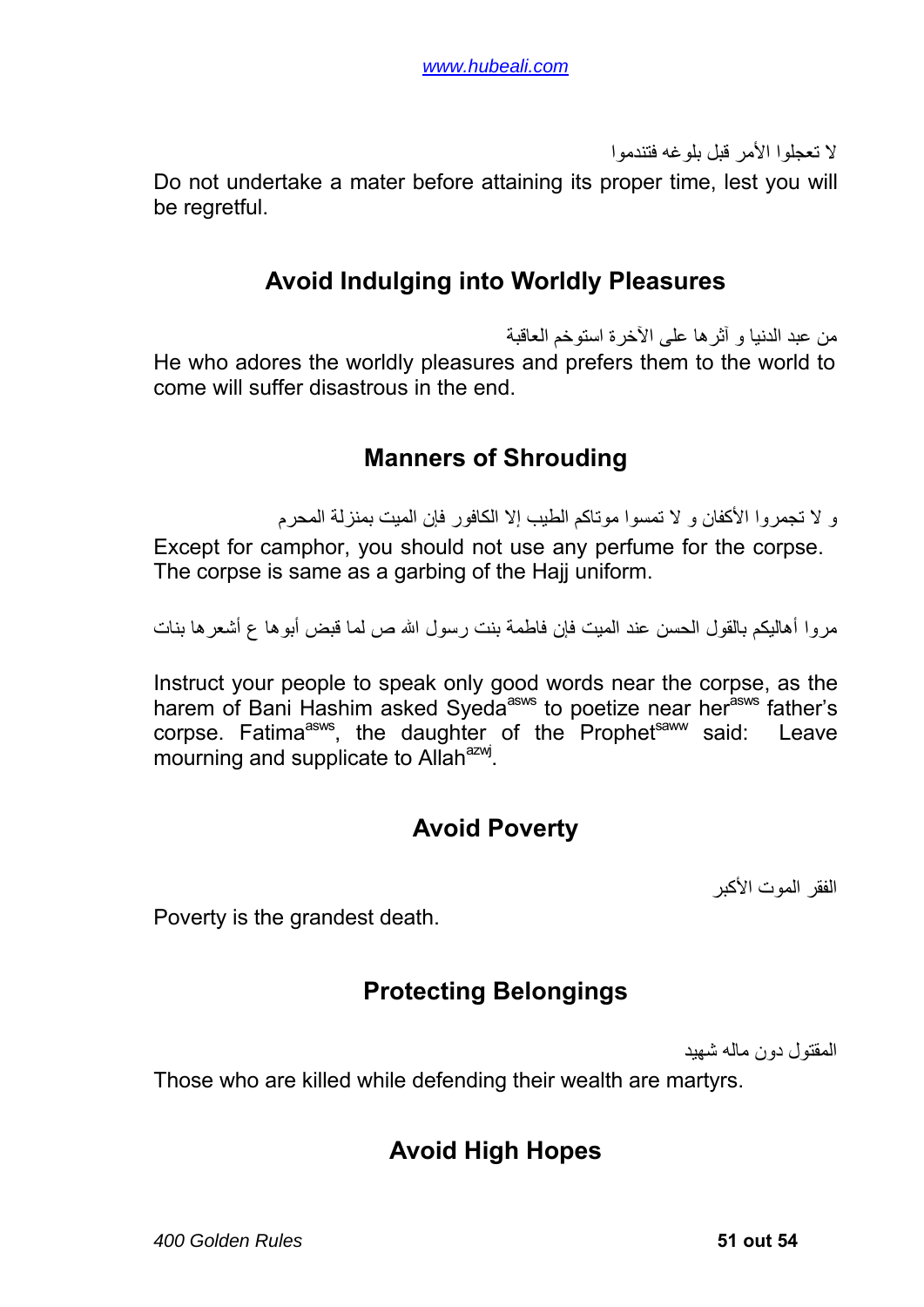لا تعجلوا الأمر قبل بلوغه فتندموا

<span id="page-50-0"></span>Do not undertake a mater before attaining its proper time, lest you will be regretful.

#### **Avoid Indulging into Worldly Pleasures**

من عبد الدنيا و آثرها على الآخرة استوخم العاقبة He who adores the worldly pleasures and prefers them to the world to come will suffer disastrous in the end.

#### **Manners of Shrouding**

و لا تجمر وا الأكفان و لا تمسوا موتاكم الطيب إلا الكافور فإن الميت بمنز لة المحر م

Except for camphor, you should not use any perfume for the corpse. The corpse is same as a garbing of the Hajj uniform.

مروا أهاليكم بالقول الحسن عند الميت فإن فاطمة بنت رسول االله ص لما قبض أبوها ع أشعرها بنات

Instruct your people to speak only good words near the corpse, as the harem of Bani Hashim asked Syeda<sup>asws</sup> to poetize near her<sup>asws</sup> father's corpse. Fatima<sup>asws</sup>, the daughter of the Prophet<sup>saww</sup> said: Leave mourning and supplicate to Allah<sup>azwj</sup>.

#### **Avoid Poverty**

الفقر الموت الأكبر

Poverty is the grandest death.

#### **Protecting Belongings**

المقتول دون ماله شهيد

Those who are killed while defending their wealth are martyrs.

#### **Avoid High Hopes**

*400 Golden Rules* **51 out 54**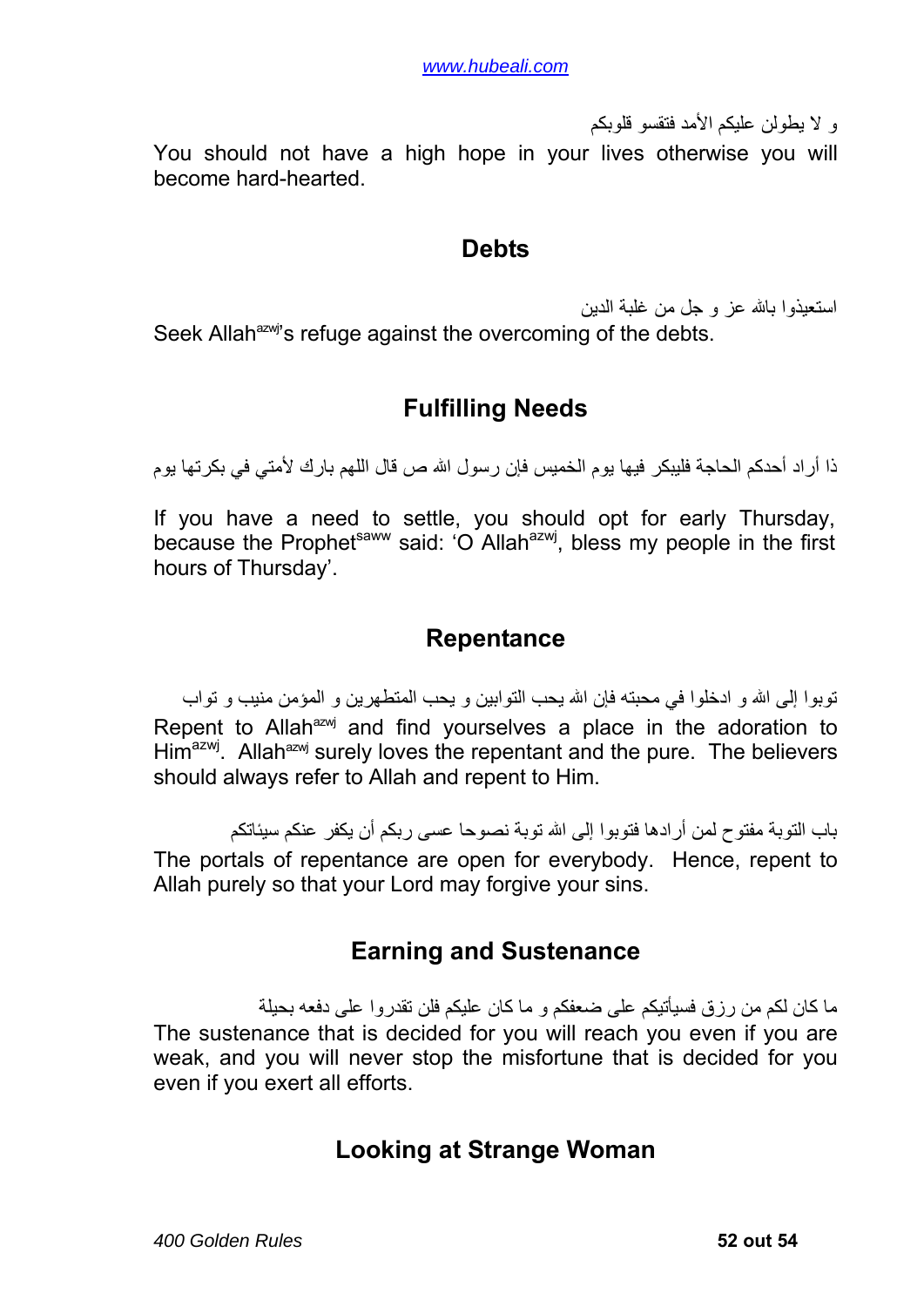و لا يطولن عليكم الأمد فتقسو قلوبكم

<span id="page-51-0"></span>You should not have a high hope in your lives otherwise you will become hard-hearted.

#### **Debts**

استعيذوا باالله عز و جل من غلبة الدين Seek Allah<sup>azwj</sup>'s refuge against the overcoming of the debts.

### **Fulfilling Needs**

ذا أر اد أحدكم الحاجة فليبكر فيها يوم الخميس فإن ر سو ل الله ص قال اللهم بار ك لأمتي في بكر تها يو م

If you have a need to settle, you should opt for early Thursday, because the Prophet<sup>saww</sup> said: 'O Allah<sup>azwj</sup>, bless my people in the first hours of Thursday'.

#### **Repentance**

توبوا إلى الله و ادخلوا في محبته فإن الله يحب التوابين و يحب المتطهرين و المؤمن منيب و تواب Repent to Allah<sup>azwj</sup> and find vourselves a place in the adoration to  $\text{Him}^{\text{azwj}}$ . Allah<sup>azwj</sup> surely loves the repentant and the pure. The believers should always refer to Allah and repent to Him.

باب التوبة مفتوح لمن أرادها فتوبوا إلى االله توبة نصوحا عسى ربكم أن يكفر عنكم سيئاتكم The portals of repentance are open for everybody. Hence, repent to Allah purely so that your Lord may forgive your sins.

#### **Earning and Sustenance**

ما كان لكم من رزق فسيأتيكم على ضعفكم و ما كان عليكم فلن تقدروا على دفعه بحيلة The sustenance that is decided for you will reach you even if you are weak, and you will never stop the misfortune that is decided for you even if you exert all efforts.

### **Looking at Strange Woman**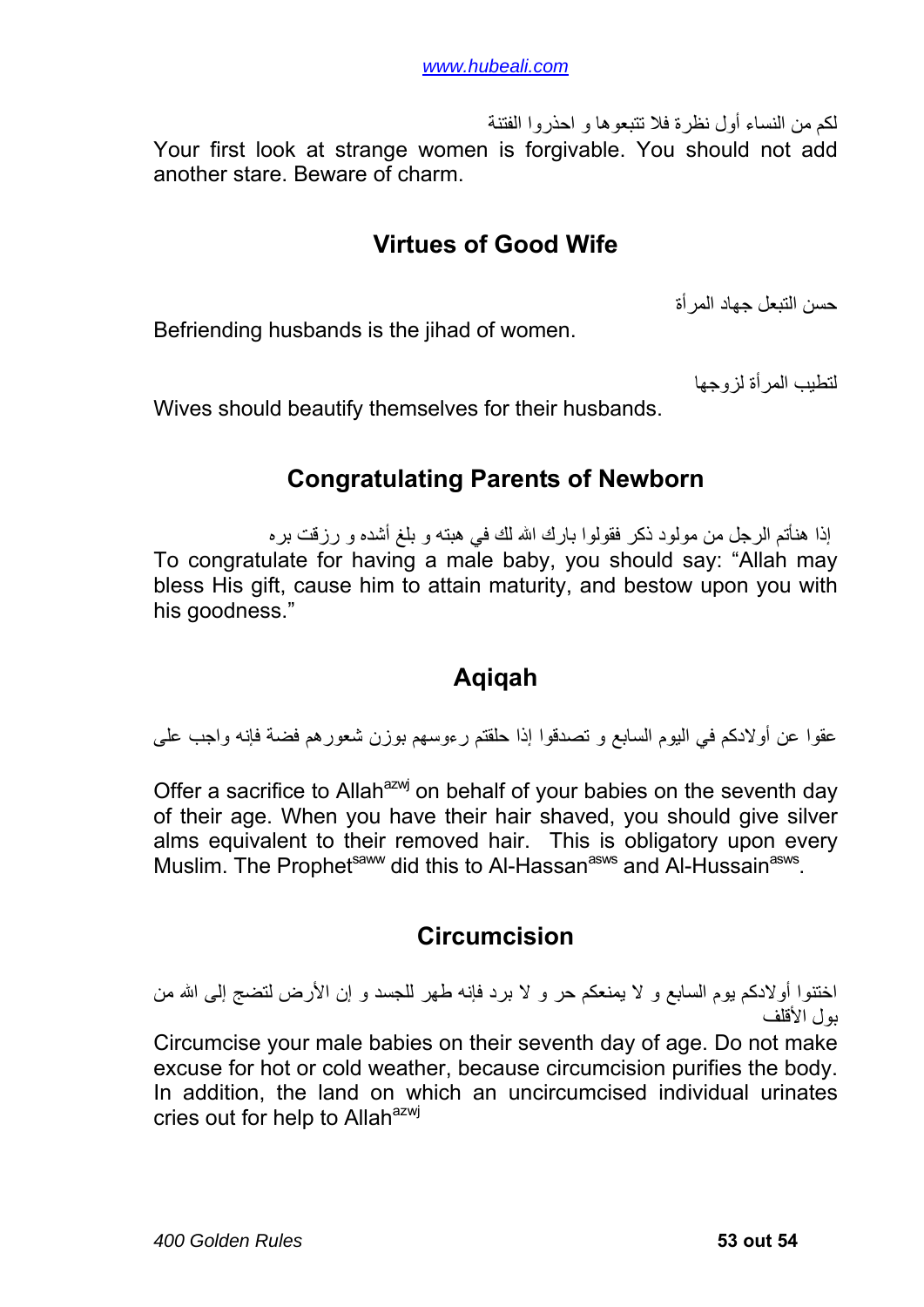<span id="page-52-0"></span>لكم من النساء أول نظرة فلا تتبعوها و احذروا الفتنة Your first look at strange women is forgivable. You should not add another stare. Beware of charm.

#### **Virtues of Good Wife**

حسن التبعل جهاد المرأة

Befriending husbands is the jihad of women.

لتطيب المرأة لزوجها

Wives should beautify themselves for their husbands.

#### **Congratulating Parents of Newborn**

إذا هنأتم الرجل من مولود ذكر فقولوا بارك الله لك في هبته و بلغ أشده و رزقت بره To congratulate for having a male baby, you should say: "Allah may bless His gift, cause him to attain maturity, and bestow upon you with his goodness."

### **Aqiqah**

عقوا عن أولادكم في اليوم السابع و تصدقوا إذا حلقتم رءوسهم بوزن شعورهم فضة فإنه واجب على

Offer a sacrifice to Allah<sup>azwj</sup> on behalf of your babies on the seventh day of their age. When you have their hair shaved, you should give silver alms equivalent to their removed hair. This is obligatory upon every Muslim. The Prophet<sup>saww</sup> did this to Al-Hassan<sup>asws</sup> and Al-Hussain<sup>asws</sup>.

#### **Circumcision**

اختنوا أولادكم يوم السابع و لا يمنعكم حر و لا برد فإنه طهر للجسد و إن الأرض لتضج إلى الله من بول الأقلف

Circumcise your male babies on their seventh day of age. Do not make excuse for hot or cold weather, because circumcision purifies the body. In addition, the land on which an uncircumcised individual urinates cries out for help to Allah<sup>azwj</sup>